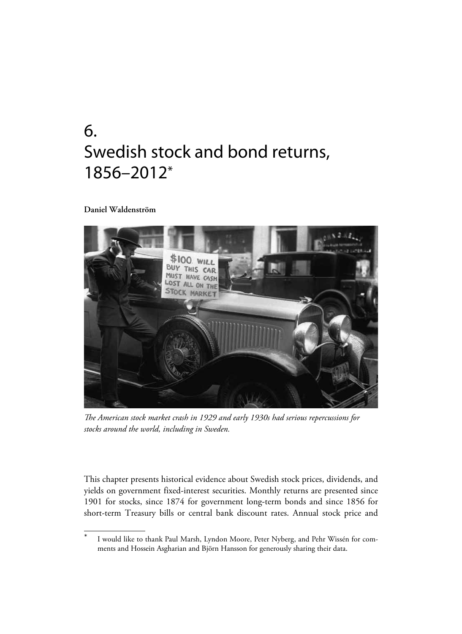# 6. Swedish stock and bond returns, 1856–2012\*

#### **Daniel Waldenström**



*The American stock market crash in 1929 and early 1930s had serious repercussions for stocks around the world, including in Sweden.*

This chapter presents historical evidence about Swedish stock prices, dividends, and yields on government fixed-interest securities. Monthly returns are presented since 1901 for stocks, since 1874 for government long-term bonds and since 1856 for short-term Treasury bills or central bank discount rates. Annual stock price and

I would like to thank Paul Marsh, Lyndon Moore, Peter Nyberg, and Pehr Wissén for comments and Hossein Asgharian and Björn Hansson for generously sharing their data.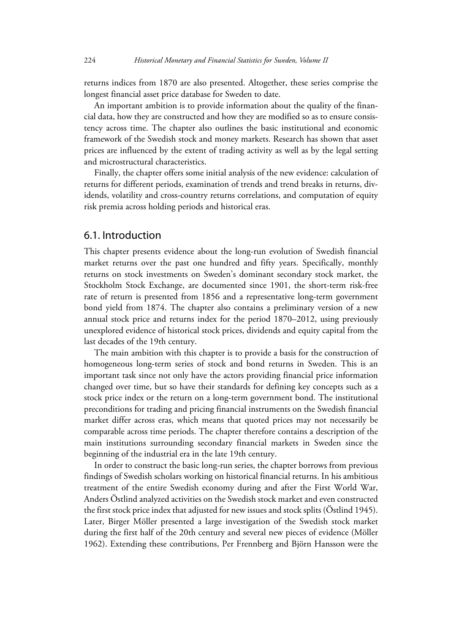returns indices from 1870 are also presented. Altogether, these series comprise the longest financial asset price database for Sweden to date.

An important ambition is to provide information about the quality of the financial data, how they are constructed and how they are modified so as to ensure consistency across time. The chapter also outlines the basic institutional and economic framework of the Swedish stock and money markets. Research has shown that asset prices are influenced by the extent of trading activity as well as by the legal setting and microstructural characteristics.

Finally, the chapter offers some initial analysis of the new evidence: calculation of returns for different periods, examination of trends and trend breaks in returns, dividends, volatility and cross-country returns correlations, and computation of equity risk premia across holding periods and historical eras.

#### 6.1. Introduction

This chapter presents evidence about the long-run evolution of Swedish financial market returns over the past one hundred and fifty years. Specifically, monthly returns on stock investments on Sweden's dominant secondary stock market, the Stockholm Stock Exchange, are documented since 1901, the short-term risk-free rate of return is presented from 1856 and a representative long-term government bond yield from 1874. The chapter also contains a preliminary version of a new annual stock price and returns index for the period 1870–2012, using previously unexplored evidence of historical stock prices, dividends and equity capital from the last decades of the 19th century.

The main ambition with this chapter is to provide a basis for the construction of homogeneous long-term series of stock and bond returns in Sweden. This is an important task since not only have the actors providing financial price information changed over time, but so have their standards for defining key concepts such as a stock price index or the return on a long-term government bond. The institutional preconditions for trading and pricing financial instruments on the Swedish financial market differ across eras, which means that quoted prices may not necessarily be comparable across time periods. The chapter therefore contains a description of the main institutions surrounding secondary financial markets in Sweden since the beginning of the industrial era in the late 19th century.

In order to construct the basic long-run series, the chapter borrows from previous findings of Swedish scholars working on historical financial returns. In his ambitious treatment of the entire Swedish economy during and after the First World War, Anders Östlind analyzed activities on the Swedish stock market and even constructed the first stock price index that adjusted for new issues and stock splits (Östlind 1945). Later, Birger Möller presented a large investigation of the Swedish stock market during the first half of the 20th century and several new pieces of evidence (Möller 1962). Extending these contributions, Per Frennberg and Björn Hansson were the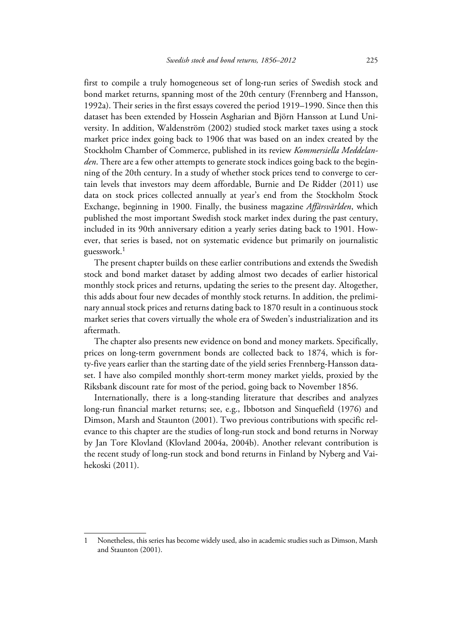first to compile a truly homogeneous set of long-run series of Swedish stock and bond market returns, spanning most of the 20th century (Frennberg and Hansson, 1992a). Their series in the first essays covered the period 1919–1990. Since then this dataset has been extended by Hossein Asgharian and Björn Hansson at Lund University. In addition, Waldenström (2002) studied stock market taxes using a stock market price index going back to 1906 that was based on an index created by the Stockholm Chamber of Commerce, published in its review *Kommersiella Meddelanden*. There are a few other attempts to generate stock indices going back to the beginning of the 20th century. In a study of whether stock prices tend to converge to certain levels that investors may deem affordable, Burnie and De Ridder (2011) use data on stock prices collected annually at year's end from the Stockholm Stock Exchange, beginning in 1900. Finally, the business magazine *Affärsvärlden*, which published the most important Swedish stock market index during the past century, included in its 90th anniversary edition a yearly series dating back to 1901. However, that series is based, not on systematic evidence but primarily on journalistic guesswork.<sup>1</sup>

The present chapter builds on these earlier contributions and extends the Swedish stock and bond market dataset by adding almost two decades of earlier historical monthly stock prices and returns, updating the series to the present day. Altogether, this adds about four new decades of monthly stock returns. In addition, the preliminary annual stock prices and returns dating back to 1870 result in a continuous stock market series that covers virtually the whole era of Sweden's industrialization and its aftermath.

The chapter also presents new evidence on bond and money markets. Specifically, prices on long-term government bonds are collected back to 1874, which is forty-five years earlier than the starting date of the yield series Frennberg-Hansson dataset. I have also compiled monthly short-term money market yields, proxied by the Riksbank discount rate for most of the period, going back to November 1856.

Internationally, there is a long-standing literature that describes and analyzes long-run financial market returns; see, e.g., Ibbotson and Sinquefield (1976) and Dimson, Marsh and Staunton (2001). Two previous contributions with specific relevance to this chapter are the studies of long-run stock and bond returns in Norway by Jan Tore Klovland (Klovland 2004a, 2004b). Another relevant contribution is the recent study of long-run stock and bond returns in Finland by Nyberg and Vaihekoski (2011).

<sup>1</sup> Nonetheless, this series has become widely used, also in academic studies such as Dimson, Marsh and Staunton (2001).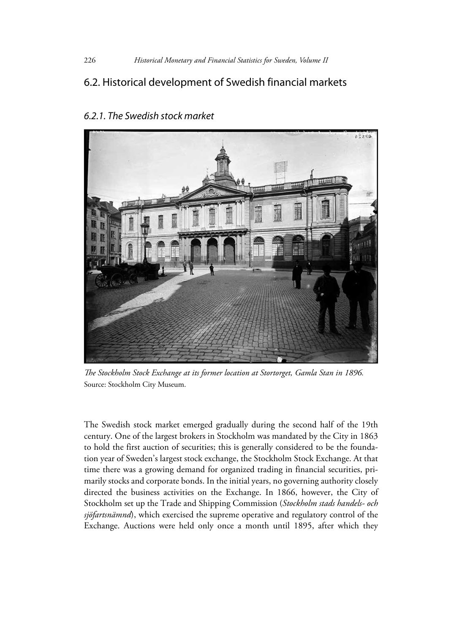## 6.2. Historical development of Swedish financial markets



## *6.2.1. The Swedish stock market*

*The Stockholm Stock Exchange at its former location at Stortorget, Gamla Stan in 1896.* Source: Stockholm City Museum.

The Swedish stock market emerged gradually during the second half of the 19th century. One of the largest brokers in Stockholm was mandated by the City in 1863 to hold the first auction of securities; this is generally considered to be the foundation year of Sweden's largest stock exchange, the Stockholm Stock Exchange. At that time there was a growing demand for organized trading in financial securities, primarily stocks and corporate bonds. In the initial years, no governing authority closely directed the business activities on the Exchange. In 1866, however, the City of Stockholm set up the Trade and Shipping Commission (*Stockholm stads handels- och sjöfartsnämnd*), which exercised the supreme operative and regulatory control of the Exchange. Auctions were held only once a month until 1895, after which they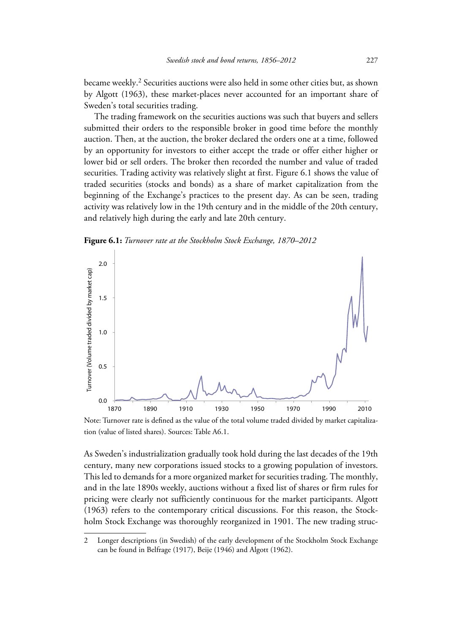became weekly.2 Securities auctions were also held in some other cities but, as shown by Algott (1963), these market-places never accounted for an important share of Sweden's total securities trading.

The trading framework on the securities auctions was such that buyers and sellers submitted their orders to the responsible broker in good time before the monthly auction. Then, at the auction, the broker declared the orders one at a time, followed by an opportunity for investors to either accept the trade or offer either higher or lower bid or sell orders. The broker then recorded the number and value of traded securities. Trading activity was relatively slight at first. Figure 6.1 shows the value of traded securities (stocks and bonds) as a share of market capitalization from the beginning of the Exchange's practices to the present day. As can be seen, trading activity was relatively low in the 19th century and in the middle of the 20th century, and relatively high during the early and late 20th century.

**Figure 6.1:** *Turnover rate at the Stockholm Stock Exchange, 1870–2012*



Note: Turnover rate is defined as the value of the total volume traded divided by market capitalization (value of listed shares). Sources: Table A6.1.

As Sweden's industrialization gradually took hold during the last decades of the 19th century, many new corporations issued stocks to a growing population of investors. This led to demands for a more organized market for securities trading. The monthly, and in the late 1890s weekly, auctions without a fixed list of shares or firm rules for pricing were clearly not sufficiently continuous for the market participants. Algott (1963) refers to the contemporary critical discussions. For this reason, the Stockholm Stock Exchange was thoroughly reorganized in 1901. The new trading struc-

<sup>2</sup> Longer descriptions (in Swedish) of the early development of the Stockholm Stock Exchange can be found in Belfrage (1917), Beije (1946) and Algott (1962).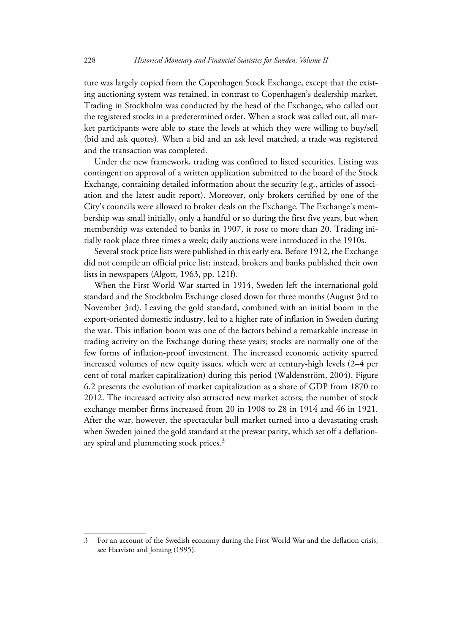ture was largely copied from the Copenhagen Stock Exchange, except that the existing auctioning system was retained, in contrast to Copenhagen's dealership market. Trading in Stockholm was conducted by the head of the Exchange, who called out the registered stocks in a predetermined order. When a stock was called out, all market participants were able to state the levels at which they were willing to buy/sell (bid and ask quotes). When a bid and an ask level matched, a trade was registered and the transaction was completed.

Under the new framework, trading was confined to listed securities. Listing was contingent on approval of a written application submitted to the board of the Stock Exchange, containing detailed information about the security (e.g., articles of association and the latest audit report). Moreover, only brokers certified by one of the City's councils were allowed to broker deals on the Exchange. The Exchange's membership was small initially, only a handful or so during the first five years, but when membership was extended to banks in 1907, it rose to more than 20. Trading initially took place three times a week; daily auctions were introduced in the 1910s.

Several stock price lists were published in this early era. Before 1912, the Exchange did not compile an official price list; instead, brokers and banks published their own lists in newspapers (Algott, 1963, pp. 121f).

When the First World War started in 1914, Sweden left the international gold standard and the Stockholm Exchange closed down for three months (August 3rd to November 3rd). Leaving the gold standard, combined with an initial boom in the export-oriented domestic industry, led to a higher rate of inflation in Sweden during the war. This inflation boom was one of the factors behind a remarkable increase in trading activity on the Exchange during these years; stocks are normally one of the few forms of inflation-proof investment. The increased economic activity spurred increased volumes of new equity issues, which were at century-high levels (2–4 per cent of total market capitalization) during this period (Waldenström, 2004). Figure 6.2 presents the evolution of market capitalization as a share of GDP from 1870 to 2012. The increased activity also attracted new market actors; the number of stock exchange member firms increased from 20 in 1908 to 28 in 1914 and 46 in 1921. After the war, however, the spectacular bull market turned into a devastating crash when Sweden joined the gold standard at the prewar parity, which set off a deflationary spiral and plummeting stock prices.3

<sup>3</sup> For an account of the Swedish economy during the First World War and the deflation crisis, see Haavisto and Jonung (1995).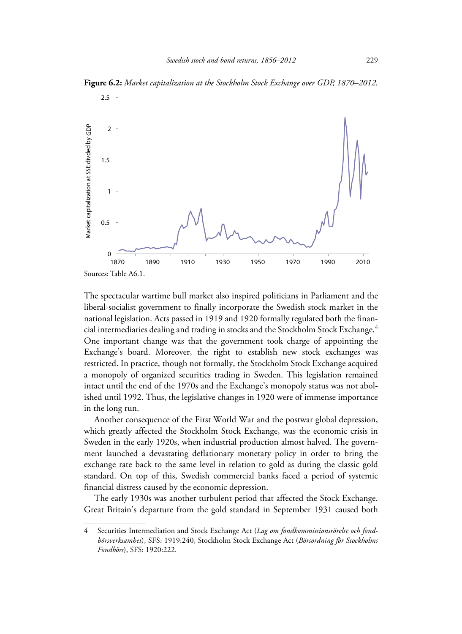

**Figure 6.2:** *Market capitalization at the Stockholm Stock Exchange over GDP, 1870–2012.*

The spectacular wartime bull market also inspired politicians in Parliament and the liberal-socialist government to finally incorporate the Swedish stock market in the national legislation. Acts passed in 1919 and 1920 formally regulated both the financial intermediaries dealing and trading in stocks and the Stockholm Stock Exchange.4 One important change was that the government took charge of appointing the Exchange's board. Moreover, the right to establish new stock exchanges was restricted. In practice, though not formally, the Stockholm Stock Exchange acquired a monopoly of organized securities trading in Sweden. This legislation remained intact until the end of the 1970s and the Exchange's monopoly status was not abolished until 1992. Thus, the legislative changes in 1920 were of immense importance in the long run.

Another consequence of the First World War and the postwar global depression, which greatly affected the Stockholm Stock Exchange, was the economic crisis in Sweden in the early 1920s, when industrial production almost halved. The government launched a devastating deflationary monetary policy in order to bring the exchange rate back to the same level in relation to gold as during the classic gold standard. On top of this, Swedish commercial banks faced a period of systemic financial distress caused by the economic depression.

The early 1930s was another turbulent period that affected the Stock Exchange. Great Britain's departure from the gold standard in September 1931 caused both

<sup>4</sup> Securities Intermediation and Stock Exchange Act (*Lag om fondkommissionsrörelse och fondbörsverksamhet*), SFS: 1919:240, Stockholm Stock Exchange Act (*Börsordning för Stockholms Fondbörs*), SFS: 1920:222.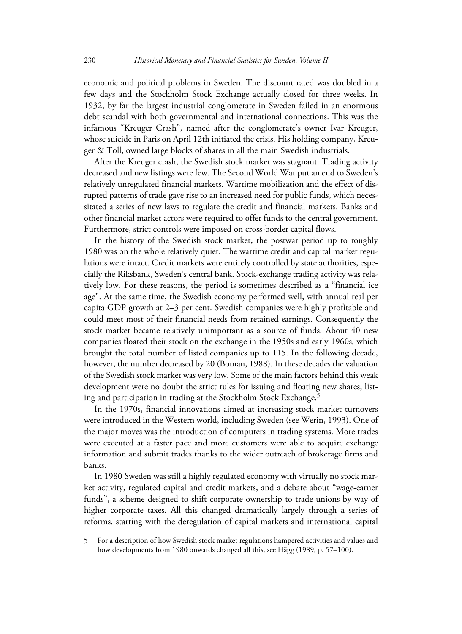economic and political problems in Sweden. The discount rated was doubled in a few days and the Stockholm Stock Exchange actually closed for three weeks. In 1932, by far the largest industrial conglomerate in Sweden failed in an enormous debt scandal with both governmental and international connections. This was the infamous "Kreuger Crash", named after the conglomerate's owner Ivar Kreuger, whose suicide in Paris on April 12th initiated the crisis. His holding company, Kreuger & Toll, owned large blocks of shares in all the main Swedish industrials.

After the Kreuger crash, the Swedish stock market was stagnant. Trading activity decreased and new listings were few. The Second World War put an end to Sweden's relatively unregulated financial markets. Wartime mobilization and the effect of disrupted patterns of trade gave rise to an increased need for public funds, which necessitated a series of new laws to regulate the credit and financial markets. Banks and other financial market actors were required to offer funds to the central government. Furthermore, strict controls were imposed on cross-border capital flows.

In the history of the Swedish stock market, the postwar period up to roughly 1980 was on the whole relatively quiet. The wartime credit and capital market regulations were intact. Credit markets were entirely controlled by state authorities, especially the Riksbank, Sweden's central bank. Stock-exchange trading activity was relatively low. For these reasons, the period is sometimes described as a "financial ice age". At the same time, the Swedish economy performed well, with annual real per capita GDP growth at 2–3 per cent. Swedish companies were highly profitable and could meet most of their financial needs from retained earnings. Consequently the stock market became relatively unimportant as a source of funds. About 40 new companies floated their stock on the exchange in the 1950s and early 1960s, which brought the total number of listed companies up to 115. In the following decade, however, the number decreased by 20 (Boman, 1988). In these decades the valuation of the Swedish stock market was very low. Some of the main factors behind this weak development were no doubt the strict rules for issuing and floating new shares, listing and participation in trading at the Stockholm Stock Exchange.<sup>5</sup>

In the 1970s, financial innovations aimed at increasing stock market turnovers were introduced in the Western world, including Sweden (see Werin, 1993). One of the major moves was the introduction of computers in trading systems. More trades were executed at a faster pace and more customers were able to acquire exchange information and submit trades thanks to the wider outreach of brokerage firms and banks.

In 1980 Sweden was still a highly regulated economy with virtually no stock market activity, regulated capital and credit markets, and a debate about "wage-earner funds", a scheme designed to shift corporate ownership to trade unions by way of higher corporate taxes. All this changed dramatically largely through a series of reforms, starting with the deregulation of capital markets and international capital

<sup>5</sup> For a description of how Swedish stock market regulations hampered activities and values and how developments from 1980 onwards changed all this, see Hägg (1989, p. 57–100).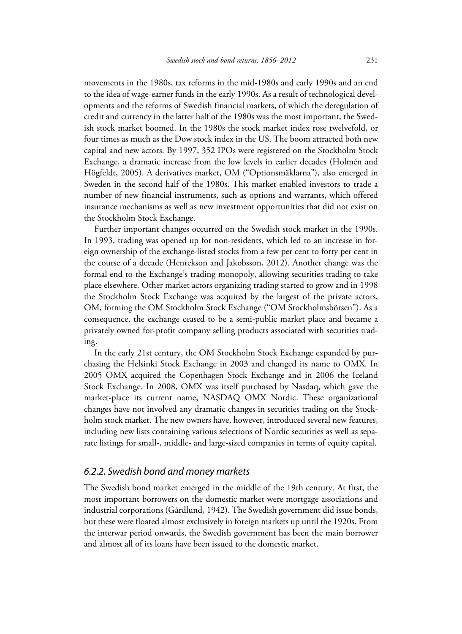movements in the 1980s, tax reforms in the mid-1980s and early 1990s and an end to the idea of wage-earner funds in the early 1990s. As a result of technological developments and the reforms of Swedish financial markets, of which the deregulation of credit and currency in the latter half of the 1980s was the most important, the Swedish stock market boomed. In the 1980s the stock market index rose twelvefold, or four times as much as the Dow stock index in the US. The boom attracted both new capital and new actors. By 1997, 352 IPOs were registered on the Stockholm Stock Exchange, a dramatic increase from the low levels in earlier decades (Holmén and Högfeldt, 2005). A derivatives market, OM ("Optionsmäklarna"), also emerged in Sweden in the second half of the 1980s. This market enabled investors to trade a number of new financial instruments, such as options and warrants, which offered insurance mechanisms as well as new investment opportunities that did not exist on the Stockholm Stock Exchange.

Further important changes occurred on the Swedish stock market in the 1990s. In 1993, trading was opened up for non-residents, which led to an increase in foreign ownership of the exchange-listed stocks from a few per cent to forty per cent in the course of a decade (Henrekson and Jakobsson, 2012). Another change was the formal end to the Exchange's trading monopoly, allowing securities trading to take place elsewhere. Other market actors organizing trading started to grow and in 1998 the Stockholm Stock Exchange was acquired by the largest of the private actors, OM, forming the OM Stockholm Stock Exchange ("OM Stockholmsbörsen"). As a consequence, the exchange ceased to be a semi-public market place and became a privately owned for-profit company selling products associated with securities trading.

In the early 21st century, the OM Stockholm Stock Exchange expanded by purchasing the Helsinki Stock Exchange in 2003 and changed its name to OMX. In 2005 OMX acquired the Copenhagen Stock Exchange and in 2006 the Iceland Stock Exchange. In 2008, OMX was itself purchased by Nasdaq, which gave the market-place its current name, NASDAQ OMX Nordic. These organizational changes have not involved any dramatic changes in securities trading on the Stockholm stock market. The new owners have, however, introduced several new features, including new lists containing various selections of Nordic securities as well as separate listings for small-, middle- and large-sized companies in terms of equity capital.

#### *6.2.2. Swedish bond and money markets*

The Swedish bond market emerged in the middle of the 19th century. At first, the most important borrowers on the domestic market were mortgage associations and industrial corporations (Gårdlund, 1942). The Swedish government did issue bonds, but these were floated almost exclusively in foreign markets up until the 1920s. From the interwar period onwards, the Swedish government has been the main borrower and almost all of its loans have been issued to the domestic market.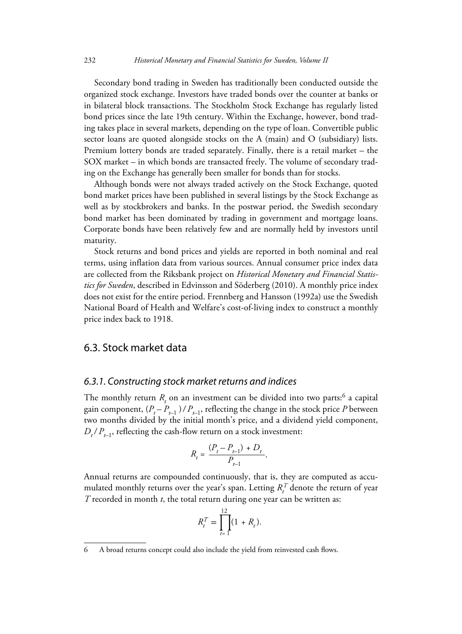Secondary bond trading in Sweden has traditionally been conducted outside the organized stock exchange. Investors have traded bonds over the counter at banks or in bilateral block transactions. The Stockholm Stock Exchange has regularly listed bond prices since the late 19th century. Within the Exchange, however, bond trading takes place in several markets, depending on the type of loan. Convertible public sector loans are quoted alongside stocks on the A (main) and O (subsidiary) lists. Premium lottery bonds are traded separately. Finally, there is a retail market – the SOX market – in which bonds are transacted freely. The volume of secondary trading on the Exchange has generally been smaller for bonds than for stocks.

Although bonds were not always traded actively on the Stock Exchange, quoted bond market prices have been published in several listings by the Stock Exchange as well as by stockbrokers and banks. In the postwar period, the Swedish secondary bond market has been dominated by trading in government and mortgage loans. Corporate bonds have been relatively few and are normally held by investors until maturity.

Stock returns and bond prices and yields are reported in both nominal and real terms, using inflation data from various sources. Annual consumer price index data are collected from the Riksbank project on *Historical Monetary and Financial Statistics for Sweden*, described in Edvinsson and Söderberg (2010). A monthly price index does not exist for the entire period. Frennberg and Hansson (1992a) use the Swedish National Board of Health and Welfare's cost-of-living index to construct a monthly price index back to 1918.

## 6.3. Stock market data

#### *6.3.1. Constructing stock market returns and indices*

The monthly return  $R_{t}$  on an investment can be divided into two parts:<sup>6</sup> a capital gain component,  $(P_t - P_{t-1}) / P_{t-1}$ , reflecting the change in the stock price *P* between two months divided by the initial month's price, and a dividend yield component,  $D_t$ / $P_{t-1}$ , reflecting the cash-flow return on a stock investment:

$$
R_{t} = \frac{(P_{t} - P_{t-1}) + D_{t}}{P_{t-1}}.
$$

Annual returns are compounded continuously, that is, they are computed as accumulated monthly returns over the year's span. Letting  $R_t^T$  denote the return of year *T* recorded in month *t*, the total return during one year can be written as:

$$
R_t^T = \prod_{t=1}^{12} (1 + R_t).
$$

<sup>6</sup> A broad returns concept could also include the yield from reinvested cash flows.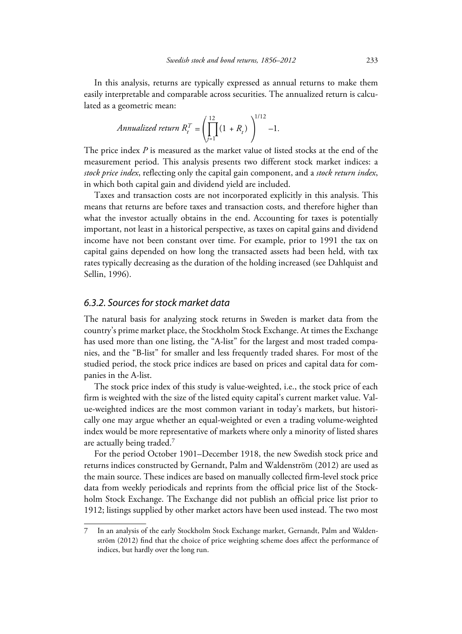In this analysis, returns are typically expressed as annual returns to make them easily interpretable and comparable across securities. The annualized return is calculated as a geometric mean:

$$
Annualized return R_t^T = \left(\prod_{j=1}^{12} (1 + R_t)\right)^{1/12} - 1.
$$

The price index *P* is measured as the market value of listed stocks at the end of the measurement period. This analysis presents two different stock market indices: a *stock price index*, reflecting only the capital gain component, and a *stock return index*, in which both capital gain and dividend yield are included.

Taxes and transaction costs are not incorporated explicitly in this analysis. This means that returns are before taxes and transaction costs, and therefore higher than what the investor actually obtains in the end. Accounting for taxes is potentially important, not least in a historical perspective, as taxes on capital gains and dividend income have not been constant over time. For example, prior to 1991 the tax on capital gains depended on how long the transacted assets had been held, with tax rates typically decreasing as the duration of the holding increased (see Dahlquist and Sellin, 1996).

#### *6.3.2. Sources for stock market data*

The natural basis for analyzing stock returns in Sweden is market data from the country's prime market place, the Stockholm Stock Exchange. At times the Exchange has used more than one listing, the "A-list" for the largest and most traded companies, and the "B-list" for smaller and less frequently traded shares. For most of the studied period, the stock price indices are based on prices and capital data for companies in the A-list.

The stock price index of this study is value-weighted, i.e., the stock price of each firm is weighted with the size of the listed equity capital's current market value. Value-weighted indices are the most common variant in today's markets, but historically one may argue whether an equal-weighted or even a trading volume-weighted index would be more representative of markets where only a minority of listed shares are actually being traded.7

For the period October 1901–December 1918, the new Swedish stock price and returns indices constructed by Gernandt, Palm and Waldenström (2012) are used as the main source. These indices are based on manually collected firm-level stock price data from weekly periodicals and reprints from the official price list of the Stockholm Stock Exchange. The Exchange did not publish an official price list prior to 1912; listings supplied by other market actors have been used instead. The two most

<sup>7</sup> In an analysis of the early Stockholm Stock Exchange market, Gernandt, Palm and Waldenström (2012) find that the choice of price weighting scheme does affect the performance of indices, but hardly over the long run.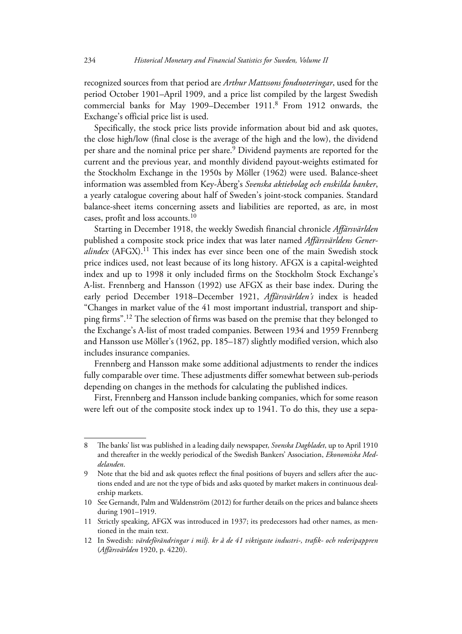recognized sources from that period are *Arthur Mattssons fondnoteringar*, used for the period October 1901–April 1909, and a price list compiled by the largest Swedish commercial banks for May 1909–December 1911.8 From 1912 onwards, the Exchange's official price list is used.

Specifically, the stock price lists provide information about bid and ask quotes, the close high/low (final close is the average of the high and the low), the dividend per share and the nominal price per share.9 Dividend payments are reported for the current and the previous year, and monthly dividend payout-weights estimated for the Stockholm Exchange in the 1950s by Möller (1962) were used. Balance-sheet information was assembled from Key-Åberg's *Svenska aktiebolag och enskilda banker*, a yearly catalogue covering about half of Sweden's joint-stock companies. Standard balance-sheet items concerning assets and liabilities are reported, as are, in most cases, profit and loss accounts.10

Starting in December 1918, the weekly Swedish financial chronicle *Affärsvärlden* published a composite stock price index that was later named *Affärsvärldens Generalindex* (AFGX).11 This index has ever since been one of the main Swedish stock price indices used, not least because of its long history. AFGX is a capital-weighted index and up to 1998 it only included firms on the Stockholm Stock Exchange's A-list. Frennberg and Hansson (1992) use AFGX as their base index. During the early period December 1918–December 1921, *Affärsvärlden's* index is headed "Changes in market value of the 41 most important industrial, transport and shipping firms".12 The selection of firms was based on the premise that they belonged to the Exchange's A-list of most traded companies. Between 1934 and 1959 Frennberg and Hansson use Möller's (1962, pp. 185–187) slightly modified version, which also includes insurance companies.

Frennberg and Hansson make some additional adjustments to render the indices fully comparable over time. These adjustments differ somewhat between sub-periods depending on changes in the methods for calculating the published indices.

First, Frennberg and Hansson include banking companies, which for some reason were left out of the composite stock index up to 1941. To do this, they use a sepa-

<sup>8</sup> The banks' list was published in a leading daily newspaper, *Svenska Dagbladet*, up to April 1910 and thereafter in the weekly periodical of the Swedish Bankers' Association, *Ekonomiska Meddelanden*.

<sup>9</sup> Note that the bid and ask quotes reflect the final positions of buyers and sellers after the auctions ended and are not the type of bids and asks quoted by market makers in continuous dealership markets.

<sup>10</sup> See Gernandt, Palm and Waldenström (2012) for further details on the prices and balance sheets during 1901–1919.

<sup>11</sup> Strictly speaking, AFGX was introduced in 1937; its predecessors had other names, as mentioned in the main text.

<sup>12</sup> In Swedish: *värdeförändringar i milj. kr å de 41 viktigaste industri-, trafik- och rederipappren* (*Affärsvärlden* 1920, p. 4220).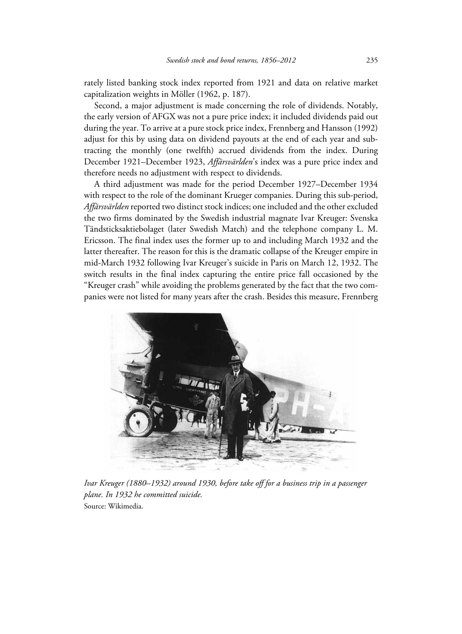rately listed banking stock index reported from 1921 and data on relative market capitalization weights in Möller (1962, p. 187).

Second, a major adjustment is made concerning the role of dividends. Notably, the early version of AFGX was not a pure price index; it included dividends paid out during the year. To arrive at a pure stock price index, Frennberg and Hansson (1992) adjust for this by using data on dividend payouts at the end of each year and subtracting the monthly (one twelfth) accrued dividends from the index. During December 1921–December 1923, *Affärsvärlden*'s index was a pure price index and therefore needs no adjustment with respect to dividends.

A third adjustment was made for the period December 1927–December 1934 with respect to the role of the dominant Krueger companies. During this sub-period, *Affärsvärlden* reported two distinct stock indices; one included and the other excluded the two firms dominated by the Swedish industrial magnate Ivar Kreuger: Svenska Tändsticksaktiebolaget (later Swedish Match) and the telephone company L. M. Ericsson. The final index uses the former up to and including March 1932 and the latter thereafter. The reason for this is the dramatic collapse of the Kreuger empire in mid-March 1932 following Ivar Kreuger's suicide in Paris on March 12, 1932. The switch results in the final index capturing the entire price fall occasioned by the "Kreuger crash" while avoiding the problems generated by the fact that the two companies were not listed for many years after the crash. Besides this measure, Frennberg



*Ivar Kreuger (1880–1932) around 1930, before take off for a business trip in a passenger plane. In 1932 he committed suicide.* Source: Wikimedia.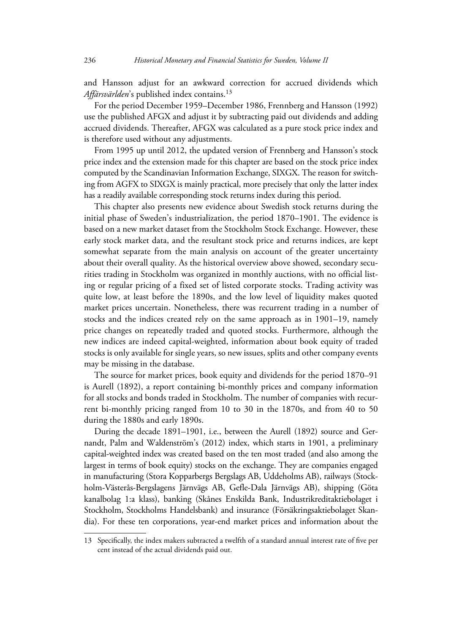and Hansson adjust for an awkward correction for accrued dividends which Affärsvärlden's published index contains.<sup>13</sup>

For the period December 1959–December 1986, Frennberg and Hansson (1992) use the published AFGX and adjust it by subtracting paid out dividends and adding accrued dividends. Thereafter, AFGX was calculated as a pure stock price index and is therefore used without any adjustments.

From 1995 up until 2012, the updated version of Frennberg and Hansson's stock price index and the extension made for this chapter are based on the stock price index computed by the Scandinavian Information Exchange, SIXGX. The reason for switching from AGFX to SIXGX is mainly practical, more precisely that only the latter index has a readily available corresponding stock returns index during this period.

This chapter also presents new evidence about Swedish stock returns during the initial phase of Sweden's industrialization, the period 1870–1901. The evidence is based on a new market dataset from the Stockholm Stock Exchange. However, these early stock market data, and the resultant stock price and returns indices, are kept somewhat separate from the main analysis on account of the greater uncertainty about their overall quality. As the historical overview above showed, secondary securities trading in Stockholm was organized in monthly auctions, with no official listing or regular pricing of a fixed set of listed corporate stocks. Trading activity was quite low, at least before the 1890s, and the low level of liquidity makes quoted market prices uncertain. Nonetheless, there was recurrent trading in a number of stocks and the indices created rely on the same approach as in 1901–19, namely price changes on repeatedly traded and quoted stocks. Furthermore, although the new indices are indeed capital-weighted, information about book equity of traded stocks is only available for single years, so new issues, splits and other company events may be missing in the database.

The source for market prices, book equity and dividends for the period 1870–91 is Aurell (1892), a report containing bi-monthly prices and company information for all stocks and bonds traded in Stockholm. The number of companies with recurrent bi-monthly pricing ranged from 10 to 30 in the 1870s, and from 40 to 50 during the 1880s and early 1890s.

During the decade 1891–1901, i.e., between the Aurell (1892) source and Gernandt, Palm and Waldenström's (2012) index, which starts in 1901, a preliminary capital-weighted index was created based on the ten most traded (and also among the largest in terms of book equity) stocks on the exchange. They are companies engaged in manufacturing (Stora Kopparbergs Bergslags AB, Uddeholms AB), railways (Stockholm-Västerås-Bergslagens Järnvägs AB, Gefle-Dala Järnvägs AB), shipping (Göta kanalbolag 1:a klass), banking (Skånes Enskilda Bank, Industrikreditaktiebolaget i Stockholm, Stockholms Handelsbank) and insurance (Försäkringsaktiebolaget Skandia). For these ten corporations, year-end market prices and information about the

<sup>13</sup> Specifically, the index makers subtracted a twelfth of a standard annual interest rate of five per cent instead of the actual dividends paid out.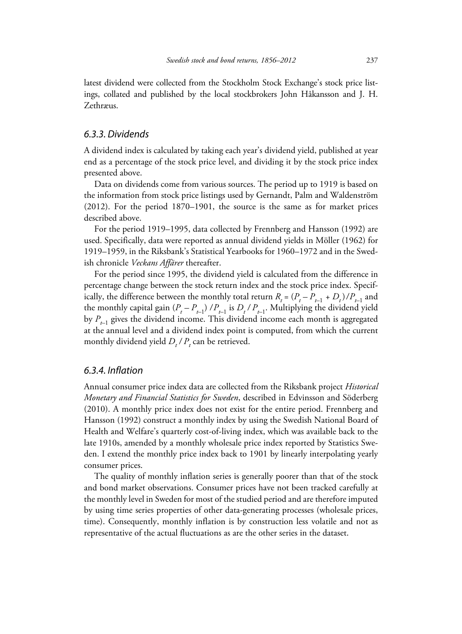latest dividend were collected from the Stockholm Stock Exchange's stock price listings, collated and published by the local stockbrokers John Håkansson and J. H. Zethræus.

#### *6.3.3. Dividends*

A dividend index is calculated by taking each year's dividend yield, published at year end as a percentage of the stock price level, and dividing it by the stock price index presented above.

Data on dividends come from various sources. The period up to 1919 is based on the information from stock price listings used by Gernandt, Palm and Waldenström (2012). For the period 1870–1901, the source is the same as for market prices described above.

For the period 1919–1995, data collected by Frennberg and Hansson (1992) are used. Specifically, data were reported as annual dividend yields in Möller (1962) for 1919–1959, in the Riksbank's Statistical Yearbooks for 1960–1972 and in the Swedish chronicle *Veckans Affärer* thereafter.

For the period since 1995, the dividend yield is calculated from the difference in percentage change between the stock return index and the stock price index. Specifically, the difference between the monthly total return  $R_t = (P_t - P_{t-1} + D_t)/P_{t-1}$  and the monthly capital gain  $(P_t - P_{t-1}) / P_{t-1}$  is  $D_t / P_{t-1}$ . Multiplying the dividend yield by  $P_{t-1}$  gives the dividend income. This dividend income each month is aggregated at the annual level and a dividend index point is computed, from which the current monthly dividend yield  $D_t / P_t$  can be retrieved.

#### *6.3.4. Inflation*

Annual consumer price index data are collected from the Riksbank project *Historical Monetary and Financial Statistics for Sweden*, described in Edvinsson and Söderberg (2010). A monthly price index does not exist for the entire period. Frennberg and Hansson (1992) construct a monthly index by using the Swedish National Board of Health and Welfare's quarterly cost-of-living index, which was available back to the late 1910s, amended by a monthly wholesale price index reported by Statistics Sweden. I extend the monthly price index back to 1901 by linearly interpolating yearly consumer prices.

The quality of monthly inflation series is generally poorer than that of the stock and bond market observations. Consumer prices have not been tracked carefully at the monthly level in Sweden for most of the studied period and are therefore imputed by using time series properties of other data-generating processes (wholesale prices, time). Consequently, monthly inflation is by construction less volatile and not as representative of the actual fluctuations as are the other series in the dataset.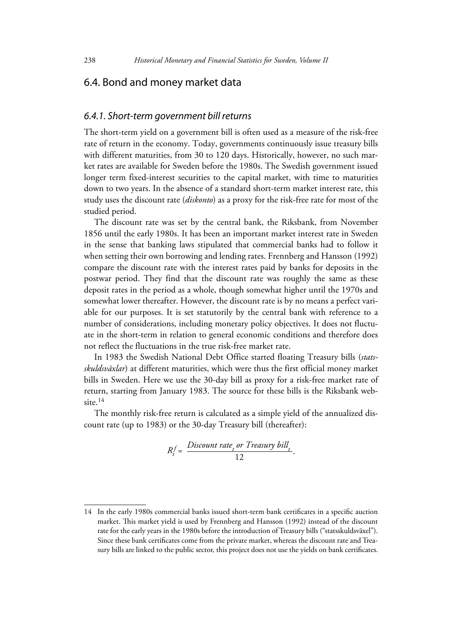## 6.4. Bond and money market data

#### *6.4.1. Short-term government bill returns*

The short-term yield on a government bill is often used as a measure of the risk-free rate of return in the economy. Today, governments continuously issue treasury bills with different maturities, from 30 to 120 days. Historically, however, no such market rates are available for Sweden before the 1980s. The Swedish government issued longer term fixed-interest securities to the capital market, with time to maturities down to two years. In the absence of a standard short-term market interest rate, this study uses the discount rate (*diskonto*) as a proxy for the risk-free rate for most of the studied period.

The discount rate was set by the central bank, the Riksbank, from November 1856 until the early 1980s. It has been an important market interest rate in Sweden in the sense that banking laws stipulated that commercial banks had to follow it when setting their own borrowing and lending rates. Frennberg and Hansson (1992) compare the discount rate with the interest rates paid by banks for deposits in the postwar period. They find that the discount rate was roughly the same as these deposit rates in the period as a whole, though somewhat higher until the 1970s and somewhat lower thereafter. However, the discount rate is by no means a perfect variable for our purposes. It is set statutorily by the central bank with reference to a number of considerations, including monetary policy objectives. It does not fluctuate in the short-term in relation to general economic conditions and therefore does not reflect the fluctuations in the true risk-free market rate.

In 1983 the Swedish National Debt Office started floating Treasury bills (*statsskuldsväxlar*) at different maturities, which were thus the first official money market bills in Sweden. Here we use the 30-day bill as proxy for a risk-free market rate of return, starting from January 1983. The source for these bills is the Riksbank website.<sup>14</sup>

The monthly risk-free return is calculated as a simple yield of the annualized discount rate (up to 1983) or the 30-day Treasury bill (thereafter):

$$
R_t^f = \frac{Discount\ rate_t \ or\ Treasury\ bill_t}{12}.
$$

<sup>14</sup> In the early 1980s commercial banks issued short-term bank certificates in a specific auction market. This market yield is used by Frennberg and Hansson (1992) instead of the discount rate for the early years in the 1980s before the introduction of Treasury bills ("statsskuldsväxel"). Since these bank certificates come from the private market, whereas the discount rate and Treasury bills are linked to the public sector, this project does not use the yields on bank certificates.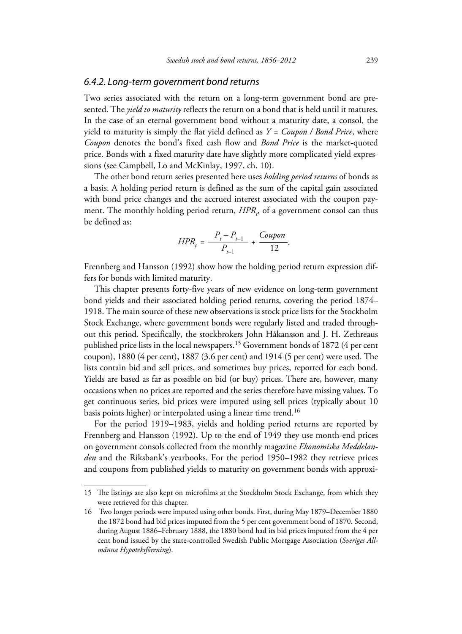#### *6.4.2. Long-term government bond returns*

Two series associated with the return on a long-term government bond are presented. The *yield to maturity* reflects the return on a bond that is held until it matures. In the case of an eternal government bond without a maturity date, a consol, the yield to maturity is simply the flat yield defined as *Y = Coupon / Bond Price*, where *Coupon* denotes the bond's fixed cash flow and *Bond Price* is the market-quoted price. Bonds with a fixed maturity date have slightly more complicated yield expressions (see Campbell, Lo and McKinlay, 1997, ch. 10).

The other bond return series presented here uses *holding period returns* of bonds as a basis. A holding period return is defined as the sum of the capital gain associated with bond price changes and the accrued interest associated with the coupon payment. The monthly holding period return,  $HPR$ <sub>,</sub>, of a government consol can thus be defined as:

$$
HPR_t = \frac{P_t - P_{t-1}}{P_{t-1}} + \frac{Coupon}{12}.
$$

Frennberg and Hansson (1992) show how the holding period return expression differs for bonds with limited maturity.

This chapter presents forty-five years of new evidence on long-term government bond yields and their associated holding period returns, covering the period 1874– 1918. The main source of these new observations is stock price lists for the Stockholm Stock Exchange, where government bonds were regularly listed and traded throughout this period. Specifically, the stockbrokers John Håkansson and J. H. Zethreaus published price lists in the local newspapers.15 Government bonds of 1872 (4 per cent coupon), 1880 (4 per cent), 1887 (3.6 per cent) and 1914 (5 per cent) were used. The lists contain bid and sell prices, and sometimes buy prices, reported for each bond. Yields are based as far as possible on bid (or buy) prices. There are, however, many occasions when no prices are reported and the series therefore have missing values. To get continuous series, bid prices were imputed using sell prices (typically about 10 basis points higher) or interpolated using a linear time trend.<sup>16</sup>

For the period 1919–1983, yields and holding period returns are reported by Frennberg and Hansson (1992). Up to the end of 1949 they use month-end prices on government consols collected from the monthly magazine *Ekonomiska Meddelanden* and the Riksbank's yearbooks. For the period 1950–1982 they retrieve prices and coupons from published yields to maturity on government bonds with approxi-

<sup>15</sup> The listings are also kept on microfilms at the Stockholm Stock Exchange, from which they were retrieved for this chapter.

<sup>16</sup> Two longer periods were imputed using other bonds. First, during May 1879–December 1880 the 1872 bond had bid prices imputed from the 5 per cent government bond of 1870. Second, during August 1886–February 1888, the 1880 bond had its bid prices imputed from the 4 per cent bond issued by the state-controlled Swedish Public Mortgage Association (*Sveriges Allmänna Hypoteksförening*).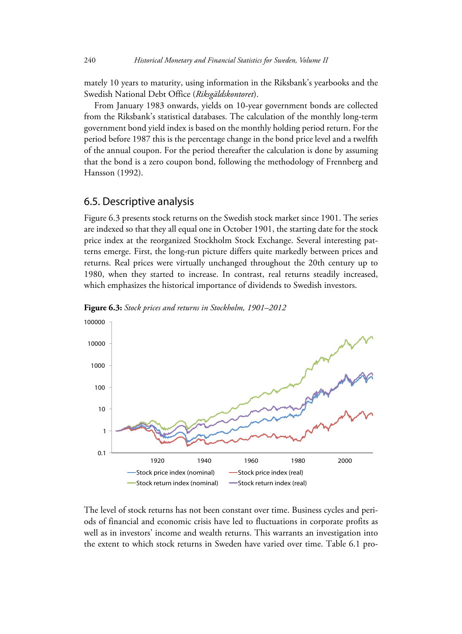mately 10 years to maturity, using information in the Riksbank's yearbooks and the Swedish National Debt Office (*Riksgäldskontoret*).

From January 1983 onwards, yields on 10-year government bonds are collected from the Riksbank's statistical databases. The calculation of the monthly long-term government bond yield index is based on the monthly holding period return. For the period before 1987 this is the percentage change in the bond price level and a twelfth of the annual coupon. For the period thereafter the calculation is done by assuming that the bond is a zero coupon bond, following the methodology of Frennberg and Hansson (1992).

#### 6.5. Descriptive analysis

Figure 6.3 presents stock returns on the Swedish stock market since 1901. The series are indexed so that they all equal one in October 1901, the starting date for the stock price index at the reorganized Stockholm Stock Exchange. Several interesting patterns emerge. First, the long-run picture differs quite markedly between prices and returns. Real prices were virtually unchanged throughout the 20th century up to 1980, when they started to increase. In contrast, real returns steadily increased, which emphasizes the historical importance of dividends to Swedish investors.



**Figure 6.3:** *Stock prices and returns in Stockholm, 1901–2012*

The level of stock returns has not been constant over time. Business cycles and periods of financial and economic crisis have led to fluctuations in corporate profits as well as in investors' income and wealth returns. This warrants an investigation into the extent to which stock returns in Sweden have varied over time. Table 6.1 pro-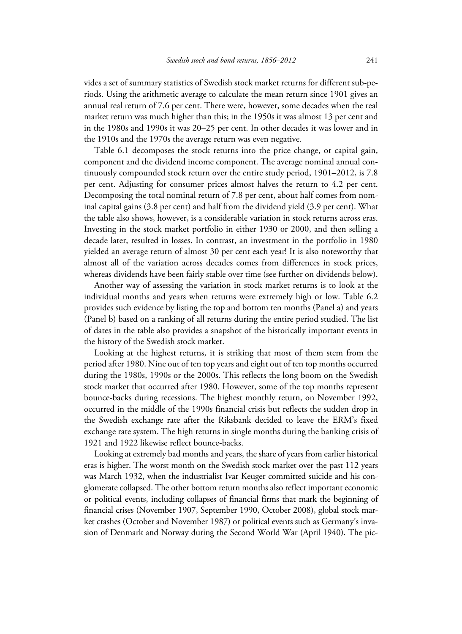vides a set of summary statistics of Swedish stock market returns for different sub-periods. Using the arithmetic average to calculate the mean return since 1901 gives an annual real return of 7.6 per cent. There were, however, some decades when the real market return was much higher than this; in the 1950s it was almost 13 per cent and in the 1980s and 1990s it was 20–25 per cent. In other decades it was lower and in the 1910s and the 1970s the average return was even negative.

Table 6.1 decomposes the stock returns into the price change, or capital gain, component and the dividend income component. The average nominal annual continuously compounded stock return over the entire study period, 1901–2012, is 7.8 per cent. Adjusting for consumer prices almost halves the return to 4.2 per cent. Decomposing the total nominal return of 7.8 per cent, about half comes from nominal capital gains (3.8 per cent) and half from the dividend yield (3.9 per cent). What the table also shows, however, is a considerable variation in stock returns across eras. Investing in the stock market portfolio in either 1930 or 2000, and then selling a decade later, resulted in losses. In contrast, an investment in the portfolio in 1980 yielded an average return of almost 30 per cent each year! It is also noteworthy that almost all of the variation across decades comes from differences in stock prices, whereas dividends have been fairly stable over time (see further on dividends below).

Another way of assessing the variation in stock market returns is to look at the individual months and years when returns were extremely high or low. Table 6.2 provides such evidence by listing the top and bottom ten months (Panel a) and years (Panel b) based on a ranking of all returns during the entire period studied. The list of dates in the table also provides a snapshot of the historically important events in the history of the Swedish stock market.

Looking at the highest returns, it is striking that most of them stem from the period after 1980. Nine out of ten top years and eight out of ten top months occurred during the 1980s, 1990s or the 2000s. This reflects the long boom on the Swedish stock market that occurred after 1980. However, some of the top months represent bounce-backs during recessions. The highest monthly return, on November 1992, occurred in the middle of the 1990s financial crisis but reflects the sudden drop in the Swedish exchange rate after the Riksbank decided to leave the ERM's fixed exchange rate system. The high returns in single months during the banking crisis of 1921 and 1922 likewise reflect bounce-backs.

Looking at extremely bad months and years, the share of years from earlier historical eras is higher. The worst month on the Swedish stock market over the past 112 years was March 1932, when the industrialist Ivar Keuger committed suicide and his conglomerate collapsed. The other bottom return months also reflect important economic or political events, including collapses of financial firms that mark the beginning of financial crises (November 1907, September 1990, October 2008), global stock market crashes (October and November 1987) or political events such as Germany's invasion of Denmark and Norway during the Second World War (April 1940). The pic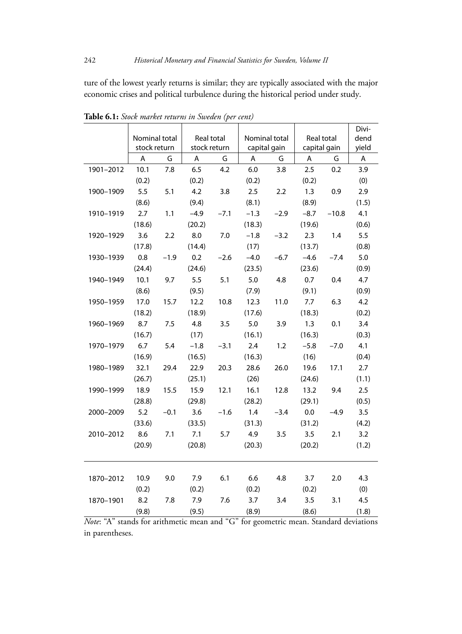ture of the lowest yearly returns is similar; they are typically associated with the major economic crises and political turbulence during the historical period under study.

|           |               |        |              |        |               |        |              |         | Divi- |
|-----------|---------------|--------|--------------|--------|---------------|--------|--------------|---------|-------|
|           | Nominal total |        | Real total   |        | Nominal total |        | Real total   |         | dend  |
|           | stock return  |        | stock return |        | capital gain  |        | capital gain |         | yield |
|           | Α             | G      | A            | G      | A             | G      | A            | G       | A     |
| 1901-2012 | 10.1          | 7.8    | 6.5          | 4.2    | 6.0           | 3.8    | 2.5          | 0.2     | 3.9   |
|           | (0.2)         |        | (0.2)        |        | (0.2)         |        | (0.2)        |         | (0)   |
| 1900-1909 | 5.5           | 5.1    | 4.2          | 3.8    | 2.5           | 2.2    | 1.3          | 0.9     | 2.9   |
|           | (8.6)         |        | (9.4)        |        | (8.1)         |        | (8.9)        |         | (1.5) |
| 1910-1919 | 2.7           | 1.1    | $-4.9$       | $-7.1$ | $-1.3$        | $-2.9$ | $-8.7$       | $-10.8$ | 4.1   |
|           | (18.6)        |        | (20.2)       |        | (18.3)        |        | (19.6)       |         | (0.6) |
| 1920-1929 | 3.6           | 2.2    | 8.0          | 7.0    | $-1.8$        | $-3.2$ | 2.3          | 1.4     | 5.5   |
|           | (17.8)        |        | (14.4)       |        | (17)          |        | (13.7)       |         | (0.8) |
| 1930-1939 | 0.8           | $-1.9$ | 0.2          | $-2.6$ | $-4.0$        | $-6.7$ | $-4.6$       | $-7.4$  | 5.0   |
|           | (24.4)        |        | (24.6)       |        | (23.5)        |        | (23.6)       |         | (0.9) |
| 1940-1949 | 10.1          | 9.7    | 5.5          | 5.1    | 5.0           | 4.8    | 0.7          | 0.4     | 4.7   |
|           | (8.6)         |        | (9.5)        |        | (7.9)         |        | (9.1)        |         | (0.9) |
| 1950-1959 | 17.0          | 15.7   | 12.2         | 10.8   | 12.3          | 11.0   | 7.7          | 6.3     | 4.2   |
|           | (18.2)        |        | (18.9)       |        | (17.6)        |        | (18.3)       |         | (0.2) |
| 1960-1969 | 8.7           | 7.5    | 4.8          | 3.5    | 5.0           | 3.9    | 1.3          | 0.1     | 3.4   |
|           | (16.7)        |        | (17)         |        | (16.1)        |        | (16.3)       |         | (0.3) |
| 1970-1979 | 6.7           | 5.4    | $-1.8$       | $-3.1$ | 2.4           | 1.2    | $-5.8$       | $-7.0$  | 4.1   |
|           | (16.9)        |        | (16.5)       |        | (16.3)        |        | (16)         |         | (0.4) |
| 1980-1989 | 32.1          | 29.4   | 22.9         | 20.3   | 28.6          | 26.0   | 19.6         | 17.1    | 2.7   |
|           | (26.7)        |        | (25.1)       |        | (26)          |        | (24.6)       |         | (1.1) |
| 1990-1999 | 18.9          | 15.5   | 15.9         | 12.1   | 16.1          | 12.8   | 13.2         | 9.4     | 2.5   |
|           | (28.8)        |        | (29.8)       |        | (28.2)        |        | (29.1)       |         | (0.5) |
| 2000-2009 | 5.2           | $-0.1$ | 3.6          | $-1.6$ | 1.4           | $-3.4$ | 0.0          | $-4.9$  | 3.5   |
|           | (33.6)        |        | (33.5)       |        | (31.3)        |        | (31.2)       |         | (4.2) |
| 2010-2012 | 8.6           | 7.1    | 7.1          | 5.7    | 4.9           | 3.5    | 3.5          | 2.1     | 3.2   |
|           | (20.9)        |        | (20.8)       |        | (20.3)        |        | (20.2)       |         | (1.2) |
|           |               |        |              |        |               |        |              |         |       |
|           |               |        |              |        |               |        |              |         |       |
| 1870-2012 | 10.9          | 9.0    | 7.9          | 6.1    | 6.6           | 4.8    | 3.7          | 2.0     | 4.3   |
|           | (0.2)         |        | (0.2)        |        | (0.2)         |        | (0.2)        |         | (0)   |
| 1870-1901 | 8.2           | 7.8    | 7.9          | 7.6    | 3.7           | 3.4    | 3.5          | 3.1     | 4.5   |
|           | (9.8)         |        | (9.5)        |        | (8.9)         |        | (8.6)        |         | (1.8) |

**Table 6.1:** *Stock market returns in Sweden (per cent)*

*Note*: "A" stands for arithmetic mean and "G" for geometric mean. Standard deviations in parentheses.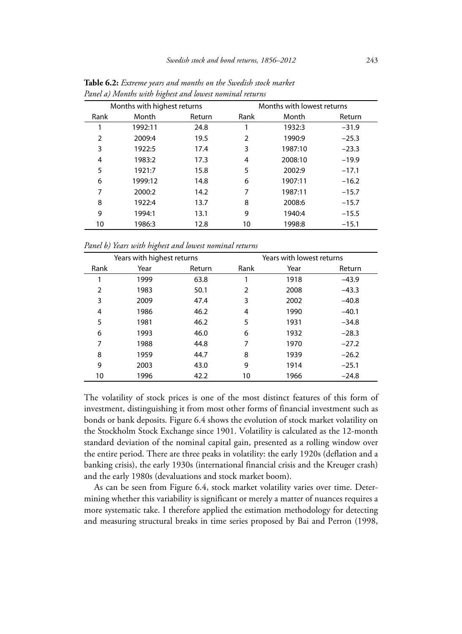|      | $\circ$                     |        |                |                            |         |
|------|-----------------------------|--------|----------------|----------------------------|---------|
|      | Months with highest returns |        |                | Months with lowest returns |         |
| Rank | Month                       | Return | Rank           | Month                      | Return  |
|      | 1992:11                     | 24.8   |                | 1932:3                     | $-31.9$ |
| 2    | 2009:4                      | 19.5   | $\overline{2}$ | 1990:9                     | $-25.3$ |
| 3    | 1922:5                      | 17.4   | 3              | 1987:10                    | $-23.3$ |
| 4    | 1983:2                      | 17.3   | 4              | 2008:10                    | $-19.9$ |
| 5    | 1921:7                      | 15.8   | 5              | 2002:9                     | $-17.1$ |
| 6    | 1999:12                     | 14.8   | 6              | 1907:11                    | $-16.2$ |
| 7    | 2000:2                      | 14.2   | 7              | 1987:11                    | $-15.7$ |
| 8    | 1922:4                      | 13.7   | 8              | 2008:6                     | $-15.7$ |
| 9    | 1994:1                      | 13.1   | 9              | 1940:4                     | $-15.5$ |
| 10   | 1986:3                      | 12.8   | 10             | 1998:8                     | $-15.1$ |

**Table 6.2:** *Extreme years and months on the Swedish stock market Panel a) Months with highest and lowest nominal returns*

*Panel b) Years with highest and lowest nominal returns*

|      | Years with highest returns |        |                | Years with lowest returns |         |
|------|----------------------------|--------|----------------|---------------------------|---------|
| Rank | Year                       | Return | Rank           | Year                      | Return  |
|      | 1999                       | 63.8   |                | 1918                      | $-43.9$ |
| 2    | 1983                       | 50.1   | $\overline{2}$ | 2008                      | $-43.3$ |
| 3    | 2009                       | 47.4   | 3              | 2002                      | $-40.8$ |
| 4    | 1986                       | 46.2   | 4              | 1990                      | $-40.1$ |
| 5    | 1981                       | 46.2   | 5              | 1931                      | $-34.8$ |
| 6    | 1993                       | 46.0   | 6              | 1932                      | $-28.3$ |
| 7    | 1988                       | 44.8   | 7              | 1970                      | $-27.2$ |
| 8    | 1959                       | 44.7   | 8              | 1939                      | $-26.2$ |
| 9    | 2003                       | 43.0   | 9              | 1914                      | $-25.1$ |
| 10   | 1996                       | 42.2   | 10             | 1966                      | $-24.8$ |

The volatility of stock prices is one of the most distinct features of this form of investment, distinguishing it from most other forms of financial investment such as bonds or bank deposits. Figure 6.4 shows the evolution of stock market volatility on the Stockholm Stock Exchange since 1901. Volatility is calculated as the 12-month standard deviation of the nominal capital gain, presented as a rolling window over the entire period. There are three peaks in volatility: the early 1920s (deflation and a banking crisis), the early 1930s (international financial crisis and the Kreuger crash) and the early 1980s (devaluations and stock market boom).

As can be seen from Figure 6.4, stock market volatility varies over time. Determining whether this variability is significant or merely a matter of nuances requires a more systematic take. I therefore applied the estimation methodology for detecting and measuring structural breaks in time series proposed by Bai and Perron (1998,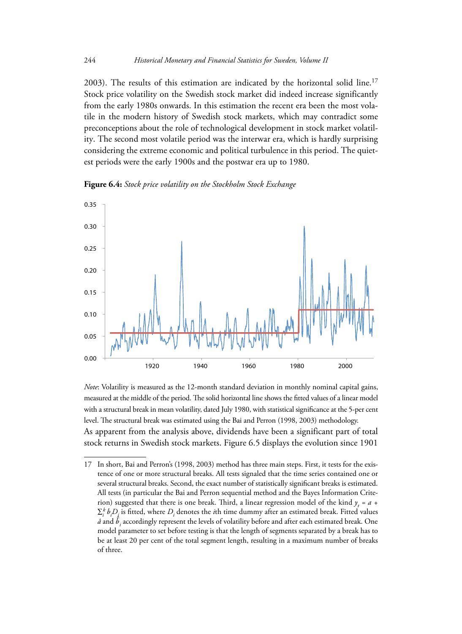2003). The results of this estimation are indicated by the horizontal solid line.<sup>17</sup> Stock price volatility on the Swedish stock market did indeed increase significantly from the early 1980s onwards. In this estimation the recent era been the most volatile in the modern history of Swedish stock markets, which may contradict some preconceptions about the role of technological development in stock market volatility. The second most volatile period was the interwar era, which is hardly surprising considering the extreme economic and political turbulence in this period. The quietest periods were the early 1900s and the postwar era up to 1980.

**Figure 6.4:** *Stock price volatility on the Stockholm Stock Exchange*



*Note*: Volatility is measured as the 12-month standard deviation in monthly nominal capital gains, measured at the middle of the period. The solid horizontal line shows the fitted values of a linear model with a structural break in mean volatility, dated July 1980, with statistical significance at the 5-per cent level. The structural break was estimated using the Bai and Perron (1998, 2003) methodology. As apparent from the analysis above, dividends have been a significant part of total stock returns in Swedish stock markets. Figure 6.5 displays the evolution since 1901

<sup>17</sup> In short, Bai and Perron's (1998, 2003) method has three main steps. First, it tests for the existence of one or more structural breaks. All tests signaled that the time series contained one or several structural breaks. Second, the exact number of statistically significant breaks is estimated. All tests (in particular the Bai and Perron sequential method and the Bayes Information Criterion) suggested that there is one break. Third, a linear regression model of the kind  $y_t = a +$  $\sum_{i}^{k} b_i D_i$  is fitted, where  $D_i$  denotes the *i*th time dummy after an estimated break. Fitted values  $\hat{a}$  and  $\hat{b}$ <sub>i</sub> accordingly represent the levels of volatility before and after each estimated break. One model parameter to set before testing is that the length of segments separated by a break has to be at least 20 per cent of the total segment length, resulting in a maximum number of breaks of three.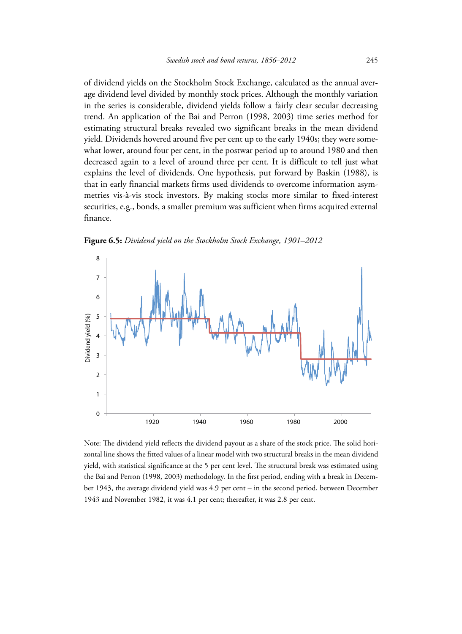of dividend yields on the Stockholm Stock Exchange, calculated as the annual average dividend level divided by monthly stock prices. Although the monthly variation in the series is considerable, dividend yields follow a fairly clear secular decreasing trend. An application of the Bai and Perron (1998, 2003) time series method for estimating structural breaks revealed two significant breaks in the mean dividend yield. Dividends hovered around five per cent up to the early 1940s; they were somewhat lower, around four per cent, in the postwar period up to around 1980 and then decreased again to a level of around three per cent. It is difficult to tell just what explains the level of dividends. One hypothesis, put forward by Baskin (1988), is that in early financial markets firms used dividends to overcome information asymmetries vis-à-vis stock investors. By making stocks more similar to fixed-interest securities, e.g., bonds, a smaller premium was sufficient when firms acquired external finance.





Note: The dividend yield reflects the dividend payout as a share of the stock price. The solid horizontal line shows the fitted values of a linear model with two structural breaks in the mean dividend yield, with statistical significance at the 5 per cent level. The structural break was estimated using the Bai and Perron (1998, 2003) methodology. In the first period, ending with a break in December 1943, the average dividend yield was 4.9 per cent – in the second period, between December 1943 and November 1982, it was 4.1 per cent; thereafter, it was 2.8 per cent.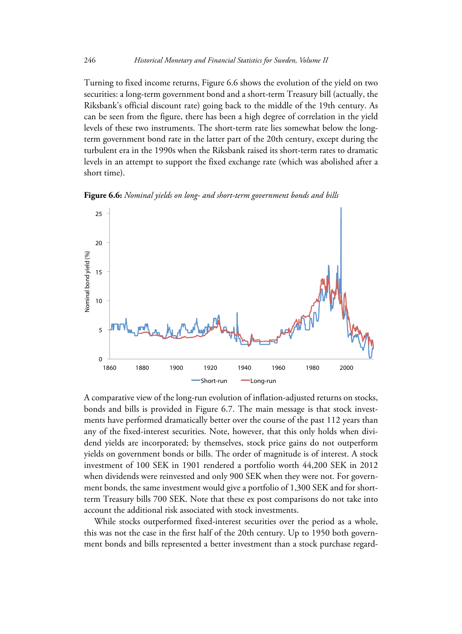Turning to fixed income returns, Figure 6.6 shows the evolution of the yield on two securities: a long-term government bond and a short-term Treasury bill (actually, the Riksbank's official discount rate) going back to the middle of the 19th century. As can be seen from the figure, there has been a high degree of correlation in the yield levels of these two instruments. The short-term rate lies somewhat below the longterm government bond rate in the latter part of the 20th century, except during the turbulent era in the 1990s when the Riksbank raised its short-term rates to dramatic levels in an attempt to support the fixed exchange rate (which was abolished after a short time).

**Figure 6.6:** *Nominal yields on long- and short-term government bonds and bills*



A comparative view of the long-run evolution of inflation-adjusted returns on stocks, bonds and bills is provided in Figure 6.7. The main message is that stock investments have performed dramatically better over the course of the past 112 years than any of the fixed-interest securities. Note, however, that this only holds when dividend yields are incorporated; by themselves, stock price gains do not outperform yields on government bonds or bills. The order of magnitude is of interest. A stock investment of 100 SEK in 1901 rendered a portfolio worth 44,200 SEK in 2012 when dividends were reinvested and only 900 SEK when they were not. For government bonds, the same investment would give a portfolio of 1,300 SEK and for shortterm Treasury bills 700 SEK. Note that these ex post comparisons do not take into account the additional risk associated with stock investments.

While stocks outperformed fixed-interest securities over the period as a whole, this was not the case in the first half of the 20th century. Up to 1950 both government bonds and bills represented a better investment than a stock purchase regard-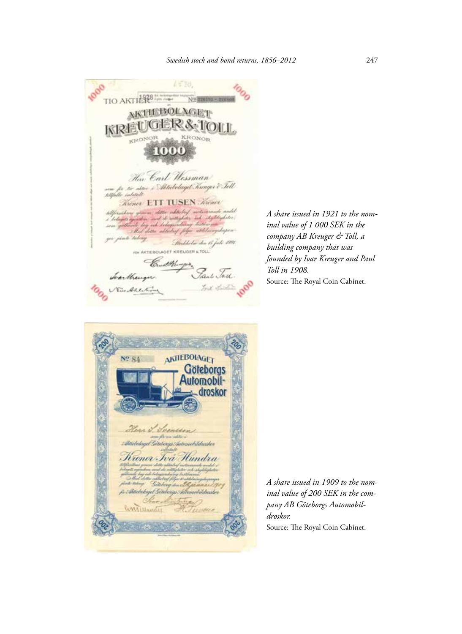

*A share issued in 1921 to the nominal value of 1 000 SEK in the company AB Kreuger & Toll, a building company that was founded by Ivar Kreuger and Paul Toll in 1908.* Source: The Royal Coin Cabinet.



*A share issued in 1909 to the nominal value of 200 SEK in the company AB Göteborgs Automobildroskor.*  Source: The Royal Coin Cabinet.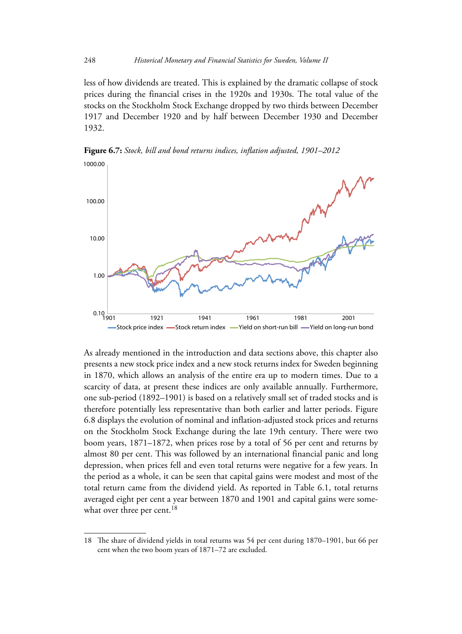less of how dividends are treated. This is explained by the dramatic collapse of stock prices during the financial crises in the 1920s and 1930s. The total value of the stocks on the Stockholm Stock Exchange dropped by two thirds between December 1917 and December 1920 and by half between December 1930 and December 1932.



**Figure 6.7:** *Stock, bill and bond returns indices, inflation adjusted, 1901–2012*

As already mentioned in the introduction and data sections above, this chapter also presents a new stock price index and a new stock returns index for Sweden beginning in 1870, which allows an analysis of the entire era up to modern times. Due to a scarcity of data, at present these indices are only available annually. Furthermore, one sub-period (1892–1901) is based on a relatively small set of traded stocks and is therefore potentially less representative than both earlier and latter periods. Figure 6.8 displays the evolution of nominal and inflation-adjusted stock prices and returns on the Stockholm Stock Exchange during the late 19th century. There were two boom years, 1871–1872, when prices rose by a total of 56 per cent and returns by almost 80 per cent. This was followed by an international financial panic and long depression, when prices fell and even total returns were negative for a few years. In the period as a whole, it can be seen that capital gains were modest and most of the total return came from the dividend yield. As reported in Table 6.1, total returns averaged eight per cent a year between 1870 and 1901 and capital gains were somewhat over three per cent.<sup>18</sup>

<sup>18</sup> The share of dividend yields in total returns was 54 per cent during 1870–1901, but 66 per cent when the two boom years of 1871–72 are excluded.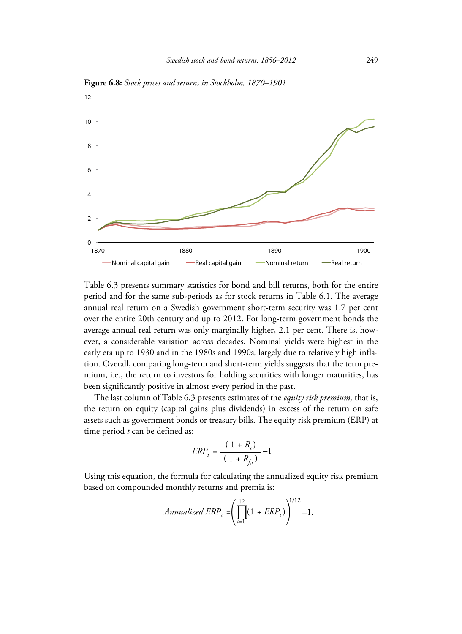

**Figure 6.8:** *Stock prices and returns in Stockholm, 1870–1901*

Table 6.3 presents summary statistics for bond and bill returns, both for the entire period and for the same sub-periods as for stock returns in Table 6.1. The average annual real return on a Swedish government short-term security was 1.7 per cent over the entire 20th century and up to 2012. For long-term government bonds the average annual real return was only marginally higher, 2.1 per cent. There is, however, a considerable variation across decades. Nominal yields were highest in the early era up to 1930 and in the 1980s and 1990s, largely due to relatively high inflation. Overall, comparing long-term and short-term yields suggests that the term premium, i.e., the return to investors for holding securities with longer maturities, has been significantly positive in almost every period in the past.

The last column of Table 6.3 presents estimates of the *equity risk premium,* that is, the return on equity (capital gains plus dividends) in excess of the return on safe assets such as government bonds or treasury bills. The equity risk premium (ERP) at time period *t* can be defined as:

$$
ERP_{t} = \frac{(1 + R_{t})}{(1 + R_{f,t})} - 1
$$

Using this equation, the formula for calculating the annualized equity risk premium based on compounded monthly returns and premia is:

$$
Annualized\ ERP_t = \left(\prod_{t=1}^{12} (1 + ERP_t)\right)^{1/12} - 1.
$$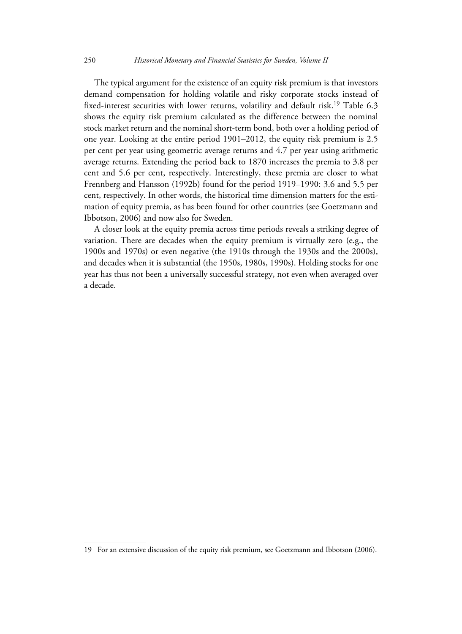The typical argument for the existence of an equity risk premium is that investors demand compensation for holding volatile and risky corporate stocks instead of fixed-interest securities with lower returns, volatility and default risk.<sup>19</sup> Table 6.3 shows the equity risk premium calculated as the difference between the nominal stock market return and the nominal short-term bond, both over a holding period of one year. Looking at the entire period 1901–2012, the equity risk premium is 2.5 per cent per year using geometric average returns and 4.7 per year using arithmetic average returns. Extending the period back to 1870 increases the premia to 3.8 per cent and 5.6 per cent, respectively. Interestingly, these premia are closer to what Frennberg and Hansson (1992b) found for the period 1919–1990: 3.6 and 5.5 per cent, respectively. In other words, the historical time dimension matters for the estimation of equity premia, as has been found for other countries (see Goetzmann and Ibbotson, 2006) and now also for Sweden.

A closer look at the equity premia across time periods reveals a striking degree of variation. There are decades when the equity premium is virtually zero (e.g., the 1900s and 1970s) or even negative (the 1910s through the 1930s and the 2000s), and decades when it is substantial (the 1950s, 1980s, 1990s). Holding stocks for one year has thus not been a universally successful strategy, not even when averaged over a decade.

<sup>19</sup> For an extensive discussion of the equity risk premium, see Goetzmann and Ibbotson (2006).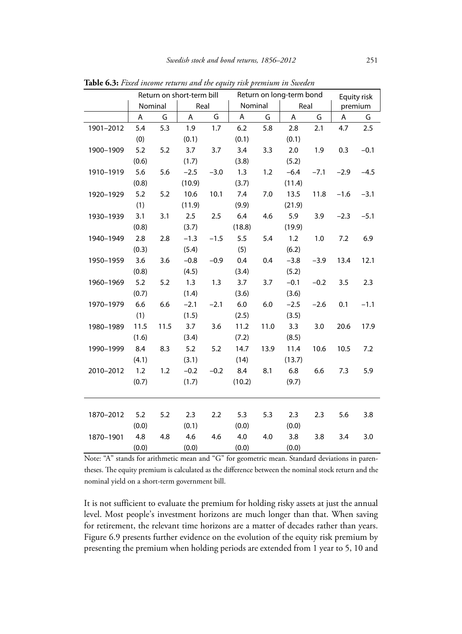|           |       | Return on short-term bill |        |        | Return on long-term bond |      |        |        | Equity risk |         |
|-----------|-------|---------------------------|--------|--------|--------------------------|------|--------|--------|-------------|---------|
|           |       | Nominal                   | Real   |        | Nominal                  |      | Real   |        |             | premium |
|           | Α     | G                         | A      | G      | Α                        | G    | Α      | G      | Α           | G       |
| 1901-2012 | 5.4   | 5.3                       | 1.9    | 1.7    | 6.2                      | 5.8  | 2.8    | 2.1    | 4.7         | 2.5     |
|           | (0)   |                           | (0.1)  |        | (0.1)                    |      | (0.1)  |        |             |         |
| 1900-1909 | 5.2   | 5.2                       | 3.7    | 3.7    | 3.4                      | 3.3  | 2.0    | 1.9    | 0.3         | $-0.1$  |
|           | (0.6) |                           | (1.7)  |        | (3.8)                    |      | (5.2)  |        |             |         |
| 1910-1919 | 5.6   | 5.6                       | $-2.5$ | $-3.0$ | 1.3                      | 1.2  | $-6.4$ | $-7.1$ | $-2.9$      | $-4.5$  |
|           | (0.8) |                           | (10.9) |        | (3.7)                    |      | (11.4) |        |             |         |
| 1920-1929 | 5.2   | 5.2                       | 10.6   | 10.1   | 7.4                      | 7.0  | 13.5   | 11.8   | $-1.6$      | $-3.1$  |
|           | (1)   |                           | (11.9) |        | (9.9)                    |      | (21.9) |        |             |         |
| 1930-1939 | 3.1   | 3.1                       | 2.5    | 2.5    | 6.4                      | 4.6  | 5.9    | 3.9    | $-2.3$      | $-5.1$  |
|           | (0.8) |                           | (3.7)  |        | (18.8)                   |      | (19.9) |        |             |         |
| 1940-1949 | 2.8   | 2.8                       | $-1.3$ | $-1.5$ | 5.5                      | 5.4  | 1.2    | 1.0    | 7.2         | 6.9     |
|           | (0.3) |                           | (5.4)  |        | (5)                      |      | (6.2)  |        |             |         |
| 1950-1959 | 3.6   | 3.6                       | $-0.8$ | $-0.9$ | 0.4                      | 0.4  | $-3.8$ | $-3.9$ | 13.4        | 12.1    |
|           | (0.8) |                           | (4.5)  |        | (3.4)                    |      | (5.2)  |        |             |         |
| 1960-1969 | 5.2   | 5.2                       | 1.3    | 1.3    | 3.7                      | 3.7  | $-0.1$ | $-0.2$ | 3.5         | 2.3     |
|           | (0.7) |                           | (1.4)  |        | (3.6)                    |      | (3.6)  |        |             |         |
| 1970-1979 | 6.6   | 6.6                       | $-2.1$ | $-2.1$ | $6.0\,$                  | 6.0  | $-2.5$ | $-2.6$ | 0.1         | $-1.1$  |
|           | (1)   |                           | (1.5)  |        | (2.5)                    |      | (3.5)  |        |             |         |
| 1980-1989 | 11.5  | 11.5                      | 3.7    | 3.6    | 11.2                     | 11.0 | 3.3    | 3.0    | 20.6        | 17.9    |
|           | (1.6) |                           | (3.4)  |        | (7.2)                    |      | (8.5)  |        |             |         |
| 1990-1999 | 8.4   | 8.3                       | 5.2    | 5.2    | 14.7                     | 13.9 | 11.4   | 10.6   | 10.5        | 7.2     |
|           | (4.1) |                           | (3.1)  |        | (14)                     |      | (13.7) |        |             |         |
| 2010-2012 | 1.2   | 1.2                       | $-0.2$ | $-0.2$ | 8.4                      | 8.1  | 6.8    | 6.6    | 7.3         | 5.9     |
|           | (0.7) |                           | (1.7)  |        | (10.2)                   |      | (9.7)  |        |             |         |
|           |       |                           |        |        |                          |      |        |        |             |         |
|           |       |                           |        |        |                          |      |        |        |             |         |
| 1870-2012 | 5.2   | 5.2                       | 2.3    | 2.2    | 5.3                      | 5.3  | 2.3    | 2.3    | 5.6         | 3.8     |
|           | (0.0) |                           | (0.1)  |        | (0.0)                    |      | (0.0)  |        |             |         |
| 1870-1901 | 4.8   | 4.8                       | 4.6    | 4.6    | 4.0                      | 4.0  | 3.8    | 3.8    | 3.4         | 3.0     |
|           | (0.0) |                           | (0.0)  |        | (0.0)                    |      | (0.0)  |        |             |         |

**Table 6.3:** *Fixed income returns and the equity risk premium in Sweden*

Note: "A" stands for arithmetic mean and "G" for geometric mean. Standard deviations in parentheses. The equity premium is calculated as the difference between the nominal stock return and the nominal yield on a short-term government bill.

It is not sufficient to evaluate the premium for holding risky assets at just the annual level. Most people's investment horizons are much longer than that. When saving for retirement, the relevant time horizons are a matter of decades rather than years. Figure 6.9 presents further evidence on the evolution of the equity risk premium by presenting the premium when holding periods are extended from 1 year to 5, 10 and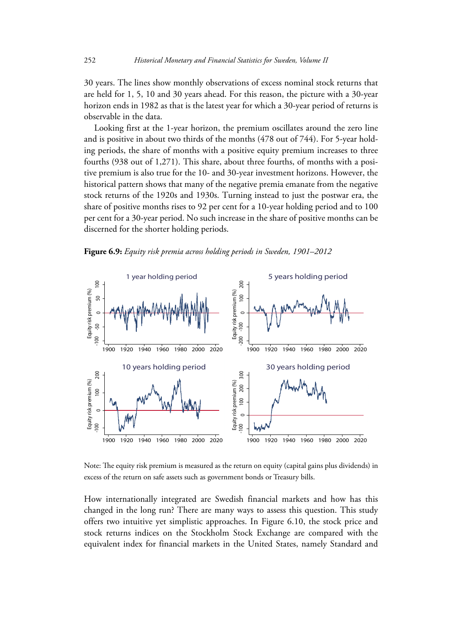30 years. The lines show monthly observations of excess nominal stock returns that are held for 1, 5, 10 and 30 years ahead. For this reason, the picture with a 30-year horizon ends in 1982 as that is the latest year for which a 30-year period of returns is observable in the data.

Looking first at the 1-year horizon, the premium oscillates around the zero line and is positive in about two thirds of the months (478 out of 744). For 5-year holding periods, the share of months with a positive equity premium increases to three fourths (938 out of 1,271). This share, about three fourths, of months with a positive premium is also true for the 10- and 30-year investment horizons. However, the historical pattern shows that many of the negative premia emanate from the negative stock returns of the 1920s and 1930s. Turning instead to just the postwar era, the share of positive months rises to 92 per cent for a 10-year holding period and to 100 per cent for a 30-year period. No such increase in the share of positive months can be discerned for the shorter holding periods.





Note: The equity risk premium is measured as the return on equity (capital gains plus dividends) in excess of the return on safe assets such as government bonds or Treasury bills.

How internationally integrated are Swedish financial markets and how has this changed in the long run? There are many ways to assess this question. This study offers two intuitive yet simplistic approaches. In Figure 6.10, the stock price and stock returns indices on the Stockholm Stock Exchange are compared with the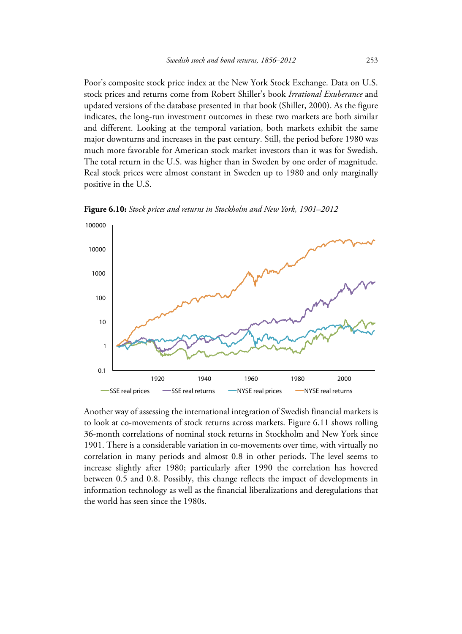Poor's composite stock price index at the New York Stock Exchange. Data on U.S. stock prices and returns come from Robert Shiller's book *Irrational Exuberance* and updated versions of the database presented in that book (Shiller, 2000). As the figure indicates, the long-run investment outcomes in these two markets are both similar and different. Looking at the temporal variation, both markets exhibit the same major downturns and increases in the past century. Still, the period before 1980 was much more favorable for American stock market investors than it was for Swedish. The total return in the U.S. was higher than in Sweden by one order of magnitude. Real stock prices were almost constant in Sweden up to 1980 and only marginally positive in the U.S.



**Figure 6.10:** *Stock prices and returns in Stockholm and New York, 1901–2012*

Another way of assessing the international integration of Swedish financial markets is to look at co-movements of stock returns across markets. Figure 6.11 shows rolling 36-month correlations of nominal stock returns in Stockholm and New York since 1901. There is a considerable variation in co-movements over time, with virtually no correlation in many periods and almost 0.8 in other periods. The level seems to increase slightly after 1980; particularly after 1990 the correlation has hovered between 0.5 and 0.8. Possibly, this change reflects the impact of developments in information technology as well as the financial liberalizations and deregulations that the world has seen since the 1980s.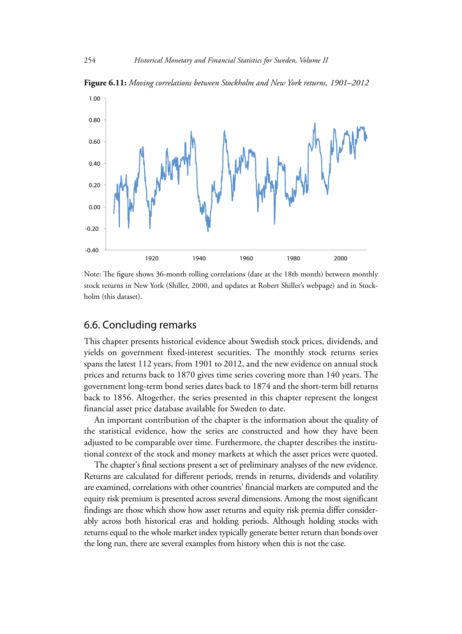

**Figure 6.11:** *Moving correlations between Stockholm and New York returns, 1901–2012*

Note: The figure shows 36-month rolling correlations (date at the 18th month) between monthly stock returns in New York (Shiller, 2000, and updates at Robert Shiller's webpage) and in Stockholm (this dataset).

## 6.6. Concluding remarks

This chapter presents historical evidence about Swedish stock prices, dividends, and yields on government fixed-interest securities. The monthly stock returns series spans the latest 112 years, from 1901 to 2012, and the new evidence on annual stock prices and returns back to 1870 gives time series covering more than 140 years. The government long-term bond series dates back to 1874 and the short-term bill returns back to 1856. Altogether, the series presented in this chapter represent the longest financial asset price database available for Sweden to date.

An important contribution of the chapter is the information about the quality of the statistical evidence, how the series are constructed and how they have been adjusted to be comparable over time. Furthermore, the chapter describes the institutional context of the stock and money markets at which the asset prices were quoted.

The chapter's final sections present a set of preliminary analyses of the new evidence. Returns are calculated for different periods, trends in returns, dividends and volatility are examined, correlations with other countries' financial markets are computed and the equity risk premium is presented across several dimensions. Among the most significant findings are those which show how asset returns and equity risk premia differ considerably across both historical eras and holding periods. Although holding stocks with returns equal to the whole market index typically generate better return than bonds over the long run, there are several examples from history when this is not the case.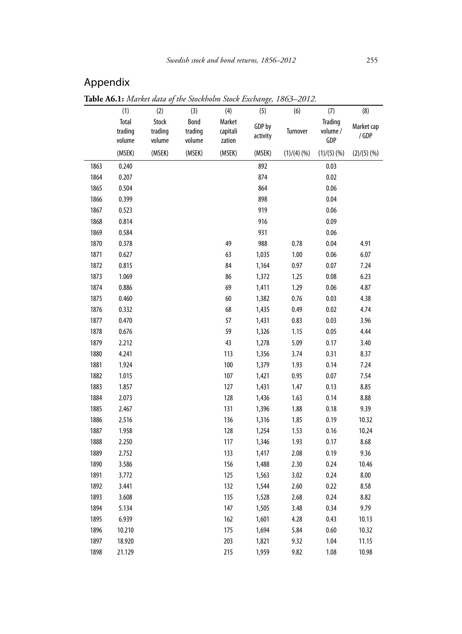## Appendix

**Table A6.1:** *Market data of the Stockholm Stock Exchange, 1863–2012.* (1) (2) (3) (4) (5) (6) (7) (8) Total trading volume Stock trading volume Bond trading volume Market capitali zation GDP by **activity** Turnover **Trading** volume / GDP Market cap / GDP (MSEK) (MSEK) (MSEK) (MSEK) (MSEK) (1)/(4) (%) (1)/(5) (%) (2)/(5) (%) 1863 0.240 0.03 1864 0.207 0.02 1865 0.504 0.06 1866 0.399 0.04 1867 0.523 919 0.06 1868 0.814 0.09 1869 0.584 0.06 1870 0.378 49 988 0.78 0.04 4.91 1871 0.627 63 1,035 1.00 0.06 6.07 1872 0.815 84 1,164 0.97 0.07 7.24 1873 1.069 86 1,372 1.25 0.08 6.23 1874 0.886 69 1,411 1.29 0.06 4.87 1875 0.460 60 1,382 0.76 0.03 4.38 1876 0.332 68 1,435 0.49 0.02 4.74 1877 0.470 57 1,431 0.83 0.03 3.96 1878 0.676 59 1,326 1.15 0.05 4.44 1879 2.212 43 1,278 5.09 0.17 3.40 1880 4.241 113 1,356 3.74 0.31 8.37 1881 1.924 100 1,379 1.93 0.14 7.24 1882 1.015 107 1,421 0.95 0.07 7.54 1883 1.857 127 1,431 1.47 0.13 8.85 1884 2.073 128 1,436 1.63 0.14 8.88 1885 2.467 131 1,396 1.88 0.18 9.39 1886 2.516 136 1,316 1.85 0.19 10.32 1887 1.958 128 1,254 1.53 0.16 10.24 1888 2.250 117 1,346 1.93 0.17 8.68 1889 2.752 133 1,417 2.08 0.19 9.36 1890 3.586 156 1,488 2.30 0.24 10.46 1891 3.772 125 1,563 3.02 0.24 8.00 1892 3.441 132 1,544 2.60 0.22 8.58 1893 3.608 135 1,528 2.68 0.24 8.82 1894 5.134 147 1,505 3.48 0.34 9.79 1895 6.939 162 1,601 4.28 0.43 10.13 1896 10.210 175 1,694 5.84 0.60 10.32 1897 18.920 203 1,821 9.32 1.04 11.15 1898 21.129 215 1,959 9.82 1.08 10.98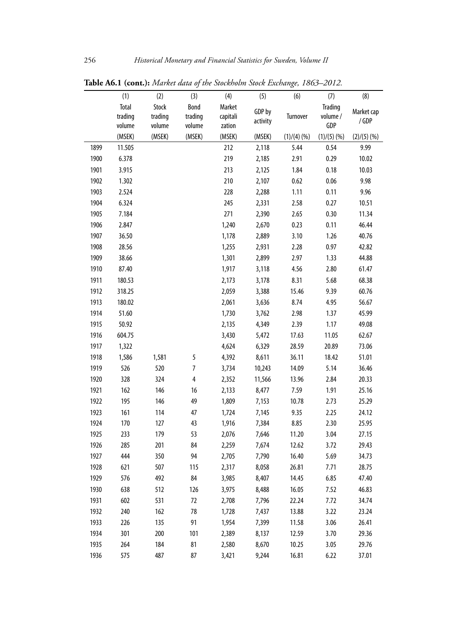| Total<br>Stock<br>Bond<br>Market<br>Trading<br>GDP by<br>Market cap<br>trading<br>trading<br>trading<br>capitali<br>Turnover<br>volume /<br>/GDP<br>activity<br>GDP<br>volume<br>volume<br>volume<br>zation<br>(1)/(5)(%<br>(MSEK)<br>(MSEK)<br>(MSEK)<br>(MSEK)<br>(MSEK)<br>(2)/(5)(%<br>(1)/(4)(%<br>212<br>0.54<br>9.99<br>1899<br>11.505<br>2,118<br>5.44<br>219<br>1900<br>6.378<br>2,185<br>2.91<br>0.29<br>10.02<br>213<br>1901<br>3.915<br>2,125<br>1.84<br>0.18<br>10.03<br>1.302<br>210<br>9.98<br>1902<br>2,107<br>0.62<br>0.06<br>0.11<br>1903<br>2.524<br>228<br>2,288<br>1.11<br>9.96<br>245<br>1904<br>6.324<br>2,331<br>2.58<br>0.27<br>10.51<br>271<br>1905<br>7.184<br>2,390<br>2.65<br>0.30<br>11.34<br>1906<br>0.23<br>0.11<br>46.44<br>2.847<br>1,240<br>2,670<br>1907<br>36.50<br>3.10<br>1,178<br>2,889<br>1.26<br>40.76<br>1908<br>28.56<br>2,931<br>0.97<br>1,255<br>2.28<br>42.82<br>1,301<br>1909<br>38.66<br>2,899<br>2.97<br>1.33<br>44.88<br>1,917<br>4.56<br>1910<br>87.40<br>3,118<br>2.80<br>61.47<br>8.31<br>1911<br>180.53<br>2,173<br>3,178<br>5.68<br>68.38<br>1912<br>2,059<br>15.46<br>60.76<br>318.25<br>3,388<br>9.39<br>1913<br>8.74<br>180.02<br>2,061<br>3,636<br>4.95<br>56.67<br>1914<br>51.60<br>2.98<br>45.99<br>1,730<br>3,762<br>1.37<br>1915<br>50.92<br>2.39<br>1.17<br>2,135<br>4,349<br>49.08<br>1916<br>604.75<br>3,430<br>5,472<br>17.63<br>11.05<br>62.67<br>1917<br>1,322<br>4,624<br>6,329<br>28.59<br>20.89<br>73.06<br>5<br>1,586<br>1,581<br>51.01<br>1918<br>4,392<br>8,611<br>36.11<br>18.42<br>$\overline{7}$<br>526<br>520<br>5.14<br>1919<br>3,734<br>10,243<br>14.09<br>36.46<br>328<br>4<br>1920<br>324<br>2,352<br>11,566<br>13.96<br>2.84<br>20.33<br>16<br>1921<br>162<br>146<br>2,133<br>8,477<br>7.59<br>1.91<br>25.16<br>1922<br>195<br>146<br>49<br>10.78<br>1,809<br>7,153<br>2.73<br>25.29<br>1923<br>161<br>47<br>9.35<br>114<br>1,724<br>7,145<br>2.25<br>24.12<br>1924<br>170<br>127<br>43<br>8.85<br>2.30<br>1,916<br>7,384<br>25.95<br>53<br>3.04<br>1925<br>233<br>179<br>2,076<br>7,646<br>11.20<br>27.15<br>285<br>201<br>84<br>1926<br>2,259<br>7,674<br>12.62<br>3.72<br>29.43<br>444<br>350<br>94<br>1927<br>2,705<br>7,790<br>16.40<br>5.69<br>34.73<br>507<br>1928<br>621<br>115<br>2,317<br>8,058<br>26.81<br>7.71<br>28.75<br>1929<br>576<br>492<br>84<br>3,985<br>8,407<br>14.45<br>6.85<br>47.40<br>1930<br>638<br>512<br>126<br>3,975<br>8,488<br>16.05<br>7.52<br>46.83<br>1931<br>602<br>531<br>72<br>2,708<br>7,796<br>7.72<br>34.74<br>22.24<br>1932<br>240<br>162<br>78<br>7,437<br>3.22<br>1,728<br>13.88<br>23.24<br>1933<br>226<br>91<br>1,954<br>7,399<br>3.06<br>135<br>11.58<br>26.41<br>1934<br>301<br>200<br>101<br>2,389<br>3.70<br>29.36<br>8,137<br>12.59<br>1935<br>264<br>184<br>81<br>2,580<br>8,670<br>3.05<br>29.76<br>10.25<br>1936<br>575<br>487<br>87<br>3,421<br>9,244<br>16.81<br>6.22<br>37.01 |     |     |     |     |     |     |     |     |
|----------------------------------------------------------------------------------------------------------------------------------------------------------------------------------------------------------------------------------------------------------------------------------------------------------------------------------------------------------------------------------------------------------------------------------------------------------------------------------------------------------------------------------------------------------------------------------------------------------------------------------------------------------------------------------------------------------------------------------------------------------------------------------------------------------------------------------------------------------------------------------------------------------------------------------------------------------------------------------------------------------------------------------------------------------------------------------------------------------------------------------------------------------------------------------------------------------------------------------------------------------------------------------------------------------------------------------------------------------------------------------------------------------------------------------------------------------------------------------------------------------------------------------------------------------------------------------------------------------------------------------------------------------------------------------------------------------------------------------------------------------------------------------------------------------------------------------------------------------------------------------------------------------------------------------------------------------------------------------------------------------------------------------------------------------------------------------------------------------------------------------------------------------------------------------------------------------------------------------------------------------------------------------------------------------------------------------------------------------------------------------------------------------------------------------------------------------------------------------------------------------------------------------------------------------------------------------------------------------------------------------------------------------------------------------------------------------------------------------------------------------------------------------------------------------------------------------------------------------------------------------------------------------------------------|-----|-----|-----|-----|-----|-----|-----|-----|
|                                                                                                                                                                                                                                                                                                                                                                                                                                                                                                                                                                                                                                                                                                                                                                                                                                                                                                                                                                                                                                                                                                                                                                                                                                                                                                                                                                                                                                                                                                                                                                                                                                                                                                                                                                                                                                                                                                                                                                                                                                                                                                                                                                                                                                                                                                                                                                                                                                                                                                                                                                                                                                                                                                                                                                                                                                                                                                                            | (1) | (2) | (3) | (4) | (5) | (6) | (7) | (8) |
|                                                                                                                                                                                                                                                                                                                                                                                                                                                                                                                                                                                                                                                                                                                                                                                                                                                                                                                                                                                                                                                                                                                                                                                                                                                                                                                                                                                                                                                                                                                                                                                                                                                                                                                                                                                                                                                                                                                                                                                                                                                                                                                                                                                                                                                                                                                                                                                                                                                                                                                                                                                                                                                                                                                                                                                                                                                                                                                            |     |     |     |     |     |     |     |     |
|                                                                                                                                                                                                                                                                                                                                                                                                                                                                                                                                                                                                                                                                                                                                                                                                                                                                                                                                                                                                                                                                                                                                                                                                                                                                                                                                                                                                                                                                                                                                                                                                                                                                                                                                                                                                                                                                                                                                                                                                                                                                                                                                                                                                                                                                                                                                                                                                                                                                                                                                                                                                                                                                                                                                                                                                                                                                                                                            |     |     |     |     |     |     |     |     |
|                                                                                                                                                                                                                                                                                                                                                                                                                                                                                                                                                                                                                                                                                                                                                                                                                                                                                                                                                                                                                                                                                                                                                                                                                                                                                                                                                                                                                                                                                                                                                                                                                                                                                                                                                                                                                                                                                                                                                                                                                                                                                                                                                                                                                                                                                                                                                                                                                                                                                                                                                                                                                                                                                                                                                                                                                                                                                                                            |     |     |     |     |     |     |     |     |
|                                                                                                                                                                                                                                                                                                                                                                                                                                                                                                                                                                                                                                                                                                                                                                                                                                                                                                                                                                                                                                                                                                                                                                                                                                                                                                                                                                                                                                                                                                                                                                                                                                                                                                                                                                                                                                                                                                                                                                                                                                                                                                                                                                                                                                                                                                                                                                                                                                                                                                                                                                                                                                                                                                                                                                                                                                                                                                                            |     |     |     |     |     |     |     |     |
|                                                                                                                                                                                                                                                                                                                                                                                                                                                                                                                                                                                                                                                                                                                                                                                                                                                                                                                                                                                                                                                                                                                                                                                                                                                                                                                                                                                                                                                                                                                                                                                                                                                                                                                                                                                                                                                                                                                                                                                                                                                                                                                                                                                                                                                                                                                                                                                                                                                                                                                                                                                                                                                                                                                                                                                                                                                                                                                            |     |     |     |     |     |     |     |     |
|                                                                                                                                                                                                                                                                                                                                                                                                                                                                                                                                                                                                                                                                                                                                                                                                                                                                                                                                                                                                                                                                                                                                                                                                                                                                                                                                                                                                                                                                                                                                                                                                                                                                                                                                                                                                                                                                                                                                                                                                                                                                                                                                                                                                                                                                                                                                                                                                                                                                                                                                                                                                                                                                                                                                                                                                                                                                                                                            |     |     |     |     |     |     |     |     |
|                                                                                                                                                                                                                                                                                                                                                                                                                                                                                                                                                                                                                                                                                                                                                                                                                                                                                                                                                                                                                                                                                                                                                                                                                                                                                                                                                                                                                                                                                                                                                                                                                                                                                                                                                                                                                                                                                                                                                                                                                                                                                                                                                                                                                                                                                                                                                                                                                                                                                                                                                                                                                                                                                                                                                                                                                                                                                                                            |     |     |     |     |     |     |     |     |
|                                                                                                                                                                                                                                                                                                                                                                                                                                                                                                                                                                                                                                                                                                                                                                                                                                                                                                                                                                                                                                                                                                                                                                                                                                                                                                                                                                                                                                                                                                                                                                                                                                                                                                                                                                                                                                                                                                                                                                                                                                                                                                                                                                                                                                                                                                                                                                                                                                                                                                                                                                                                                                                                                                                                                                                                                                                                                                                            |     |     |     |     |     |     |     |     |
|                                                                                                                                                                                                                                                                                                                                                                                                                                                                                                                                                                                                                                                                                                                                                                                                                                                                                                                                                                                                                                                                                                                                                                                                                                                                                                                                                                                                                                                                                                                                                                                                                                                                                                                                                                                                                                                                                                                                                                                                                                                                                                                                                                                                                                                                                                                                                                                                                                                                                                                                                                                                                                                                                                                                                                                                                                                                                                                            |     |     |     |     |     |     |     |     |
|                                                                                                                                                                                                                                                                                                                                                                                                                                                                                                                                                                                                                                                                                                                                                                                                                                                                                                                                                                                                                                                                                                                                                                                                                                                                                                                                                                                                                                                                                                                                                                                                                                                                                                                                                                                                                                                                                                                                                                                                                                                                                                                                                                                                                                                                                                                                                                                                                                                                                                                                                                                                                                                                                                                                                                                                                                                                                                                            |     |     |     |     |     |     |     |     |
|                                                                                                                                                                                                                                                                                                                                                                                                                                                                                                                                                                                                                                                                                                                                                                                                                                                                                                                                                                                                                                                                                                                                                                                                                                                                                                                                                                                                                                                                                                                                                                                                                                                                                                                                                                                                                                                                                                                                                                                                                                                                                                                                                                                                                                                                                                                                                                                                                                                                                                                                                                                                                                                                                                                                                                                                                                                                                                                            |     |     |     |     |     |     |     |     |
|                                                                                                                                                                                                                                                                                                                                                                                                                                                                                                                                                                                                                                                                                                                                                                                                                                                                                                                                                                                                                                                                                                                                                                                                                                                                                                                                                                                                                                                                                                                                                                                                                                                                                                                                                                                                                                                                                                                                                                                                                                                                                                                                                                                                                                                                                                                                                                                                                                                                                                                                                                                                                                                                                                                                                                                                                                                                                                                            |     |     |     |     |     |     |     |     |
|                                                                                                                                                                                                                                                                                                                                                                                                                                                                                                                                                                                                                                                                                                                                                                                                                                                                                                                                                                                                                                                                                                                                                                                                                                                                                                                                                                                                                                                                                                                                                                                                                                                                                                                                                                                                                                                                                                                                                                                                                                                                                                                                                                                                                                                                                                                                                                                                                                                                                                                                                                                                                                                                                                                                                                                                                                                                                                                            |     |     |     |     |     |     |     |     |
|                                                                                                                                                                                                                                                                                                                                                                                                                                                                                                                                                                                                                                                                                                                                                                                                                                                                                                                                                                                                                                                                                                                                                                                                                                                                                                                                                                                                                                                                                                                                                                                                                                                                                                                                                                                                                                                                                                                                                                                                                                                                                                                                                                                                                                                                                                                                                                                                                                                                                                                                                                                                                                                                                                                                                                                                                                                                                                                            |     |     |     |     |     |     |     |     |
|                                                                                                                                                                                                                                                                                                                                                                                                                                                                                                                                                                                                                                                                                                                                                                                                                                                                                                                                                                                                                                                                                                                                                                                                                                                                                                                                                                                                                                                                                                                                                                                                                                                                                                                                                                                                                                                                                                                                                                                                                                                                                                                                                                                                                                                                                                                                                                                                                                                                                                                                                                                                                                                                                                                                                                                                                                                                                                                            |     |     |     |     |     |     |     |     |
|                                                                                                                                                                                                                                                                                                                                                                                                                                                                                                                                                                                                                                                                                                                                                                                                                                                                                                                                                                                                                                                                                                                                                                                                                                                                                                                                                                                                                                                                                                                                                                                                                                                                                                                                                                                                                                                                                                                                                                                                                                                                                                                                                                                                                                                                                                                                                                                                                                                                                                                                                                                                                                                                                                                                                                                                                                                                                                                            |     |     |     |     |     |     |     |     |
|                                                                                                                                                                                                                                                                                                                                                                                                                                                                                                                                                                                                                                                                                                                                                                                                                                                                                                                                                                                                                                                                                                                                                                                                                                                                                                                                                                                                                                                                                                                                                                                                                                                                                                                                                                                                                                                                                                                                                                                                                                                                                                                                                                                                                                                                                                                                                                                                                                                                                                                                                                                                                                                                                                                                                                                                                                                                                                                            |     |     |     |     |     |     |     |     |
|                                                                                                                                                                                                                                                                                                                                                                                                                                                                                                                                                                                                                                                                                                                                                                                                                                                                                                                                                                                                                                                                                                                                                                                                                                                                                                                                                                                                                                                                                                                                                                                                                                                                                                                                                                                                                                                                                                                                                                                                                                                                                                                                                                                                                                                                                                                                                                                                                                                                                                                                                                                                                                                                                                                                                                                                                                                                                                                            |     |     |     |     |     |     |     |     |
|                                                                                                                                                                                                                                                                                                                                                                                                                                                                                                                                                                                                                                                                                                                                                                                                                                                                                                                                                                                                                                                                                                                                                                                                                                                                                                                                                                                                                                                                                                                                                                                                                                                                                                                                                                                                                                                                                                                                                                                                                                                                                                                                                                                                                                                                                                                                                                                                                                                                                                                                                                                                                                                                                                                                                                                                                                                                                                                            |     |     |     |     |     |     |     |     |
|                                                                                                                                                                                                                                                                                                                                                                                                                                                                                                                                                                                                                                                                                                                                                                                                                                                                                                                                                                                                                                                                                                                                                                                                                                                                                                                                                                                                                                                                                                                                                                                                                                                                                                                                                                                                                                                                                                                                                                                                                                                                                                                                                                                                                                                                                                                                                                                                                                                                                                                                                                                                                                                                                                                                                                                                                                                                                                                            |     |     |     |     |     |     |     |     |
|                                                                                                                                                                                                                                                                                                                                                                                                                                                                                                                                                                                                                                                                                                                                                                                                                                                                                                                                                                                                                                                                                                                                                                                                                                                                                                                                                                                                                                                                                                                                                                                                                                                                                                                                                                                                                                                                                                                                                                                                                                                                                                                                                                                                                                                                                                                                                                                                                                                                                                                                                                                                                                                                                                                                                                                                                                                                                                                            |     |     |     |     |     |     |     |     |
|                                                                                                                                                                                                                                                                                                                                                                                                                                                                                                                                                                                                                                                                                                                                                                                                                                                                                                                                                                                                                                                                                                                                                                                                                                                                                                                                                                                                                                                                                                                                                                                                                                                                                                                                                                                                                                                                                                                                                                                                                                                                                                                                                                                                                                                                                                                                                                                                                                                                                                                                                                                                                                                                                                                                                                                                                                                                                                                            |     |     |     |     |     |     |     |     |
|                                                                                                                                                                                                                                                                                                                                                                                                                                                                                                                                                                                                                                                                                                                                                                                                                                                                                                                                                                                                                                                                                                                                                                                                                                                                                                                                                                                                                                                                                                                                                                                                                                                                                                                                                                                                                                                                                                                                                                                                                                                                                                                                                                                                                                                                                                                                                                                                                                                                                                                                                                                                                                                                                                                                                                                                                                                                                                                            |     |     |     |     |     |     |     |     |
|                                                                                                                                                                                                                                                                                                                                                                                                                                                                                                                                                                                                                                                                                                                                                                                                                                                                                                                                                                                                                                                                                                                                                                                                                                                                                                                                                                                                                                                                                                                                                                                                                                                                                                                                                                                                                                                                                                                                                                                                                                                                                                                                                                                                                                                                                                                                                                                                                                                                                                                                                                                                                                                                                                                                                                                                                                                                                                                            |     |     |     |     |     |     |     |     |
|                                                                                                                                                                                                                                                                                                                                                                                                                                                                                                                                                                                                                                                                                                                                                                                                                                                                                                                                                                                                                                                                                                                                                                                                                                                                                                                                                                                                                                                                                                                                                                                                                                                                                                                                                                                                                                                                                                                                                                                                                                                                                                                                                                                                                                                                                                                                                                                                                                                                                                                                                                                                                                                                                                                                                                                                                                                                                                                            |     |     |     |     |     |     |     |     |
|                                                                                                                                                                                                                                                                                                                                                                                                                                                                                                                                                                                                                                                                                                                                                                                                                                                                                                                                                                                                                                                                                                                                                                                                                                                                                                                                                                                                                                                                                                                                                                                                                                                                                                                                                                                                                                                                                                                                                                                                                                                                                                                                                                                                                                                                                                                                                                                                                                                                                                                                                                                                                                                                                                                                                                                                                                                                                                                            |     |     |     |     |     |     |     |     |
|                                                                                                                                                                                                                                                                                                                                                                                                                                                                                                                                                                                                                                                                                                                                                                                                                                                                                                                                                                                                                                                                                                                                                                                                                                                                                                                                                                                                                                                                                                                                                                                                                                                                                                                                                                                                                                                                                                                                                                                                                                                                                                                                                                                                                                                                                                                                                                                                                                                                                                                                                                                                                                                                                                                                                                                                                                                                                                                            |     |     |     |     |     |     |     |     |
|                                                                                                                                                                                                                                                                                                                                                                                                                                                                                                                                                                                                                                                                                                                                                                                                                                                                                                                                                                                                                                                                                                                                                                                                                                                                                                                                                                                                                                                                                                                                                                                                                                                                                                                                                                                                                                                                                                                                                                                                                                                                                                                                                                                                                                                                                                                                                                                                                                                                                                                                                                                                                                                                                                                                                                                                                                                                                                                            |     |     |     |     |     |     |     |     |
|                                                                                                                                                                                                                                                                                                                                                                                                                                                                                                                                                                                                                                                                                                                                                                                                                                                                                                                                                                                                                                                                                                                                                                                                                                                                                                                                                                                                                                                                                                                                                                                                                                                                                                                                                                                                                                                                                                                                                                                                                                                                                                                                                                                                                                                                                                                                                                                                                                                                                                                                                                                                                                                                                                                                                                                                                                                                                                                            |     |     |     |     |     |     |     |     |
|                                                                                                                                                                                                                                                                                                                                                                                                                                                                                                                                                                                                                                                                                                                                                                                                                                                                                                                                                                                                                                                                                                                                                                                                                                                                                                                                                                                                                                                                                                                                                                                                                                                                                                                                                                                                                                                                                                                                                                                                                                                                                                                                                                                                                                                                                                                                                                                                                                                                                                                                                                                                                                                                                                                                                                                                                                                                                                                            |     |     |     |     |     |     |     |     |
|                                                                                                                                                                                                                                                                                                                                                                                                                                                                                                                                                                                                                                                                                                                                                                                                                                                                                                                                                                                                                                                                                                                                                                                                                                                                                                                                                                                                                                                                                                                                                                                                                                                                                                                                                                                                                                                                                                                                                                                                                                                                                                                                                                                                                                                                                                                                                                                                                                                                                                                                                                                                                                                                                                                                                                                                                                                                                                                            |     |     |     |     |     |     |     |     |
|                                                                                                                                                                                                                                                                                                                                                                                                                                                                                                                                                                                                                                                                                                                                                                                                                                                                                                                                                                                                                                                                                                                                                                                                                                                                                                                                                                                                                                                                                                                                                                                                                                                                                                                                                                                                                                                                                                                                                                                                                                                                                                                                                                                                                                                                                                                                                                                                                                                                                                                                                                                                                                                                                                                                                                                                                                                                                                                            |     |     |     |     |     |     |     |     |
|                                                                                                                                                                                                                                                                                                                                                                                                                                                                                                                                                                                                                                                                                                                                                                                                                                                                                                                                                                                                                                                                                                                                                                                                                                                                                                                                                                                                                                                                                                                                                                                                                                                                                                                                                                                                                                                                                                                                                                                                                                                                                                                                                                                                                                                                                                                                                                                                                                                                                                                                                                                                                                                                                                                                                                                                                                                                                                                            |     |     |     |     |     |     |     |     |
|                                                                                                                                                                                                                                                                                                                                                                                                                                                                                                                                                                                                                                                                                                                                                                                                                                                                                                                                                                                                                                                                                                                                                                                                                                                                                                                                                                                                                                                                                                                                                                                                                                                                                                                                                                                                                                                                                                                                                                                                                                                                                                                                                                                                                                                                                                                                                                                                                                                                                                                                                                                                                                                                                                                                                                                                                                                                                                                            |     |     |     |     |     |     |     |     |
|                                                                                                                                                                                                                                                                                                                                                                                                                                                                                                                                                                                                                                                                                                                                                                                                                                                                                                                                                                                                                                                                                                                                                                                                                                                                                                                                                                                                                                                                                                                                                                                                                                                                                                                                                                                                                                                                                                                                                                                                                                                                                                                                                                                                                                                                                                                                                                                                                                                                                                                                                                                                                                                                                                                                                                                                                                                                                                                            |     |     |     |     |     |     |     |     |
|                                                                                                                                                                                                                                                                                                                                                                                                                                                                                                                                                                                                                                                                                                                                                                                                                                                                                                                                                                                                                                                                                                                                                                                                                                                                                                                                                                                                                                                                                                                                                                                                                                                                                                                                                                                                                                                                                                                                                                                                                                                                                                                                                                                                                                                                                                                                                                                                                                                                                                                                                                                                                                                                                                                                                                                                                                                                                                                            |     |     |     |     |     |     |     |     |
|                                                                                                                                                                                                                                                                                                                                                                                                                                                                                                                                                                                                                                                                                                                                                                                                                                                                                                                                                                                                                                                                                                                                                                                                                                                                                                                                                                                                                                                                                                                                                                                                                                                                                                                                                                                                                                                                                                                                                                                                                                                                                                                                                                                                                                                                                                                                                                                                                                                                                                                                                                                                                                                                                                                                                                                                                                                                                                                            |     |     |     |     |     |     |     |     |
|                                                                                                                                                                                                                                                                                                                                                                                                                                                                                                                                                                                                                                                                                                                                                                                                                                                                                                                                                                                                                                                                                                                                                                                                                                                                                                                                                                                                                                                                                                                                                                                                                                                                                                                                                                                                                                                                                                                                                                                                                                                                                                                                                                                                                                                                                                                                                                                                                                                                                                                                                                                                                                                                                                                                                                                                                                                                                                                            |     |     |     |     |     |     |     |     |
|                                                                                                                                                                                                                                                                                                                                                                                                                                                                                                                                                                                                                                                                                                                                                                                                                                                                                                                                                                                                                                                                                                                                                                                                                                                                                                                                                                                                                                                                                                                                                                                                                                                                                                                                                                                                                                                                                                                                                                                                                                                                                                                                                                                                                                                                                                                                                                                                                                                                                                                                                                                                                                                                                                                                                                                                                                                                                                                            |     |     |     |     |     |     |     |     |
|                                                                                                                                                                                                                                                                                                                                                                                                                                                                                                                                                                                                                                                                                                                                                                                                                                                                                                                                                                                                                                                                                                                                                                                                                                                                                                                                                                                                                                                                                                                                                                                                                                                                                                                                                                                                                                                                                                                                                                                                                                                                                                                                                                                                                                                                                                                                                                                                                                                                                                                                                                                                                                                                                                                                                                                                                                                                                                                            |     |     |     |     |     |     |     |     |
|                                                                                                                                                                                                                                                                                                                                                                                                                                                                                                                                                                                                                                                                                                                                                                                                                                                                                                                                                                                                                                                                                                                                                                                                                                                                                                                                                                                                                                                                                                                                                                                                                                                                                                                                                                                                                                                                                                                                                                                                                                                                                                                                                                                                                                                                                                                                                                                                                                                                                                                                                                                                                                                                                                                                                                                                                                                                                                                            |     |     |     |     |     |     |     |     |
|                                                                                                                                                                                                                                                                                                                                                                                                                                                                                                                                                                                                                                                                                                                                                                                                                                                                                                                                                                                                                                                                                                                                                                                                                                                                                                                                                                                                                                                                                                                                                                                                                                                                                                                                                                                                                                                                                                                                                                                                                                                                                                                                                                                                                                                                                                                                                                                                                                                                                                                                                                                                                                                                                                                                                                                                                                                                                                                            |     |     |     |     |     |     |     |     |

**Table A6.1 (cont.):** *Market data of the Stockholm Stock Exchange, 1863–2012.*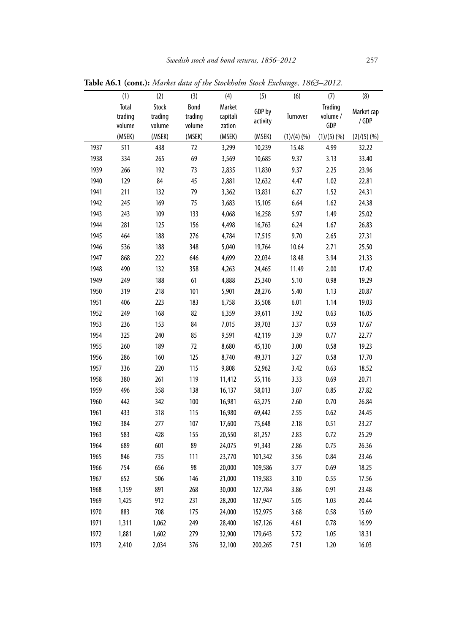|      | (1)     | (2)     | (3)     | (4)      | (5)      | (6)       | (7)            | (8)        |
|------|---------|---------|---------|----------|----------|-----------|----------------|------------|
|      | Total   | Stock   | Bond    | Market   | GDP by   |           | <b>Trading</b> | Market cap |
|      | trading | trading | trading | capitali | activity | Turnover  | volume /       | /GDP       |
|      | volume  | volume  | volume  | zation   |          |           | GDP            |            |
|      | (MSEK)  | (MSEK)  | (MSEK)  | (MSEK)   | (MSEK)   | (1)/(4)(% | (1)/(5)(%      | (2)/(5)(%  |
| 1937 | 511     | 438     | 72      | 3,299    | 10,239   | 15.48     | 4.99           | 32.22      |
| 1938 | 334     | 265     | 69      | 3,569    | 10,685   | 9.37      | 3.13           | 33.40      |
| 1939 | 266     | 192     | 73      | 2,835    | 11,830   | 9.37      | 2.25           | 23.96      |
| 1940 | 129     | 84      | 45      | 2,881    | 12,632   | 4.47      | 1.02           | 22.81      |
| 1941 | 211     | 132     | 79      | 3,362    | 13,831   | 6.27      | 1.52           | 24.31      |
| 1942 | 245     | 169     | 75      | 3,683    | 15,105   | 6.64      | 1.62           | 24.38      |
| 1943 | 243     | 109     | 133     | 4,068    | 16,258   | 5.97      | 1.49           | 25.02      |
| 1944 | 281     | 125     | 156     | 4,498    | 16,763   | 6.24      | 1.67           | 26.83      |
| 1945 | 464     | 188     | 276     | 4,784    | 17,515   | 9.70      | 2.65           | 27.31      |
| 1946 | 536     | 188     | 348     | 5,040    | 19,764   | 10.64     | 2.71           | 25.50      |
| 1947 | 868     | 222     | 646     | 4,699    | 22,034   | 18.48     | 3.94           | 21.33      |
| 1948 | 490     | 132     | 358     | 4,263    | 24,465   | 11.49     | 2.00           | 17.42      |
| 1949 | 249     | 188     | 61      | 4,888    | 25,340   | 5.10      | 0.98           | 19.29      |
| 1950 | 319     | 218     | 101     | 5,901    | 28,276   | 5.40      | 1.13           | 20.87      |
| 1951 | 406     | 223     | 183     | 6,758    | 35,508   | 6.01      | 1.14           | 19.03      |
| 1952 | 249     | 168     | 82      | 6,359    | 39,611   | 3.92      | 0.63           | 16.05      |
| 1953 | 236     | 153     | 84      | 7,015    | 39,703   | 3.37      | 0.59           | 17.67      |
| 1954 | 325     | 240     | 85      | 9,591    | 42,119   | 3.39      | 0.77           | 22.77      |
| 1955 | 260     | 189     | 72      | 8,680    | 45,130   | 3.00      | 0.58           | 19.23      |
| 1956 | 286     | 160     | 125     | 8,740    | 49,371   | 3.27      | 0.58           | 17.70      |
| 1957 | 336     | 220     | 115     | 9,808    | 52,962   | 3.42      | 0.63           | 18.52      |
| 1958 | 380     | 261     | 119     | 11,412   | 55,116   | 3.33      | 0.69           | 20.71      |
| 1959 | 496     | 358     | 138     | 16,137   | 58,013   | 3.07      | 0.85           | 27.82      |
| 1960 | 442     | 342     | 100     | 16,981   | 63,275   | 2.60      | 0.70           | 26.84      |
| 1961 | 433     | 318     | 115     | 16,980   | 69,442   | 2.55      | 0.62           | 24.45      |
| 1962 | 384     | 277     | 107     | 17,600   | 75,648   | 2.18      | 0.51           | 23.27      |
| 1963 | 583     | 428     | 155     | 20,550   | 81,257   | 2.83      | 0.72           | 25.29      |
| 1964 | 689     | 601     | 89      | 24,075   | 91,343   | 2.86      | 0.75           | 26.36      |
| 1965 | 846     | 735     | 111     | 23,770   | 101,342  | 3.56      | 0.84           | 23.46      |
| 1966 | 754     | 656     | 98      | 20,000   | 109,586  | 3.77      | 0.69           | 18.25      |
| 1967 | 652     | 506     | 146     | 21,000   | 119,583  | 3.10      | 0.55           | 17.56      |
| 1968 | 1,159   | 891     | 268     | 30,000   | 127,784  | 3.86      | 0.91           | 23.48      |
| 1969 | 1,425   | 912     | 231     | 28,200   | 137,947  | 5.05      | 1.03           | 20.44      |
| 1970 | 883     | 708     | 175     | 24,000   | 152,975  | 3.68      | 0.58           | 15.69      |
| 1971 | 1,311   | 1,062   | 249     | 28,400   | 167,126  | 4.61      | 0.78           | 16.99      |
| 1972 | 1,881   | 1,602   | 279     | 32,900   | 179,643  | 5.72      | 1.05           | 18.31      |
| 1973 | 2,410   | 2,034   | 376     | 32,100   | 200,265  | 7.51      | 1.20           | 16.03      |
|      |         |         |         |          |          |           |                |            |

**Table A6.1 (cont.):** *Market data of the Stockholm Stock Exchange, 1863–2012.*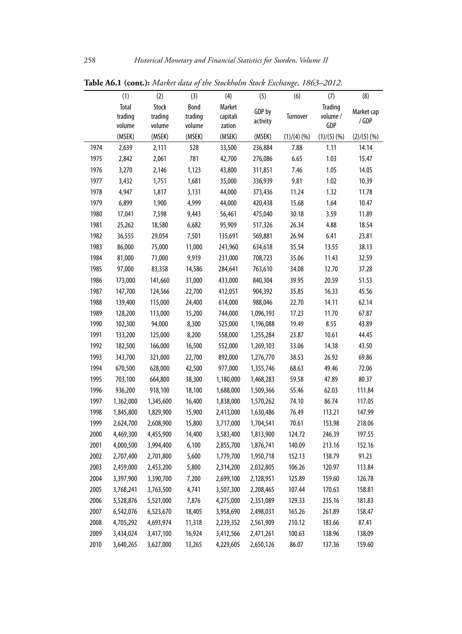|      | (1)          | (2)       | (3)     | (4)       | (5)       | (6)       | (7)            | (8)        |
|------|--------------|-----------|---------|-----------|-----------|-----------|----------------|------------|
|      | <b>Total</b> | Stock     | Bond    | Market    | GDP by    |           | <b>Trading</b> | Market cap |
|      | trading      | trading   | trading | capitali  | activity  | Turnover  | volume /       | /GDP       |
|      | volume       | volume    | volume  | zation    |           |           | GDP            |            |
|      | (MSEK)       | (MSEK)    | (MSEK)  | (MSEK)    | (MSEK)    | (1)/(4)(% | (1)/(5)(%      | (2)/(5)(%  |
| 1974 | 2,639        | 2,111     | 528     | 33,500    | 236,884   | 7.88      | 1.11           | 14.14      |
| 1975 | 2,842        | 2,061     | 781     | 42,700    | 276,086   | 6.65      | 1.03           | 15.47      |
| 1976 | 3,270        | 2,146     | 1,123   | 43,800    | 311,851   | 7.46      | 1.05           | 14.05      |
| 1977 | 3,432        | 1,751     | 1,681   | 35,000    | 336,939   | 9.81      | 1.02           | 10.39      |
| 1978 | 4,947        | 1,817     | 3,131   | 44,000    | 373,436   | 11.24     | 1.32           | 11.78      |
| 1979 | 6,899        | 1,900     | 4,999   | 44,000    | 420,438   | 15.68     | 1.64           | 10.47      |
| 1980 | 17,041       | 7,598     | 9,443   | 56,461    | 475,040   | 30.18     | 3.59           | 11.89      |
| 1981 | 25,262       | 18,580    | 6,682   | 95,909    | 517,326   | 26.34     | 4.88           | 18.54      |
| 1982 | 36,555       | 29,054    | 7,501   | 135,691   | 569,881   | 26.94     | 6.41           | 23.81      |
| 1983 | 86,000       | 75,000    | 11,000  | 241,960   | 634,618   | 35.54     | 13.55          | 38.13      |
| 1984 | 81,000       | 71,000    | 9,919   | 231,000   | 708,723   | 35.06     | 11.43          | 32.59      |
| 1985 | 97,000       | 83,358    | 14,586  | 284,641   | 763,610   | 34.08     | 12.70          | 37.28      |
| 1986 | 173,000      | 141,660   | 31,000  | 433,000   | 840,304   | 39.95     | 20.59          | 51.53      |
| 1987 | 147,700      | 124,566   | 22,700  | 412,051   | 904,392   | 35.85     | 16.33          | 45.56      |
| 1988 | 139,400      | 115,000   | 24,400  | 614,000   | 988,046   | 22.70     | 14.11          | 62.14      |
| 1989 | 128,200      | 113,000   | 15,200  | 744,000   | 1,096,193 | 17.23     | 11.70          | 67.87      |
| 1990 | 102,300      | 94,000    | 8,300   | 525,000   | 1,196,088 | 19.49     | 8.55           | 43.89      |
| 1991 | 133,200      | 125,000   | 8,200   | 558,000   | 1,255,284 | 23.87     | 10.61          | 44.45      |
| 1992 | 182,500      | 166,000   | 16,500  | 552,000   | 1,269,103 | 33.06     | 14.38          | 43.50      |
| 1993 | 343,700      | 321,000   | 22,700  | 892,000   | 1,276,770 | 38.53     | 26.92          | 69.86      |
| 1994 | 670,500      | 628,000   | 42,500  | 977,000   | 1,355,746 | 68.63     | 49.46          | 72.06      |
| 1995 | 703,100      | 664,800   | 38,300  | 1,180,000 | 1,468,283 | 59.58     | 47.89          | 80.37      |
| 1996 | 936,200      | 918,100   | 18,100  | 1,688,000 | 1,509,366 | 55.46     | 62.03          | 111.84     |
| 1997 | 1,362,000    | 1,345,600 | 16,400  | 1,838,000 | 1,570,262 | 74.10     | 86.74          | 117.05     |
| 1998 | 1,845,800    | 1,829,900 | 15,900  | 2,413,000 | 1,630,486 | 76.49     | 113.21         | 147.99     |
| 1999 | 2,624,700    | 2,608,900 | 15,800  | 3,717,000 | 1,704,541 | 70.61     | 153.98         | 218.06     |
| 2000 | 4,469,300    | 4,455,900 | 14,400  | 3,583,400 | 1,813,900 | 124.72    | 246.39         | 197.55     |
| 2001 | 4,000,500    | 3,994,400 | 6,100   | 2,855,700 | 1,876,741 | 140.09    | 213.16         | 152.16     |
| 2002 | 2,707,400    | 2,701,800 | 5,600   | 1,779,700 | 1,950,718 | 152.13    | 138.79         | 91.23      |
| 2003 | 2,459,000    | 2,453,200 | 5,800   | 2,314,200 | 2,032,805 | 106.26    | 120.97         | 113.84     |
| 2004 | 3,397,900    | 3,390,700 | 7,200   | 2,699,100 | 2,128,951 | 125.89    | 159.60         | 126.78     |
| 2005 | 3,768,241    | 3,763,500 | 4,741   | 3,507,300 | 2,208,465 | 107.44    | 170.63         | 158.81     |
| 2006 | 5,528,876    | 5,521,000 | 7,876   | 4,275,000 | 2,351,089 | 129.33    | 235.16         | 181.83     |
| 2007 | 6,542,076    | 6,523,670 | 18,405  | 3,958,690 | 2,498,031 | 165.26    | 261.89         | 158.47     |
| 2008 | 4,705,292    | 4,693,974 | 11,318  | 2,239,352 | 2,561,909 | 210.12    | 183.66         | 87.41      |
| 2009 | 3,434,024    | 3,417,100 | 16,924  | 3,412,566 | 2,471,261 | 100.63    | 138.96         | 138.09     |
| 2010 | 3,640,265    | 3,627,000 | 13,265  | 4,229,605 | 2,650,126 | 86.07     | 137.36         | 159.60     |
|      |              |           |         |           |           |           |                |            |

**Table A6.1 (cont.):** *Market data of the Stockholm Stock Exchange, 1863–2012.*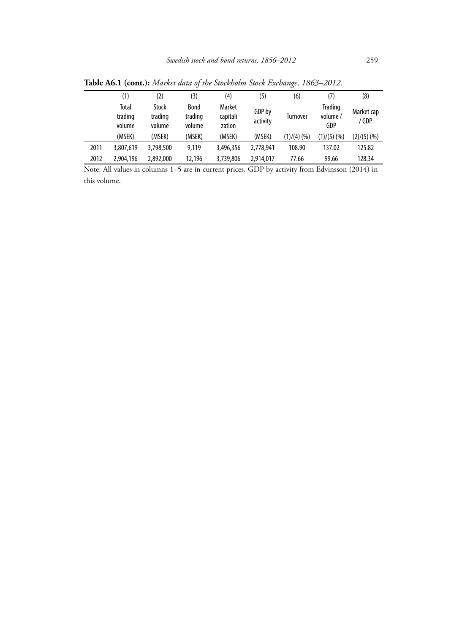|      | (1)                        | (2)                        | (3)                              | (4)                          | (5)                | (6)             | (7)                        | (8)                 |
|------|----------------------------|----------------------------|----------------------------------|------------------------------|--------------------|-----------------|----------------------------|---------------------|
|      | Total<br>trading<br>volume | Stock<br>trading<br>volume | <b>Bond</b><br>trading<br>volume | Market<br>capitali<br>zation | GDP by<br>activity | <b>Turnover</b> | Trading<br>volume /<br>GDP | Market cap<br>/ GDP |
|      | (MSEK)                     | (MSEK)                     | (MSEK)                           | (MSEK)                       | (MSEK)             | (1)/(4)(%       | $(1)/(5)$ (%)              | (2)/(5)(%           |
| 2011 | 3,807,619                  | 3,798,500                  | 9.119                            | 3,496,356                    | 2.778.941          | 108.90          | 137.02                     | 125.82              |
| 2012 | 2,904,196                  | 2,892,000                  | 12,196                           | 3,739,806                    | 2,914,017          | 77.66           | 99.66                      | 128.34              |

**Table A6.1 (cont.):** *Market data of the Stockholm Stock Exchange, 1863–2012.*

Note: All values in columns 1–5 are in current prices. GDP by activity from Edvinsson (2014) in this volume.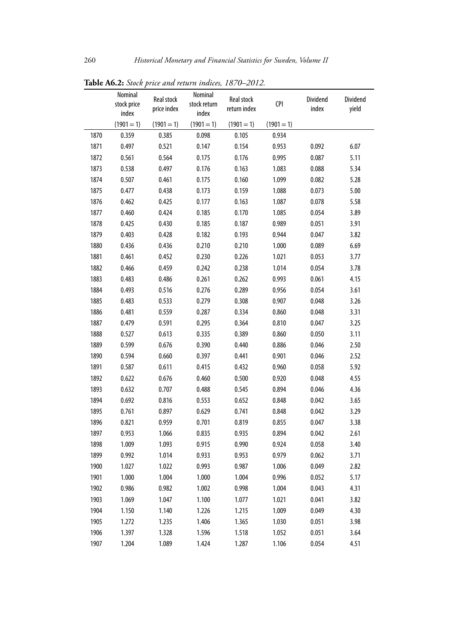|      | Nominal              |                           | Nominal               |                            |              |                   |                   |
|------|----------------------|---------------------------|-----------------------|----------------------------|--------------|-------------------|-------------------|
|      | stock price<br>index | Real stock<br>price index | stock return<br>index | Real stock<br>return index | <b>CPI</b>   | Dividend<br>index | Dividend<br>yield |
|      | $(1901 = 1)$         | $(1901 = 1)$              | $(1901 = 1)$          | $(1901 = 1)$               | $(1901 = 1)$ |                   |                   |
| 1870 | 0.359                | 0.385                     | 0.098                 | 0.105                      | 0.934        |                   |                   |
| 1871 | 0.497                | 0.521                     | 0.147                 | 0.154                      | 0.953        | 0.092             | 6.07              |
| 1872 | 0.561                | 0.564                     | 0.175                 | 0.176                      | 0.995        | 0.087             | 5.11              |
| 1873 | 0.538                | 0.497                     | 0.176                 | 0.163                      | 1.083        | 0.088             | 5.34              |
| 1874 | 0.507                | 0.461                     | 0.175                 | 0.160                      | 1.099        | 0.082             | 5.28              |
| 1875 | 0.477                | 0.438                     | 0.173                 | 0.159                      | 1.088        | 0.073             | 5.00              |
| 1876 | 0.462                | 0.425                     | 0.177                 | 0.163                      | 1.087        | 0.078             | 5.58              |
| 1877 | 0.460                | 0.424                     | 0.185                 | 0.170                      | 1.085        | 0.054             | 3.89              |
| 1878 | 0.425                | 0.430                     | 0.185                 | 0.187                      | 0.989        | 0.051             | 3.91              |
| 1879 | 0.403                | 0.428                     | 0.182                 | 0.193                      | 0.944        | 0.047             | 3.82              |
| 1880 | 0.436                | 0.436                     | 0.210                 | 0.210                      | 1.000        | 0.089             | 6.69              |
| 1881 | 0.461                | 0.452                     | 0.230                 | 0.226                      | 1.021        | 0.053             | 3.77              |
| 1882 | 0.466                | 0.459                     | 0.242                 | 0.238                      | 1.014        | 0.054             | 3.78              |
| 1883 | 0.483                | 0.486                     | 0.261                 | 0.262                      | 0.993        | 0.061             | 4.15              |
| 1884 | 0.493                | 0.516                     | 0.276                 | 0.289                      | 0.956        | 0.054             | 3.61              |
| 1885 | 0.483                | 0.533                     | 0.279                 | 0.308                      | 0.907        | 0.048             | 3.26              |
| 1886 | 0.481                | 0.559                     | 0.287                 | 0.334                      | 0.860        | 0.048             | 3.31              |
| 1887 | 0.479                | 0.591                     | 0.295                 | 0.364                      | 0.810        | 0.047             | 3.25              |
| 1888 | 0.527                | 0.613                     | 0.335                 | 0.389                      | 0.860        | 0.050             | 3.11              |
| 1889 | 0.599                | 0.676                     | 0.390                 | 0.440                      | 0.886        | 0.046             | 2.50              |
| 1890 | 0.594                | 0.660                     | 0.397                 | 0.441                      | 0.901        | 0.046             | 2.52              |
| 1891 | 0.587                | 0.611                     | 0.415                 | 0.432                      | 0.960        | 0.058             | 5.92              |
| 1892 | 0.622                | 0.676                     | 0.460                 | 0.500                      | 0.920        | 0.048             | 4.55              |
| 1893 | 0.632                | 0.707                     | 0.488                 | 0.545                      | 0.894        | 0.046             | 4.36              |
| 1894 | 0.692                | 0.816                     | 0.553                 | 0.652                      | 0.848        | 0.042             | 3.65              |
| 1895 | 0.761                | 0.897                     | 0.629                 | 0.741                      | 0.848        | 0.042             | 3.29              |
| 1896 | 0.821                | 0.959                     | 0.701                 | 0.819                      | 0.855        | 0.047             | 3.38              |
| 1897 | 0.953                | 1.066                     | 0.835                 | 0.935                      | 0.894        | 0.042             | 2.61              |
| 1898 | 1.009                | 1.093                     | 0.915                 | 0.990                      | 0.924        | 0.058             | 3.40              |
| 1899 | 0.992                | 1.014                     | 0.933                 | 0.953                      | 0.979        | 0.062             | 3.71              |
| 1900 | 1.027                | 1.022                     | 0.993                 | 0.987                      | 1.006        | 0.049             | 2.82              |
| 1901 | 1.000                | 1.004                     | 1.000                 | 1.004                      | 0.996        | 0.052             | 5.17              |
| 1902 | 0.986                | 0.982                     | 1.002                 | 0.998                      | 1.004        | 0.043             | 4.31              |
| 1903 | 1.069                | 1.047                     | 1.100                 | 1.077                      | 1.021        | 0.041             | 3.82              |
| 1904 | 1.150                | 1.140                     | 1.226                 | 1.215                      | 1.009        | 0.049             | 4.30              |
| 1905 | 1.272                | 1.235                     | 1.406                 | 1.365                      | 1.030        | 0.051             | 3.98              |
| 1906 | 1.397                | 1.328                     | 1.596                 | 1.518                      | 1.052        | 0.051             | 3.64              |
| 1907 | 1.204                | 1.089                     | 1.424                 | 1.287                      | 1.106        | 0.054             | 4.51              |

**Table A6.2:** *Stock price and return indices, 1870–2012.*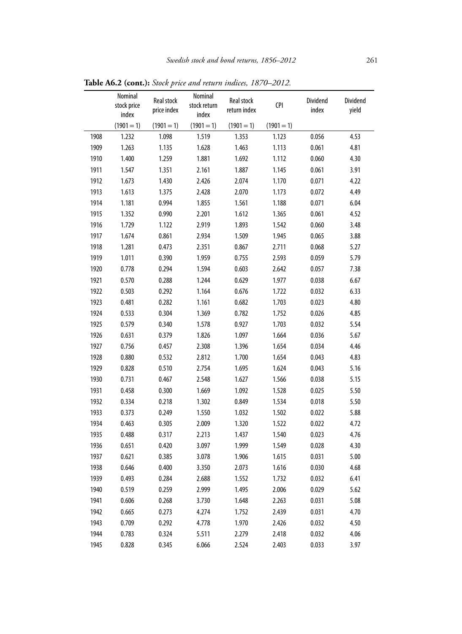|      | Nominal<br>stock price<br>index | Real stock<br>price index | Nominal<br>stock return<br>index | Real stock<br>return index | <b>CPI</b>   | Dividend<br>index | Dividend<br>yield |
|------|---------------------------------|---------------------------|----------------------------------|----------------------------|--------------|-------------------|-------------------|
|      | $(1901 = 1)$                    | $(1901 = 1)$              | $(1901 = 1)$                     | $(1901 = 1)$               | $(1901 = 1)$ |                   |                   |
| 1908 | 1.232                           | 1.098                     | 1.519                            | 1.353                      | 1.123        | 0.056             | 4.53              |
| 1909 | 1.263                           | 1.135                     | 1.628                            | 1.463                      | 1.113        | 0.061             | 4.81              |
| 1910 | 1.400                           | 1.259                     | 1.881                            | 1.692                      | 1.112        | 0.060             | 4.30              |
| 1911 | 1.547                           | 1.351                     | 2.161                            | 1.887                      | 1.145        | 0.061             | 3.91              |
| 1912 | 1.673                           | 1.430                     | 2.426                            | 2.074                      | 1.170        | 0.071             | 4.22              |
| 1913 | 1.613                           | 1.375                     | 2.428                            | 2.070                      | 1.173        | 0.072             | 4.49              |
| 1914 | 1.181                           | 0.994                     | 1.855                            | 1.561                      | 1.188        | 0.071             | 6.04              |
| 1915 | 1.352                           | 0.990                     | 2.201                            | 1.612                      | 1.365        | 0.061             | 4.52              |
| 1916 | 1.729                           | 1.122                     | 2.919                            | 1.893                      | 1.542        | 0.060             | 3.48              |
| 1917 | 1.674                           | 0.861                     | 2.934                            | 1.509                      | 1.945        | 0.065             | 3.88              |
| 1918 | 1.281                           | 0.473                     | 2.351                            | 0.867                      | 2.711        | 0.068             | 5.27              |
| 1919 | 1.011                           | 0.390                     | 1.959                            | 0.755                      | 2.593        | 0.059             | 5.79              |
| 1920 | 0.778                           | 0.294                     | 1.594                            | 0.603                      | 2.642        | 0.057             | 7.38              |
| 1921 | 0.570                           | 0.288                     | 1.244                            | 0.629                      | 1.977        | 0.038             | 6.67              |
| 1922 | 0.503                           | 0.292                     | 1.164                            | 0.676                      | 1.722        | 0.032             | 6.33              |
| 1923 | 0.481                           | 0.282                     | 1.161                            | 0.682                      | 1.703        | 0.023             | 4.80              |
| 1924 | 0.533                           | 0.304                     | 1.369                            | 0.782                      | 1.752        | 0.026             | 4.85              |
| 1925 | 0.579                           | 0.340                     | 1.578                            | 0.927                      | 1.703        | 0.032             | 5.54              |
| 1926 | 0.631                           | 0.379                     | 1.826                            | 1.097                      | 1.664        | 0.036             | 5.67              |
| 1927 | 0.756                           | 0.457                     | 2.308                            | 1.396                      | 1.654        | 0.034             | 4.46              |
| 1928 | 0.880                           | 0.532                     | 2.812                            | 1.700                      | 1.654        | 0.043             | 4.83              |
| 1929 | 0.828                           | 0.510                     | 2.754                            | 1.695                      | 1.624        | 0.043             | 5.16              |
| 1930 | 0.731                           | 0.467                     | 2.548                            | 1.627                      | 1.566        | 0.038             | 5.15              |
| 1931 | 0.458                           | 0.300                     | 1.669                            | 1.092                      | 1.528        | 0.025             | 5.50              |
| 1932 | 0.334                           | 0.218                     | 1.302                            | 0.849                      | 1.534        | 0.018             | 5.50              |
| 1933 | 0.373                           | 0.249                     | 1.550                            | 1.032                      | 1.502        | 0.022             | 5.88              |
| 1934 | 0.463                           | 0.305                     | 2.009                            | 1.320                      | 1.522        | 0.022             | 4.72              |
| 1935 | 0.488                           | 0.317                     | 2.213                            | 1.437                      | 1.540        | 0.023             | 4.76              |
| 1936 | 0.651                           | 0.420                     | 3.097                            | 1.999                      | 1.549        | 0.028             | 4.30              |
| 1937 | 0.621                           | 0.385                     | 3.078                            | 1.906                      | 1.615        | 0.031             | 5.00              |
| 1938 | 0.646                           | 0.400                     | 3.350                            | 2.073                      | 1.616        | 0.030             | 4.68              |
| 1939 | 0.493                           | 0.284                     | 2.688                            | 1.552                      | 1.732        | 0.032             | 6.41              |
| 1940 | 0.519                           | 0.259                     | 2.999                            | 1.495                      | 2.006        | 0.029             | 5.62              |
| 1941 | 0.606                           | 0.268                     | 3.730                            | 1.648                      | 2.263        | 0.031             | 5.08              |
| 1942 | 0.665                           | 0.273                     | 4.274                            | 1.752                      | 2.439        | 0.031             | 4.70              |
| 1943 | 0.709                           | 0.292                     | 4.778                            | 1.970                      | 2.426        | 0.032             | 4.50              |
| 1944 | 0.783                           | 0.324                     | 5.511                            | 2.279                      | 2.418        | 0.032             | 4.06              |
| 1945 | 0.828                           | 0.345                     | 6.066                            | 2.524                      | 2.403        | 0.033             | 3.97              |

**Table A6.2 (cont.):** *Stock price and return indices, 1870–2012.*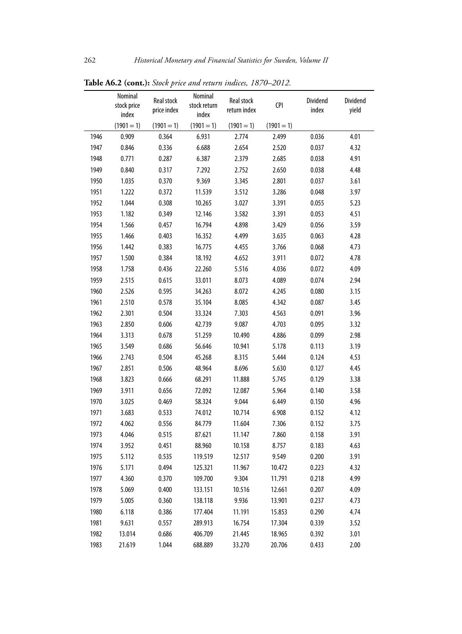|      | Nominal<br>stock price<br>index | <b>Real stock</b><br>price index | Nominal<br>stock return<br>index | Real stock<br>return index | <b>CPI</b>   | Dividend<br>index | Dividend<br>yield |
|------|---------------------------------|----------------------------------|----------------------------------|----------------------------|--------------|-------------------|-------------------|
|      | $(1901 = 1)$                    | $(1901 = 1)$                     | $(1901 = 1)$                     | $(1901 = 1)$               | $(1901 = 1)$ |                   |                   |
| 1946 | 0.909                           | 0.364                            | 6.931                            | 2.774                      | 2.499        | 0.036             | 4.01              |
| 1947 | 0.846                           | 0.336                            | 6.688                            | 2.654                      | 2.520        | 0.037             | 4.32              |
| 1948 | 0.771                           | 0.287                            | 6.387                            | 2.379                      | 2.685        | 0.038             | 4.91              |
| 1949 | 0.840                           | 0.317                            | 7.292                            | 2.752                      | 2.650        | 0.038             | 4.48              |
| 1950 | 1.035                           | 0.370                            | 9.369                            | 3.345                      | 2.801        | 0.037             | 3.61              |
| 1951 | 1.222                           | 0.372                            | 11.539                           | 3.512                      | 3.286        | 0.048             | 3.97              |
| 1952 | 1.044                           | 0.308                            | 10.265                           | 3.027                      | 3.391        | 0.055             | 5.23              |
| 1953 | 1.182                           | 0.349                            | 12.146                           | 3.582                      | 3.391        | 0.053             | 4.51              |
| 1954 | 1.566                           | 0.457                            | 16.794                           | 4.898                      | 3.429        | 0.056             | 3.59              |
| 1955 | 1.466                           | 0.403                            | 16.352                           | 4.499                      | 3.635        | 0.063             | 4.28              |
| 1956 | 1.442                           | 0.383                            | 16.775                           | 4.455                      | 3.766        | 0.068             | 4.73              |
| 1957 | 1.500                           | 0.384                            | 18.192                           | 4.652                      | 3.911        | 0.072             | 4.78              |
| 1958 | 1.758                           | 0.436                            | 22.260                           | 5.516                      | 4.036        | 0.072             | 4.09              |
| 1959 | 2.515                           | 0.615                            | 33.011                           | 8.073                      | 4.089        | 0.074             | 2.94              |
| 1960 | 2.526                           | 0.595                            | 34.263                           | 8.072                      | 4.245        | 0.080             | 3.15              |
| 1961 | 2.510                           | 0.578                            | 35.104                           | 8.085                      | 4.342        | 0.087             | 3.45              |
| 1962 | 2.301                           | 0.504                            | 33.324                           | 7.303                      | 4.563        | 0.091             | 3.96              |
| 1963 | 2.850                           | 0.606                            | 42.739                           | 9.087                      | 4.703        | 0.095             | 3.32              |
| 1964 | 3.313                           | 0.678                            | 51.259                           | 10.490                     | 4.886        | 0.099             | 2.98              |
| 1965 | 3.549                           | 0.686                            | 56.646                           | 10.941                     | 5.178        | 0.113             | 3.19              |
| 1966 | 2.743                           | 0.504                            | 45.268                           | 8.315                      | 5.444        | 0.124             | 4.53              |
| 1967 | 2.851                           | 0.506                            | 48.964                           | 8.696                      | 5.630        | 0.127             | 4.45              |
| 1968 | 3.823                           | 0.666                            | 68.291                           | 11.888                     | 5.745        | 0.129             | 3.38              |
| 1969 | 3.911                           | 0.656                            | 72.092                           | 12.087                     | 5.964        | 0.140             | 3.58              |
| 1970 | 3.025                           | 0.469                            | 58.324                           | 9.044                      | 6.449        | 0.150             | 4.96              |
| 1971 | 3.683                           | 0.533                            | 74.012                           | 10.714                     | 6.908        | 0.152             | 4.12              |
| 1972 | 4.062                           | 0.556                            | 84.779                           | 11.604                     | 7.306        | 0.152             | 3.75              |
| 1973 | 4.046                           | 0.515                            | 87.621                           | 11.147                     | 7.860        | 0.158             | 3.91              |
| 1974 | 3.952                           | 0.451                            | 88.960                           | 10.158                     | 8.757        | 0.183             | 4.63              |
| 1975 | 5.112                           | 0.535                            | 119.519                          | 12.517                     | 9.549        | 0.200             | 3.91              |
| 1976 | 5.171                           | 0.494                            | 125.321                          | 11.967                     | 10.472       | 0.223             | 4.32              |
| 1977 | 4.360                           | 0.370                            | 109.700                          | 9.304                      | 11.791       | 0.218             | 4.99              |
| 1978 | 5.069                           | 0.400                            | 133.151                          | 10.516                     | 12.661       | 0.207             | 4.09              |
| 1979 | 5.005                           | 0.360                            | 138.118                          | 9.936                      | 13.901       | 0.237             | 4.73              |
| 1980 | 6.118                           | 0.386                            | 177.404                          | 11.191                     | 15.853       | 0.290             | 4.74              |
| 1981 | 9.631                           | 0.557                            | 289.913                          | 16.754                     | 17.304       | 0.339             | 3.52              |
| 1982 | 13.014                          | 0.686                            | 406.709                          | 21.445                     | 18.965       | 0.392             | 3.01              |
| 1983 | 21.619                          | 1.044                            | 688.889                          | 33.270                     | 20.706       | 0.433             | 2.00              |

**Table A6.2 (cont.):** *Stock price and return indices, 1870–2012.*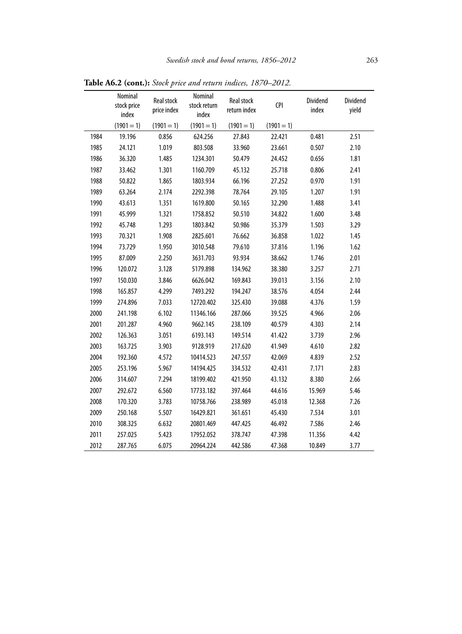|      | Nominal<br>stock price<br>index | Real stock<br>price index | Nominal<br>stock return<br>index | Real stock<br>return index | <b>CPI</b>   | Dividend<br>index | Dividend<br>yield |
|------|---------------------------------|---------------------------|----------------------------------|----------------------------|--------------|-------------------|-------------------|
|      | $(1901 = 1)$                    | $(1901 = 1)$              | $(1901 = 1)$                     | $(1901 = 1)$               | $(1901 = 1)$ |                   |                   |
| 1984 | 19.196                          | 0.856                     | 624.256                          | 27.843                     | 22.421       | 0.481             | 2.51              |
| 1985 | 24.121                          | 1.019                     | 803.508                          | 33.960                     | 23.661       | 0.507             | 2.10              |
| 1986 | 36.320                          | 1.485                     | 1234.301                         | 50.479                     | 24.452       | 0.656             | 1.81              |
| 1987 | 33.462                          | 1.301                     | 1160.709                         | 45.132                     | 25.718       | 0.806             | 2.41              |
| 1988 | 50.822                          | 1.865                     | 1803.934                         | 66.196                     | 27.252       | 0.970             | 1.91              |
| 1989 | 63.264                          | 2.174                     | 2292.398                         | 78.764                     | 29.105       | 1.207             | 1.91              |
| 1990 | 43.613                          | 1.351                     | 1619.800                         | 50.165                     | 32.290       | 1.488             | 3.41              |
| 1991 | 45.999                          | 1.321                     | 1758.852                         | 50.510                     | 34.822       | 1.600             | 3.48              |
| 1992 | 45.748                          | 1.293                     | 1803.842                         | 50.986                     | 35.379       | 1.503             | 3.29              |
| 1993 | 70.321                          | 1.908                     | 2825.601                         | 76.662                     | 36.858       | 1.022             | 1.45              |
| 1994 | 73.729                          | 1.950                     | 3010.548                         | 79.610                     | 37.816       | 1.196             | 1.62              |
| 1995 | 87.009                          | 2.250                     | 3631.703                         | 93.934                     | 38.662       | 1.746             | 2.01              |
| 1996 | 120.072                         | 3.128                     | 5179.898                         | 134.962                    | 38.380       | 3.257             | 2.71              |
| 1997 | 150.030                         | 3.846                     | 6626.042                         | 169.843                    | 39.013       | 3.156             | 2.10              |
| 1998 | 165.857                         | 4.299                     | 7493.292                         | 194.247                    | 38.576       | 4.054             | 2.44              |
| 1999 | 274.896                         | 7.033                     | 12720.402                        | 325.430                    | 39.088       | 4.376             | 1.59              |
| 2000 | 241.198                         | 6.102                     | 11346.166                        | 287.066                    | 39.525       | 4.966             | 2.06              |
| 2001 | 201.287                         | 4.960                     | 9662.145                         | 238.109                    | 40.579       | 4.303             | 2.14              |
| 2002 | 126.363                         | 3.051                     | 6193.143                         | 149.514                    | 41.422       | 3.739             | 2.96              |
| 2003 | 163.725                         | 3.903                     | 9128.919                         | 217.620                    | 41.949       | 4.610             | 2.82              |
| 2004 | 192.360                         | 4.572                     | 10414.523                        | 247.557                    | 42.069       | 4.839             | 2.52              |
| 2005 | 253.196                         | 5.967                     | 14194.425                        | 334.532                    | 42.431       | 7.171             | 2.83              |
| 2006 | 314.607                         | 7.294                     | 18199.402                        | 421.950                    | 43.132       | 8.380             | 2.66              |
| 2007 | 292.672                         | 6.560                     | 17733.182                        | 397.464                    | 44.616       | 15.969            | 5.46              |
| 2008 | 170.320                         | 3.783                     | 10758.766                        | 238.989                    | 45.018       | 12.368            | 7.26              |
| 2009 | 250.168                         | 5.507                     | 16429.821                        | 361.651                    | 45.430       | 7.534             | 3.01              |
| 2010 | 308.325                         | 6.632                     | 20801.469                        | 447.425                    | 46.492       | 7.586             | 2.46              |
| 2011 | 257.025                         | 5.423                     | 17952.052                        | 378.747                    | 47.398       | 11.356            | 4.42              |
| 2012 | 287.765                         | 6.075                     | 20964.224                        | 442.586                    | 47.368       | 10.849            | 3.77              |

**Table A6.2 (cont.):** *Stock price and return indices, 1870–2012.*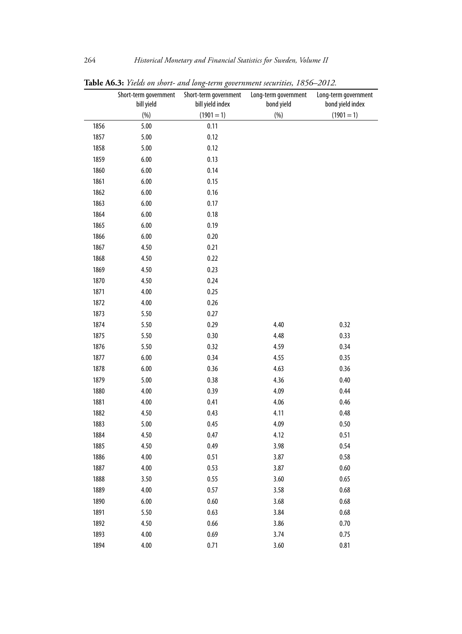|      | Short-term government | Short-term government | Long-term government | Long-term government |
|------|-----------------------|-----------------------|----------------------|----------------------|
|      | bill yield            | bill yield index      | bond yield           | bond yield index     |
|      | (%)                   | $(1901 = 1)$          | (%)                  | $(1901 = 1)$         |
| 1856 | 5.00                  | 0.11                  |                      |                      |
| 1857 | 5.00                  | 0.12                  |                      |                      |
| 1858 | 5.00                  | 0.12                  |                      |                      |
| 1859 | 6.00                  | 0.13                  |                      |                      |
| 1860 | 6.00                  | 0.14                  |                      |                      |
| 1861 | 6.00                  | 0.15                  |                      |                      |
| 1862 | 6.00                  | 0.16                  |                      |                      |
| 1863 | 6.00                  | 0.17                  |                      |                      |
| 1864 | 6.00                  | 0.18                  |                      |                      |
| 1865 | 6.00                  | 0.19                  |                      |                      |
| 1866 | 6.00                  | 0.20                  |                      |                      |
| 1867 | 4.50                  | 0.21                  |                      |                      |
| 1868 | 4.50                  | 0.22                  |                      |                      |
| 1869 | 4.50                  | 0.23                  |                      |                      |
| 1870 | 4.50                  | 0.24                  |                      |                      |
| 1871 | 4.00                  | 0.25                  |                      |                      |
| 1872 | 4.00                  | 0.26                  |                      |                      |
| 1873 | 5.50                  | 0.27                  |                      |                      |
| 1874 | 5.50                  | 0.29                  | 4.40                 | 0.32                 |
| 1875 | 5.50                  | 0.30                  | 4.48                 | 0.33                 |
| 1876 | 5.50                  | 0.32                  | 4.59                 | 0.34                 |
| 1877 | 6.00                  | 0.34                  | 4.55                 | 0.35                 |
| 1878 | 6.00                  | 0.36                  | 4.63                 | 0.36                 |
| 1879 | 5.00                  | 0.38                  | 4.36                 | 0.40                 |
| 1880 | 4.00                  | 0.39                  | 4.09                 | 0.44                 |
| 1881 | 4.00                  | 0.41                  | 4.06                 | 0.46                 |
| 1882 | 4.50                  | 0.43                  | 4.11                 | 0.48                 |
| 1883 | 5.00                  | 0.45                  | 4.09                 | 0.50                 |
| 1884 | 4.50                  | 0.47                  | 4.12                 | 0.51                 |
| 1885 | 4.50                  | 0.49                  | 3.98                 | 0.54                 |
| 1886 | 4.00                  | 0.51                  | 3.87                 | 0.58                 |
| 1887 | 4.00                  | 0.53                  | 3.87                 | 0.60                 |
| 1888 | 3.50                  | 0.55                  | 3.60                 | 0.65                 |
| 1889 | 4.00                  | 0.57                  | 3.58                 | 0.68                 |
| 1890 | 6.00                  | 0.60                  | 3.68                 | 0.68                 |
| 1891 | 5.50                  | 0.63                  | 3.84                 | 0.68                 |
| 1892 | 4.50                  | 0.66                  | 3.86                 | 0.70                 |
| 1893 | 4.00                  | 0.69                  | 3.74                 | 0.75                 |
| 1894 | 4.00                  | 0.71                  | 3.60                 | 0.81                 |

**Table A6.3:** *Yields on short- and long-term government securities, 1856–2012.*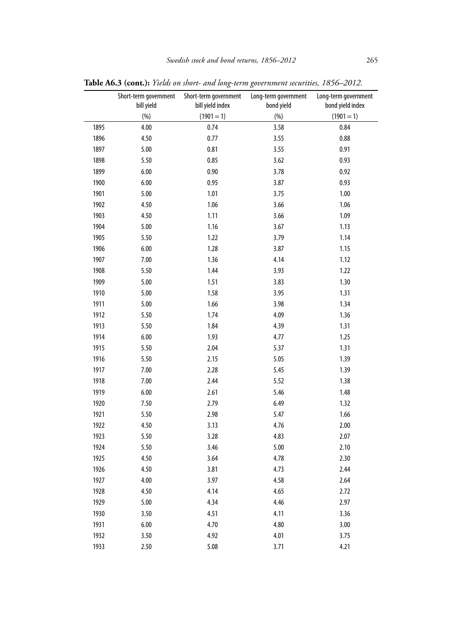|      | Short-term government<br>bill yield | Short-term government<br>bill yield index | Long-term government<br>bond yield | Long-term government<br>bond yield index |
|------|-------------------------------------|-------------------------------------------|------------------------------------|------------------------------------------|
|      | (%)                                 | $(1901 = 1)$                              | (%)                                | $(1901 = 1)$                             |
| 1895 | 4.00                                | 0.74                                      | 3.58                               | 0.84                                     |
| 1896 | 4.50                                | 0.77                                      | 3.55                               | 0.88                                     |
| 1897 | 5.00                                | 0.81                                      | 3.55                               | 0.91                                     |
| 1898 | 5.50                                | 0.85                                      | 3.62                               | 0.93                                     |
| 1899 | 6.00                                | 0.90                                      | 3.78                               | 0.92                                     |
| 1900 | 6.00                                | 0.95                                      | 3.87                               | 0.93                                     |
| 1901 | 5.00                                | 1.01                                      | 3.75                               | 1.00                                     |
| 1902 | 4.50                                | 1.06                                      | 3.66                               | 1.06                                     |
| 1903 | 4.50                                | 1.11                                      | 3.66                               | 1.09                                     |
| 1904 | $5.00$                              | 1.16                                      | 3.67                               | 1.13                                     |
| 1905 | 5.50                                | 1.22                                      | 3.79                               | 1.14                                     |
| 1906 | 6.00                                | 1.28                                      | 3.87                               | 1.15                                     |
| 1907 | 7.00                                | 1.36                                      | 4.14                               | 1.12                                     |
| 1908 | 5.50                                | 1.44                                      | 3.93                               | 1.22                                     |
| 1909 | 5.00                                | 1.51                                      | 3.83                               | 1.30                                     |
| 1910 | 5.00                                | 1.58                                      | 3.95                               | 1.31                                     |
| 1911 | 5.00                                | 1.66                                      | 3.98                               | 1.34                                     |
| 1912 | 5.50                                | 1.74                                      | 4.09                               | 1.36                                     |
| 1913 | 5.50                                | 1.84                                      | 4.39                               | 1.31                                     |
| 1914 | 6.00                                | 1.93                                      | 4.77                               | 1.25                                     |
| 1915 | 5.50                                | 2.04                                      | 5.37                               | 1.31                                     |
| 1916 | 5.50                                | 2.15                                      | 5.05                               | 1.39                                     |
| 1917 | 7.00                                | 2.28                                      | 5.45                               | 1.39                                     |
| 1918 | 7.00                                | 2.44                                      | 5.52                               | 1.38                                     |
| 1919 | 6.00                                | 2.61                                      | 5.46                               | 1.48                                     |
| 1920 | 7.50                                | 2.79                                      | 6.49                               | 1.32                                     |
| 1921 | 5.50                                | 2.98                                      | 5.47                               | 1.66                                     |
| 1922 | 4.50                                | 3.13                                      | 4.76                               | 2.00                                     |
| 1923 | 5.50                                | 3.28                                      | 4.83                               | 2.07                                     |
| 1924 | 5.50                                | 3.46                                      | 5.00                               | 2.10                                     |
| 1925 | 4.50                                | 3.64                                      | 4.78                               | 2.30                                     |
| 1926 | 4.50                                | 3.81                                      | 4.73                               | 2.44                                     |
| 1927 | 4.00                                | 3.97                                      | 4.58                               | 2.64                                     |
| 1928 | 4.50                                | 4.14                                      | 4.65                               | 2.72                                     |
| 1929 | $5.00\,$                            | 4.34                                      | 4.46                               | 2.97                                     |
| 1930 | 3.50                                | 4.51                                      | 4.11                               | 3.36                                     |
| 1931 | 6.00                                | 4.70                                      | 4.80                               | 3.00                                     |
| 1932 | 3.50                                | 4.92                                      | 4.01                               | 3.75                                     |
| 1933 | 2.50                                | 5.08                                      | 3.71                               | 4.21                                     |

**Table A6.3 (cont.):** *Yields on short- and long-term government securities, 1856–2012.*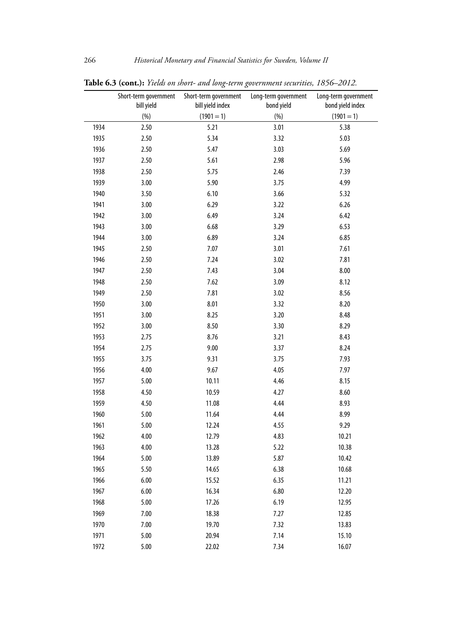|      | Short-term government | Short-term government | Long-term government | Long-term government |
|------|-----------------------|-----------------------|----------------------|----------------------|
|      | bill yield            | bill yield index      | bond yield           | bond yield index     |
|      | (%)                   | $(1901 = 1)$          | (%)                  | $(1901 = 1)$         |
| 1934 | 2.50                  | 5.21                  | 3.01                 | 5.38                 |
| 1935 | 2.50                  | 5.34                  | 3.32                 | 5.03                 |
| 1936 | 2.50                  | 5.47                  | 3.03                 | 5.69                 |
| 1937 | 2.50                  | 5.61                  | 2.98                 | 5.96                 |
| 1938 | 2.50                  | 5.75                  | 2.46                 | 7.39                 |
| 1939 | 3.00                  | 5.90                  | 3.75                 | 4.99                 |
| 1940 | 3.50                  | 6.10                  | 3.66                 | 5.32                 |
| 1941 | 3.00                  | 6.29                  | 3.22                 | 6.26                 |
| 1942 | 3.00                  | 6.49                  | 3.24                 | 6.42                 |
| 1943 | 3.00                  | 6.68                  | 3.29                 | 6.53                 |
| 1944 | 3.00                  | 6.89                  | 3.24                 | 6.85                 |
| 1945 | 2.50                  | 7.07                  | 3.01                 | 7.61                 |
| 1946 | 2.50                  | 7.24                  | 3.02                 | 7.81                 |
| 1947 | 2.50                  | 7.43                  | 3.04                 | 8.00                 |
| 1948 | 2.50                  | 7.62                  | 3.09                 | 8.12                 |
| 1949 | 2.50                  | 7.81                  | 3.02                 | 8.56                 |
| 1950 | 3.00                  | 8.01                  | 3.32                 | 8.20                 |
| 1951 | 3.00                  | 8.25                  | 3.20                 | 8.48                 |
| 1952 | 3.00                  | 8.50                  | 3.30                 | 8.29                 |
| 1953 | 2.75                  | 8.76                  | 3.21                 | 8.43                 |
| 1954 | 2.75                  | 9.00                  | 3.37                 | 8.24                 |
| 1955 | 3.75                  | 9.31                  | 3.75                 | 7.93                 |
| 1956 | 4.00                  | 9.67                  | 4.05                 | 7.97                 |
| 1957 | 5.00                  | 10.11                 | 4.46                 | 8.15                 |
| 1958 | 4.50                  | 10.59                 | 4.27                 | 8.60                 |
| 1959 | 4.50                  | 11.08                 | 4.44                 | 8.93                 |
| 1960 | 5.00                  | 11.64                 | 4.44                 | 8.99                 |
| 1961 | 5.00                  | 12.24                 | 4.55                 | 9.29                 |
| 1962 | 4.00                  | 12.79                 | 4.83                 | 10.21                |
| 1963 | 4.00                  | 13.28                 | 5.22                 | 10.38                |
| 1964 | 5.00                  | 13.89                 | 5.87                 | 10.42                |
| 1965 | 5.50                  | 14.65                 | 6.38                 | 10.68                |
| 1966 | 6.00                  | 15.52                 | 6.35                 | 11.21                |
| 1967 | 6.00                  | 16.34                 | 6.80                 | 12.20                |
| 1968 | 5.00                  | 17.26                 | 6.19                 | 12.95                |
| 1969 | 7.00                  | 18.38                 | 7.27                 | 12.85                |
| 1970 | 7.00                  | 19.70                 | 7.32                 | 13.83                |
| 1971 | 5.00                  | 20.94                 | 7.14                 | 15.10                |
| 1972 | 5.00                  | 22.02                 | 7.34                 | 16.07                |

**Table 6.3 (cont.):** *Yields on short- and long-term government securities, 1856–2012.*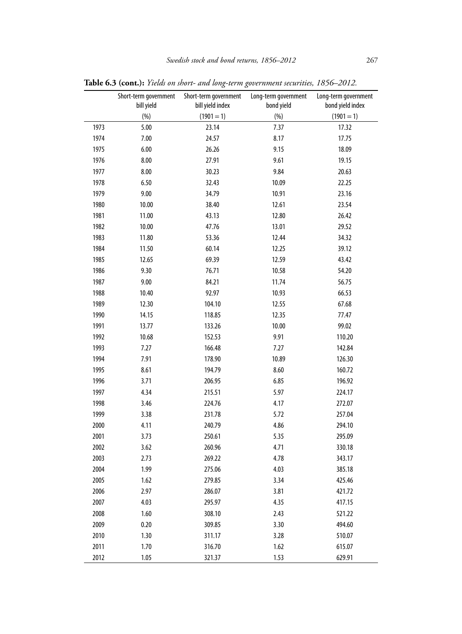|      | Short-term government<br>bill yield | Short-term government<br>bill yield index | Long-term government<br>bond yield | Long-term government<br>bond yield index |
|------|-------------------------------------|-------------------------------------------|------------------------------------|------------------------------------------|
|      | (%)                                 | $(1901 = 1)$                              | (%)                                | $(1901 = 1)$                             |
| 1973 | 5.00                                | 23.14                                     | 7.37                               | 17.32                                    |
| 1974 | 7.00                                | 24.57                                     | 8.17                               | 17.75                                    |
| 1975 | 6.00                                | 26.26                                     | 9.15                               | 18.09                                    |
| 1976 | 8.00                                | 27.91                                     | 9.61                               | 19.15                                    |
| 1977 | 8.00                                | 30.23                                     | 9.84                               | 20.63                                    |
| 1978 | 6.50                                | 32.43                                     | 10.09                              | 22.25                                    |
| 1979 | 9.00                                | 34.79                                     | 10.91                              | 23.16                                    |
| 1980 | 10.00                               | 38.40                                     | 12.61                              | 23.54                                    |
| 1981 | 11.00                               | 43.13                                     | 12.80                              | 26.42                                    |
| 1982 | 10.00                               | 47.76                                     | 13.01                              | 29.52                                    |
| 1983 | 11.80                               | 53.36                                     | 12.44                              | 34.32                                    |
| 1984 | 11.50                               | 60.14                                     | 12.25                              | 39.12                                    |
| 1985 | 12.65                               | 69.39                                     | 12.59                              | 43.42                                    |
| 1986 | 9.30                                | 76.71                                     | 10.58                              | 54.20                                    |
| 1987 | 9.00                                | 84.21                                     | 11.74                              | 56.75                                    |
| 1988 | 10.40                               | 92.97                                     | 10.93                              | 66.53                                    |
| 1989 | 12.30                               | 104.10                                    | 12.55                              | 67.68                                    |
| 1990 | 14.15                               | 118.85                                    | 12.35                              | 77.47                                    |
| 1991 | 13.77                               | 133.26                                    | 10.00                              | 99.02                                    |
| 1992 | 10.68                               | 152.53                                    | 9.91                               | 110.20                                   |
| 1993 | 7.27                                | 166.48                                    | 7.27                               | 142.84                                   |
| 1994 | 7.91                                | 178.90                                    | 10.89                              | 126.30                                   |
| 1995 | 8.61                                | 194.79                                    | 8.60                               | 160.72                                   |
| 1996 | 3.71                                | 206.95                                    | 6.85                               | 196.92                                   |
| 1997 | 4.34                                | 215.51                                    | 5.97                               | 224.17                                   |
| 1998 | 3.46                                | 224.76                                    | 4.17                               | 272.07                                   |
| 1999 | 3.38                                | 231.78                                    | 5.72                               | 257.04                                   |
| 2000 | 4.11                                | 240.79                                    | 4.86                               | 294.10                                   |
| 2001 | 3.73                                | 250.61                                    | 5.35                               | 295.09                                   |
| 2002 | 3.62                                | 260.96                                    | 4.71                               | 330.18                                   |
| 2003 | 2.73                                | 269.22                                    | 4.78                               | 343.17                                   |
| 2004 | 1.99                                | 275.06                                    | 4.03                               | 385.18                                   |
| 2005 | 1.62                                | 279.85                                    | 3.34                               | 425.46                                   |
| 2006 | 2.97                                | 286.07                                    | 3.81                               | 421.72                                   |
| 2007 | 4.03                                | 295.97                                    | 4.35                               | 417.15                                   |
| 2008 | 1.60                                | 308.10                                    | 2.43                               | 521.22                                   |
| 2009 | 0.20                                | 309.85                                    | 3.30                               | 494.60                                   |
| 2010 | 1.30                                | 311.17                                    | 3.28                               | 510.07                                   |
| 2011 | 1.70                                | 316.70                                    | 1.62                               | 615.07                                   |
| 2012 | 1.05                                | 321.37                                    | 1.53                               | 629.91                                   |

**Table 6.3 (cont.):** *Yields on short- and long-term government securities, 1856–2012.*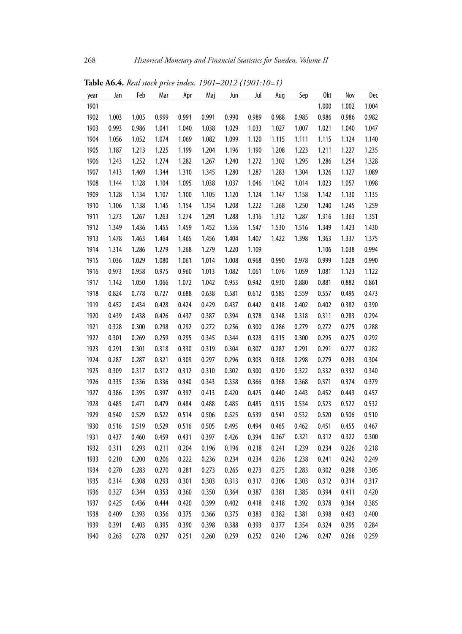| year | Jan   | Feb   | Mar   | Apr   | Maj   | Jun   | Jul   | Aug   | Sep   | 0kt   | Nov   | Dec   |
|------|-------|-------|-------|-------|-------|-------|-------|-------|-------|-------|-------|-------|
| 1901 |       |       |       |       |       |       |       |       |       | 1.000 | 1.002 | 1.004 |
| 1902 | 1.003 | 1.005 | 0.999 | 0.991 | 0.991 | 0.990 | 0.989 | 0.988 | 0.985 | 0.986 | 0.986 | 0.982 |
| 1903 | 0.993 | 0.986 | 1.041 | 1.040 | 1.038 | 1.029 | 1.033 | 1.027 | 1.007 | 1.021 | 1.040 | 1.047 |
| 1904 | 1.056 | 1.052 | 1.074 | 1.069 | 1.082 | 1.099 | 1.120 | 1.115 | 1.111 | 1.115 | 1.124 | 1.140 |
| 1905 | 1.187 | 1.213 | 1.225 | 1.199 | 1.204 | 1.196 | 1.190 | 1.208 | 1.223 | 1.211 | 1.227 | 1.235 |
| 1906 | 1.243 | 1.252 | 1.274 | 1.282 | 1.267 | 1.240 | 1.272 | 1.302 | 1.295 | 1.286 | 1.254 | 1.328 |
| 1907 | 1.413 | 1.469 | 1.344 | 1.310 | 1.345 | 1.280 | 1.287 | 1.283 | 1.304 | 1.326 | 1.127 | 1.089 |
| 1908 | 1.144 | 1.128 | 1.104 | 1.095 | 1.038 | 1.037 | 1.046 | 1.042 | 1.014 | 1.023 | 1.057 | 1.098 |
| 1909 | 1.128 | 1.134 | 1.107 | 1.100 | 1.105 | 1.120 | 1.124 | 1.147 | 1.158 | 1.142 | 1.130 | 1.135 |
| 1910 | 1.106 | 1.138 | 1.145 | 1.154 | 1.154 | 1.208 | 1.222 | 1.268 | 1.250 | 1.240 | 1.245 | 1.259 |
| 1911 | 1.273 | 1.267 | 1.263 | 1.274 | 1.291 | 1.288 | 1.316 | 1.312 | 1.287 | 1.316 | 1.363 | 1.351 |
| 1912 | 1.349 | 1.436 | 1.455 | 1.459 | 1.452 | 1.536 | 1.547 | 1.530 | 1.516 | 1.349 | 1.423 | 1.430 |
| 1913 | 1.478 | 1.463 | 1.464 | 1.465 | 1.456 | 1.404 | 1.407 | 1.422 | 1.398 | 1.363 | 1.337 | 1.375 |
| 1914 | 1.314 | 1.286 | 1.279 | 1.268 | 1.279 | 1.220 | 1.109 |       |       | 1.106 | 1.038 | 0.994 |
| 1915 | 1.036 | 1.029 | 1.080 | 1.061 | 1.014 | 1.008 | 0.968 | 0.990 | 0.978 | 0.999 | 1.028 | 0.990 |
| 1916 | 0.973 | 0.958 | 0.975 | 0.960 | 1.013 | 1.082 | 1.061 | 1.076 | 1.059 | 1.081 | 1.123 | 1.122 |
| 1917 | 1.142 | 1.050 | 1.066 | 1.072 | 1.042 | 0.953 | 0.942 | 0.930 | 0.880 | 0.881 | 0.882 | 0.861 |
| 1918 | 0.824 | 0.778 | 0.727 | 0.688 | 0.638 | 0.581 | 0.612 | 0.585 | 0.559 | 0.557 | 0.495 | 0.473 |
| 1919 | 0.452 | 0.434 | 0.428 | 0.424 | 0.429 | 0.437 | 0.442 | 0.418 | 0.402 | 0.402 | 0.382 | 0.390 |
| 1920 | 0.439 | 0.438 | 0.426 | 0.437 | 0.387 | 0.394 | 0.378 | 0.348 | 0.318 | 0.311 | 0.283 | 0.294 |
| 1921 | 0.328 | 0.300 | 0.298 | 0.292 | 0.272 | 0.256 | 0.300 | 0.286 | 0.279 | 0.272 | 0.275 | 0.288 |
| 1922 | 0.301 | 0.269 | 0.259 | 0.295 | 0.345 | 0.344 | 0.328 | 0.315 | 0.300 | 0.295 | 0.275 | 0.292 |
| 1923 | 0.291 | 0.301 | 0.318 | 0.330 | 0.319 | 0.304 | 0.307 | 0.287 | 0.291 | 0.291 | 0.277 | 0.282 |
| 1924 | 0.287 | 0.287 | 0.321 | 0.309 | 0.297 | 0.296 | 0.303 | 0.308 | 0.298 | 0.279 | 0.283 | 0.304 |
| 1925 | 0.309 | 0.317 | 0.312 | 0.312 | 0.310 | 0.302 | 0.300 | 0.320 | 0.322 | 0.332 | 0.332 | 0.340 |
| 1926 | 0.335 | 0.336 | 0.336 | 0.340 | 0.343 | 0.358 | 0.366 | 0.368 | 0.368 | 0.371 | 0.374 | 0.379 |
| 1927 | 0.386 | 0.395 | 0.397 | 0.397 | 0.413 | 0.420 | 0.425 | 0.440 | 0.443 | 0.452 | 0.449 | 0.457 |
| 1928 | 0.485 | 0.471 | 0.479 | 0.484 | 0.488 | 0.485 | 0.485 | 0.515 | 0.534 | 0.523 | 0.522 | 0.532 |
| 1929 | 0.540 | 0.529 | 0.522 | 0.514 | 0.506 | 0.525 | 0.539 | 0.541 | 0.532 | 0.520 | 0.506 | 0.510 |
| 1930 | 0.516 | 0.519 | 0.529 | 0.516 | 0.505 | 0.495 | 0.494 | 0.465 | 0.462 | 0.451 | 0.455 | 0.467 |
| 1931 | 0.437 | 0.460 | 0.459 | 0.431 | 0.397 | 0.426 | 0.394 | 0.367 | 0.321 | 0.312 | 0.322 | 0.300 |
| 1932 | 0.311 | 0.293 | 0.211 | 0.204 | 0.196 | 0.196 | 0.218 | 0.241 | 0.239 | 0.234 | 0.226 | 0.218 |
| 1933 | 0.210 | 0.200 | 0.206 | 0.222 | 0.236 | 0.234 | 0.234 | 0.236 | 0.238 | 0.241 | 0.242 | 0.249 |
| 1934 | 0.270 | 0.283 | 0.270 | 0.281 | 0.273 | 0.265 | 0.273 | 0.275 | 0.283 | 0.302 | 0.298 | 0.305 |
| 1935 | 0.314 | 0.308 | 0.293 | 0.301 | 0.303 | 0.313 | 0.317 | 0.306 | 0.303 | 0.312 | 0.314 | 0.317 |
| 1936 | 0.327 | 0.344 | 0.353 | 0.360 | 0.350 | 0.364 | 0.387 | 0.381 | 0.385 | 0.394 | 0.411 | 0.420 |
| 1937 | 0.425 | 0.436 | 0.444 | 0.420 | 0.399 | 0.402 | 0.418 | 0.418 | 0.392 | 0.378 | 0.364 | 0.385 |
| 1938 | 0.409 | 0.393 | 0.356 | 0.375 | 0.366 | 0.375 | 0.383 | 0.382 | 0.381 | 0.398 | 0.403 | 0.400 |
| 1939 | 0.391 | 0.403 | 0.395 | 0.390 | 0.398 | 0.388 | 0.393 | 0.377 | 0.354 | 0.324 | 0.295 | 0.284 |
| 1940 | 0.263 | 0.278 | 0.297 | 0.251 | 0.260 | 0.259 | 0.252 | 0.240 | 0.246 | 0.247 | 0.266 | 0.259 |

**Table A6.4.** *Real stock price index, 1901–2012 (1901:10=1)*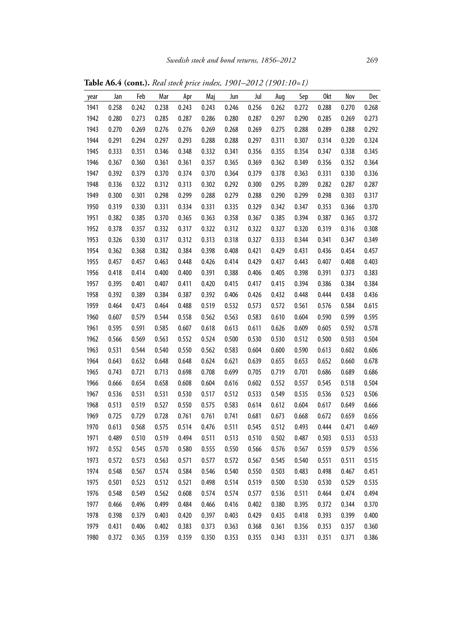**Table A6.4 (cont.).** *Real stock price index, 1901–2012 (1901:10=1)*

| year | Jan   | Feb   | Mar   | Apr   | Maj   | Jun   | Jul   | Aug   | Sep   | 0kt   | Nov   | Dec   |
|------|-------|-------|-------|-------|-------|-------|-------|-------|-------|-------|-------|-------|
| 1941 | 0.258 | 0.242 | 0.238 | 0.243 | 0.243 | 0.246 | 0.256 | 0.262 | 0.272 | 0.288 | 0.270 | 0.268 |
| 1942 | 0.280 | 0.273 | 0.285 | 0.287 | 0.286 | 0.280 | 0.287 | 0.297 | 0.290 | 0.285 | 0.269 | 0.273 |
| 1943 | 0.270 | 0.269 | 0.276 | 0.276 | 0.269 | 0.268 | 0.269 | 0.275 | 0.288 | 0.289 | 0.288 | 0.292 |
| 1944 | 0.291 | 0.294 | 0.297 | 0.293 | 0.288 | 0.288 | 0.297 | 0.311 | 0.307 | 0.314 | 0.320 | 0.324 |
| 1945 | 0.333 | 0.351 | 0.346 | 0.348 | 0.332 | 0.341 | 0.356 | 0.355 | 0.354 | 0.347 | 0.338 | 0.345 |
| 1946 | 0.367 | 0.360 | 0.361 | 0.361 | 0.357 | 0.365 | 0.369 | 0.362 | 0.349 | 0.356 | 0.352 | 0.364 |
| 1947 | 0.392 | 0.379 | 0.370 | 0.374 | 0.370 | 0.364 | 0.379 | 0.378 | 0.363 | 0.331 | 0.330 | 0.336 |
| 1948 | 0.336 | 0.322 | 0.312 | 0.313 | 0.302 | 0.292 | 0.300 | 0.295 | 0.289 | 0.282 | 0.287 | 0.287 |
| 1949 | 0.300 | 0.301 | 0.298 | 0.299 | 0.288 | 0.279 | 0.288 | 0.290 | 0.299 | 0.298 | 0.303 | 0.317 |
| 1950 | 0.319 | 0.330 | 0.331 | 0.334 | 0.331 | 0.335 | 0.329 | 0.342 | 0.347 | 0.353 | 0.366 | 0.370 |
| 1951 | 0.382 | 0.385 | 0.370 | 0.365 | 0.363 | 0.358 | 0.367 | 0.385 | 0.394 | 0.387 | 0.365 | 0.372 |
| 1952 | 0.378 | 0.357 | 0.332 | 0.317 | 0.322 | 0.312 | 0.322 | 0.327 | 0.320 | 0.319 | 0.316 | 0.308 |
| 1953 | 0.326 | 0.330 | 0.317 | 0.312 | 0.313 | 0.318 | 0.327 | 0.333 | 0.344 | 0.341 | 0.347 | 0.349 |
| 1954 | 0.362 | 0.368 | 0.382 | 0.384 | 0.398 | 0.408 | 0.421 | 0.429 | 0.431 | 0.436 | 0.454 | 0.457 |
| 1955 | 0.457 | 0.457 | 0.463 | 0.448 | 0.426 | 0.414 | 0.429 | 0.437 | 0.443 | 0.407 | 0.408 | 0.403 |
| 1956 | 0.418 | 0.414 | 0.400 | 0.400 | 0.391 | 0.388 | 0.406 | 0.405 | 0.398 | 0.391 | 0.373 | 0.383 |
| 1957 | 0.395 | 0.401 | 0.407 | 0.411 | 0.420 | 0.415 | 0.417 | 0.415 | 0.394 | 0.386 | 0.384 | 0.384 |
| 1958 | 0.392 | 0.389 | 0.384 | 0.387 | 0.392 | 0.406 | 0.426 | 0.432 | 0.448 | 0.444 | 0.438 | 0.436 |
| 1959 | 0.464 | 0.473 | 0.464 | 0.488 | 0.519 | 0.532 | 0.573 | 0.572 | 0.561 | 0.576 | 0.584 | 0.615 |
| 1960 | 0.607 | 0.579 | 0.544 | 0.558 | 0.562 | 0.563 | 0.583 | 0.610 | 0.604 | 0.590 | 0.599 | 0.595 |
| 1961 | 0.595 | 0.591 | 0.585 | 0.607 | 0.618 | 0.613 | 0.611 | 0.626 | 0.609 | 0.605 | 0.592 | 0.578 |
| 1962 | 0.566 | 0.569 | 0.563 | 0.552 | 0.524 | 0.500 | 0.530 | 0.530 | 0.512 | 0.500 | 0.503 | 0.504 |
| 1963 | 0.531 | 0.544 | 0.540 | 0.550 | 0.562 | 0.583 | 0.604 | 0.600 | 0.590 | 0.613 | 0.602 | 0.606 |
| 1964 | 0.643 | 0.632 | 0.648 | 0.648 | 0.624 | 0.621 | 0.639 | 0.655 | 0.653 | 0.652 | 0.660 | 0.678 |
| 1965 | 0.743 | 0.721 | 0.713 | 0.698 | 0.708 | 0.699 | 0.705 | 0.719 | 0.701 | 0.686 | 0.689 | 0.686 |
| 1966 | 0.666 | 0.654 | 0.658 | 0.608 | 0.604 | 0.616 | 0.602 | 0.552 | 0.557 | 0.545 | 0.518 | 0.504 |
| 1967 | 0.536 | 0.531 | 0.531 | 0.530 | 0.517 | 0.512 | 0.533 | 0.549 | 0.535 | 0.536 | 0.523 | 0.506 |
| 1968 | 0.513 | 0.519 | 0.527 | 0.550 | 0.575 | 0.583 | 0.614 | 0.612 | 0.604 | 0.617 | 0.649 | 0.666 |
| 1969 | 0.725 | 0.729 | 0.728 | 0.761 | 0.761 | 0.741 | 0.681 | 0.673 | 0.668 | 0.672 | 0.659 | 0.656 |
| 1970 | 0.613 | 0.568 | 0.575 | 0.514 | 0.476 | 0.511 | 0.545 | 0.512 | 0.493 | 0.444 | 0.471 | 0.469 |
| 1971 | 0.489 | 0.510 | 0.519 | 0.494 | 0.511 | 0.513 | 0.510 | 0.502 | 0.487 | 0.503 | 0.533 | 0.533 |
| 1972 | 0.552 | 0.545 | 0.570 | 0.580 | 0.555 | 0.550 | 0.566 | 0.576 | 0.567 | 0.559 | 0.579 | 0.556 |
| 1973 | 0.572 | 0.573 | 0.563 | 0.571 | 0.577 | 0.572 | 0.567 | 0.545 | 0.540 | 0.551 | 0.511 | 0.515 |
| 1974 | 0.548 | 0.567 | 0.574 | 0.584 | 0.546 | 0.540 | 0.550 | 0.503 | 0.483 | 0.498 | 0.467 | 0.451 |
| 1975 | 0.501 | 0.523 | 0.512 | 0.521 | 0.498 | 0.514 | 0.519 | 0.500 | 0.530 | 0.530 | 0.529 | 0.535 |
| 1976 | 0.548 | 0.549 | 0.562 | 0.608 | 0.574 | 0.574 | 0.577 | 0.536 | 0.511 | 0.464 | 0.474 | 0.494 |
| 1977 | 0.466 | 0.496 | 0.499 | 0.484 | 0.466 | 0.416 | 0.402 | 0.380 | 0.395 | 0.372 | 0.344 | 0.370 |
| 1978 | 0.398 | 0.379 | 0.403 | 0.420 | 0.397 | 0.403 | 0.429 | 0.435 | 0.418 | 0.393 | 0.399 | 0.400 |
| 1979 | 0.431 | 0.406 | 0.402 | 0.383 | 0.373 | 0.363 | 0.368 | 0.361 | 0.356 | 0.353 | 0.357 | 0.360 |
| 1980 | 0.372 | 0.365 | 0.359 | 0.359 | 0.350 | 0.353 | 0.355 | 0.343 | 0.331 | 0.351 | 0.371 | 0.386 |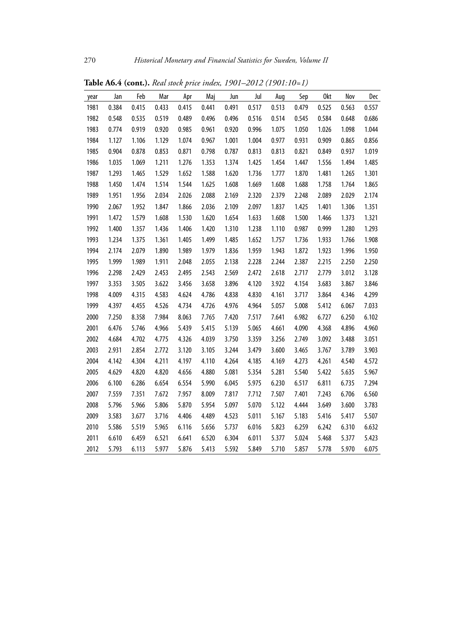| year | Jan   | Feb   | Mar   | Apr   | Maj   | Jun   | Jul   | Aug   | Sep   | 0kt   | Nov   | Dec   |
|------|-------|-------|-------|-------|-------|-------|-------|-------|-------|-------|-------|-------|
| 1981 | 0.384 | 0.415 | 0.433 | 0.415 | 0.441 | 0.491 | 0.517 | 0.513 | 0.479 | 0.525 | 0.563 | 0.557 |
| 1982 | 0.548 | 0.535 | 0.519 | 0.489 | 0.496 | 0.496 | 0.516 | 0.514 | 0.545 | 0.584 | 0.648 | 0.686 |
| 1983 | 0.774 | 0.919 | 0.920 | 0.985 | 0.961 | 0.920 | 0.996 | 1.075 | 1.050 | 1.026 | 1.098 | 1.044 |
| 1984 | 1.127 | 1.106 | 1.129 | 1.074 | 0.967 | 1.001 | 1.004 | 0.977 | 0.931 | 0.909 | 0.865 | 0.856 |
| 1985 | 0.904 | 0.878 | 0.853 | 0.871 | 0.798 | 0.787 | 0.813 | 0.813 | 0.821 | 0.849 | 0.937 | 1.019 |
| 1986 | 1.035 | 1.069 | 1.211 | 1.276 | 1.353 | 1.374 | 1.425 | 1.454 | 1.447 | 1.556 | 1.494 | 1.485 |
| 1987 | 1.293 | 1.465 | 1.529 | 1.652 | 1.588 | 1.620 | 1.736 | 1.777 | 1.870 | 1.481 | 1.265 | 1.301 |
| 1988 | 1.450 | 1.474 | 1.514 | 1.544 | 1.625 | 1.608 | 1.669 | 1.608 | 1.688 | 1.758 | 1.764 | 1.865 |
| 1989 | 1.951 | 1.956 | 2.034 | 2.026 | 2.088 | 2.169 | 2.320 | 2.379 | 2.248 | 2.089 | 2.029 | 2.174 |
| 1990 | 2.067 | 1.952 | 1.847 | 1.866 | 2.036 | 2.109 | 2.097 | 1.837 | 1.425 | 1.401 | 1.306 | 1.351 |
| 1991 | 1.472 | 1.579 | 1.608 | 1.530 | 1.620 | 1.654 | 1.633 | 1.608 | 1.500 | 1.466 | 1.373 | 1.321 |
| 1992 | 1.400 | 1.357 | 1.436 | 1.406 | 1.420 | 1.310 | 1.238 | 1.110 | 0.987 | 0.999 | 1.280 | 1.293 |
| 1993 | 1.234 | 1.375 | 1.361 | 1.405 | 1.499 | 1.485 | 1.652 | 1.757 | 1.736 | 1.933 | 1.766 | 1.908 |
| 1994 | 2.174 | 2.079 | 1.890 | 1.989 | 1.979 | 1.836 | 1.959 | 1.943 | 1.872 | 1.923 | 1.996 | 1.950 |
| 1995 | 1.999 | 1.989 | 1.911 | 2.048 | 2.055 | 2.138 | 2.228 | 2.244 | 2.387 | 2.215 | 2.250 | 2.250 |
| 1996 | 2.298 | 2.429 | 2.453 | 2.495 | 2.543 | 2.569 | 2.472 | 2.618 | 2.717 | 2.779 | 3.012 | 3.128 |
| 1997 | 3.353 | 3.505 | 3.622 | 3.456 | 3.658 | 3.896 | 4.120 | 3.922 | 4.154 | 3.683 | 3.867 | 3.846 |
| 1998 | 4.009 | 4.315 | 4.583 | 4.624 | 4.786 | 4.838 | 4.830 | 4.161 | 3.717 | 3.864 | 4.346 | 4.299 |
| 1999 | 4.397 | 4.455 | 4.526 | 4.734 | 4.726 | 4.976 | 4.964 | 5.057 | 5.008 | 5.412 | 6.067 | 7.033 |
| 2000 | 7.250 | 8.358 | 7.984 | 8.063 | 7.765 | 7.420 | 7.517 | 7.641 | 6.982 | 6.727 | 6.250 | 6.102 |
| 2001 | 6.476 | 5.746 | 4.966 | 5.439 | 5.415 | 5.139 | 5.065 | 4.661 | 4.090 | 4.368 | 4.896 | 4.960 |
| 2002 | 4.684 | 4.702 | 4.775 | 4.326 | 4.039 | 3.750 | 3.359 | 3.256 | 2.749 | 3.092 | 3.488 | 3.051 |
| 2003 | 2.931 | 2.854 | 2.772 | 3.120 | 3.105 | 3.244 | 3.479 | 3.600 | 3.465 | 3.767 | 3.789 | 3.903 |
| 2004 | 4.142 | 4.304 | 4.211 | 4.197 | 4.110 | 4.264 | 4.185 | 4.169 | 4.273 | 4.261 | 4.540 | 4.572 |
| 2005 | 4.629 | 4.820 | 4.820 | 4.656 | 4.880 | 5.081 | 5.354 | 5.281 | 5.540 | 5.422 | 5.635 | 5.967 |
| 2006 | 6.100 | 6.286 | 6.654 | 6.554 | 5.990 | 6.045 | 5.975 | 6.230 | 6.517 | 6.811 | 6.735 | 7.294 |
| 2007 | 7.559 | 7.351 | 7.672 | 7.957 | 8.009 | 7.817 | 7.712 | 7.507 | 7.401 | 7.243 | 6.706 | 6.560 |
| 2008 | 5.796 | 5.966 | 5.806 | 5.870 | 5.954 | 5.097 | 5.070 | 5.122 | 4.444 | 3.649 | 3.600 | 3.783 |
| 2009 | 3.583 | 3.677 | 3.716 | 4.406 | 4.489 | 4.523 | 5.011 | 5.167 | 5.183 | 5.416 | 5.417 | 5.507 |
| 2010 | 5.586 | 5.519 | 5.965 | 6.116 | 5.656 | 5.737 | 6.016 | 5.823 | 6.259 | 6.242 | 6.310 | 6.632 |
| 2011 | 6.610 | 6.459 | 6.521 | 6.641 | 6.520 | 6.304 | 6.011 | 5.377 | 5.024 | 5.468 | 5.377 | 5.423 |
| 2012 | 5.793 | 6.113 | 5.977 | 5.876 | 5.413 | 5.592 | 5.849 | 5.710 | 5.857 | 5.778 | 5.970 | 6.075 |

**Table A6.4 (cont.).** *Real stock price index, 1901–2012 (1901:10=1)*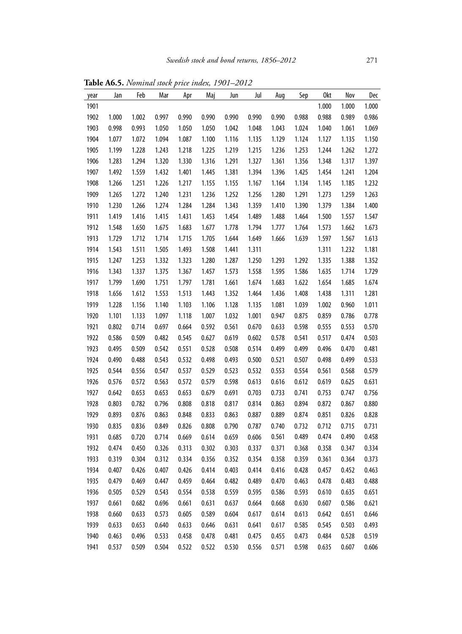| year | Jan   | Feb   | Mar   | Apr   | Maj   | Jun   | Jul   | Aug   | Sep   | 0kt   | Nov   | Dec   |
|------|-------|-------|-------|-------|-------|-------|-------|-------|-------|-------|-------|-------|
| 1901 |       |       |       |       |       |       |       |       |       | 1.000 | 1.000 | 1.000 |
| 1902 | 1.000 | 1.002 | 0.997 | 0.990 | 0.990 | 0.990 | 0.990 | 0.990 | 0.988 | 0.988 | 0.989 | 0.986 |
| 1903 | 0.998 | 0.993 | 1.050 | 1.050 | 1.050 | 1.042 | 1.048 | 1.043 | 1.024 | 1.040 | 1.061 | 1.069 |
| 1904 | 1.077 | 1.072 | 1.094 | 1.087 | 1.100 | 1.116 | 1.135 | 1.129 | 1.124 | 1.127 | 1.135 | 1.150 |
| 1905 | 1.199 | 1.228 | 1.243 | 1.218 | 1.225 | 1.219 | 1.215 | 1.236 | 1.253 | 1.244 | 1.262 | 1.272 |
| 1906 | 1.283 | 1.294 | 1.320 | 1.330 | 1.316 | 1.291 | 1.327 | 1.361 | 1.356 | 1.348 | 1.317 | 1.397 |
| 1907 | 1.492 | 1.559 | 1.432 | 1.401 | 1.445 | 1.381 | 1.394 | 1.396 | 1.425 | 1.454 | 1.241 | 1.204 |
| 1908 | 1.266 | 1.251 | 1.226 | 1.217 | 1.155 | 1.155 | 1.167 | 1.164 | 1.134 | 1.145 | 1.185 | 1.232 |
| 1909 | 1.265 | 1.272 | 1.240 | 1.231 | 1.236 | 1.252 | 1.256 | 1.280 | 1.291 | 1.273 | 1.259 | 1.263 |
| 1910 | 1.230 | 1.266 | 1.274 | 1.284 | 1.284 | 1.343 | 1.359 | 1.410 | 1.390 | 1.379 | 1.384 | 1.400 |
| 1911 | 1.419 | 1.416 | 1.415 | 1.431 | 1.453 | 1.454 | 1.489 | 1.488 | 1.464 | 1.500 | 1.557 | 1.547 |
| 1912 | 1.548 | 1.650 | 1.675 | 1.683 | 1.677 | 1.778 | 1.794 | 1.777 | 1.764 | 1.573 | 1.662 | 1.673 |
| 1913 | 1.729 | 1.712 | 1.714 | 1.715 | 1.705 | 1.644 | 1.649 | 1.666 | 1.639 | 1.597 | 1.567 | 1.613 |
| 1914 | 1.543 | 1.511 | 1.505 | 1.493 | 1.508 | 1.441 | 1.311 |       |       | 1.311 | 1.232 | 1.181 |
| 1915 | 1.247 | 1.253 | 1.332 | 1.323 | 1.280 | 1.287 | 1.250 | 1.293 | 1.292 | 1.335 | 1.388 | 1.352 |
| 1916 | 1.343 | 1.337 | 1.375 | 1.367 | 1.457 | 1.573 | 1.558 | 1.595 | 1.586 | 1.635 | 1.714 | 1.729 |
| 1917 | 1.799 | 1.690 | 1.751 | 1.797 | 1.781 | 1.661 | 1.674 | 1.683 | 1.622 | 1.654 | 1.685 | 1.674 |
| 1918 | 1.656 | 1.612 | 1.553 | 1.513 | 1.443 | 1.352 | 1.464 | 1.436 | 1.408 | 1.438 | 1.311 | 1.281 |
| 1919 | 1.228 | 1.156 | 1.140 | 1.103 | 1.106 | 1.128 | 1.135 | 1.081 | 1.039 | 1.002 | 0.960 | 1.011 |
| 1920 | 1.101 | 1.133 | 1.097 | 1.118 | 1.007 | 1.032 | 1.001 | 0.947 | 0.875 | 0.859 | 0.786 | 0.778 |
| 1921 | 0.802 | 0.714 | 0.697 | 0.664 | 0.592 | 0.561 | 0.670 | 0.633 | 0.598 | 0.555 | 0.553 | 0.570 |
| 1922 | 0.586 | 0.509 | 0.482 | 0.545 | 0.627 | 0.619 | 0.602 | 0.578 | 0.541 | 0.517 | 0.474 | 0.503 |
| 1923 | 0.495 | 0.509 | 0.542 | 0.551 | 0.528 | 0.508 | 0.514 | 0.499 | 0.499 | 0.496 | 0.470 | 0.481 |
| 1924 | 0.490 | 0.488 | 0.543 | 0.532 | 0.498 | 0.493 | 0.500 | 0.521 | 0.507 | 0.498 | 0.499 | 0.533 |
| 1925 | 0.544 | 0.556 | 0.547 | 0.537 | 0.529 | 0.523 | 0.532 | 0.553 | 0.554 | 0.561 | 0.568 | 0.579 |
| 1926 | 0.576 | 0.572 | 0.563 | 0.572 | 0.579 | 0.598 | 0.613 | 0.616 | 0.612 | 0.619 | 0.625 | 0.631 |
| 1927 | 0.642 | 0.653 | 0.653 | 0.653 | 0.679 | 0.691 | 0.703 | 0.733 | 0.741 | 0.753 | 0.747 | 0.756 |
| 1928 | 0.803 | 0.782 | 0.796 | 0.808 | 0.818 | 0.817 | 0.814 | 0.863 | 0.894 | 0.872 | 0.867 | 0.880 |
| 1929 | 0.893 | 0.876 | 0.863 | 0.848 | 0.833 | 0.863 | 0.887 | 0.889 | 0.874 | 0.851 | 0.826 | 0.828 |
| 1930 | 0.835 | 0.836 | 0.849 | 0.826 | 0.808 | 0.790 | 0.787 | 0.740 | 0.732 | 0.712 | 0.715 | 0.731 |
| 1931 | 0.685 | 0.720 | 0.714 | 0.669 | 0.614 | 0.659 | 0.606 | 0.561 | 0.489 | 0.474 | 0.490 | 0.458 |
| 1932 | 0.474 | 0.450 | 0.326 | 0.313 | 0.302 | 0.303 | 0.337 | 0.371 | 0.368 | 0.358 | 0.347 | 0.334 |
| 1933 | 0.319 | 0.304 | 0.312 | 0.334 | 0.356 | 0.352 | 0.354 | 0.358 | 0.359 | 0.361 | 0.364 | 0.373 |
| 1934 | 0.407 | 0.426 | 0.407 | 0.426 | 0.414 | 0.403 | 0.414 | 0.416 | 0.428 | 0.457 | 0.452 | 0.463 |
| 1935 | 0.479 | 0.469 | 0.447 | 0.459 | 0.464 | 0.482 | 0.489 | 0.470 | 0.463 | 0.478 | 0.483 | 0.488 |
| 1936 | 0.505 | 0.529 | 0.543 | 0.554 | 0.538 | 0.559 | 0.595 | 0.586 | 0.593 | 0.610 | 0.635 | 0.651 |
| 1937 | 0.661 | 0.682 | 0.696 | 0.661 | 0.631 | 0.637 | 0.664 | 0.668 | 0.630 | 0.607 | 0.586 | 0.621 |
| 1938 | 0.660 | 0.633 | 0.573 | 0.605 | 0.589 | 0.604 | 0.617 | 0.614 | 0.613 | 0.642 | 0.651 | 0.646 |
| 1939 | 0.633 | 0.653 | 0.640 | 0.633 | 0.646 | 0.631 | 0.641 | 0.617 | 0.585 | 0.545 | 0.503 | 0.493 |
| 1940 | 0.463 | 0.496 | 0.533 | 0.458 | 0.478 | 0.481 | 0.475 | 0.455 | 0.473 | 0.484 | 0.528 | 0.519 |
| 1941 | 0.537 | 0.509 | 0.504 | 0.522 | 0.522 | 0.530 | 0.556 | 0.571 | 0.598 | 0.635 | 0.607 | 0.606 |

**Table A6.5.** *Nominal stock price index, 1901–2012*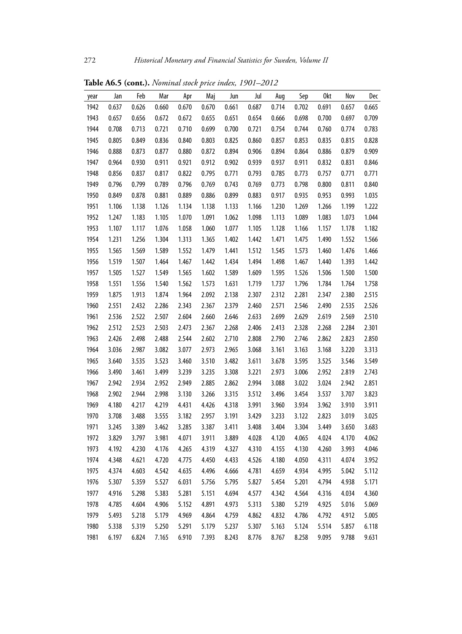| year | Jan   | Feb   | Mar   | Apr   | Maj   | Jun   | Jul   | Aug   | Sep   | 0kt   | Nov   | Dec   |
|------|-------|-------|-------|-------|-------|-------|-------|-------|-------|-------|-------|-------|
| 1942 | 0.637 | 0.626 | 0.660 | 0.670 | 0.670 | 0.661 | 0.687 | 0.714 | 0.702 | 0.691 | 0.657 | 0.665 |
| 1943 | 0.657 | 0.656 | 0.672 | 0.672 | 0.655 | 0.651 | 0.654 | 0.666 | 0.698 | 0.700 | 0.697 | 0.709 |
| 1944 | 0.708 | 0.713 | 0.721 | 0.710 | 0.699 | 0.700 | 0.721 | 0.754 | 0.744 | 0.760 | 0.774 | 0.783 |
| 1945 | 0.805 | 0.849 | 0.836 | 0.840 | 0.803 | 0.825 | 0.860 | 0.857 | 0.853 | 0.835 | 0.815 | 0.828 |
| 1946 | 0.888 | 0.873 | 0.877 | 0.880 | 0.872 | 0.894 | 0.906 | 0.894 | 0.864 | 0.886 | 0.879 | 0.909 |
| 1947 | 0.964 | 0.930 | 0.911 | 0.921 | 0.912 | 0.902 | 0.939 | 0.937 | 0.911 | 0.832 | 0.831 | 0.846 |
| 1948 | 0.856 | 0.837 | 0.817 | 0.822 | 0.795 | 0.771 | 0.793 | 0.785 | 0.773 | 0.757 | 0.771 | 0.771 |
| 1949 | 0.796 | 0.799 | 0.789 | 0.796 | 0.769 | 0.743 | 0.769 | 0.773 | 0.798 | 0.800 | 0.811 | 0.840 |
| 1950 | 0.849 | 0.878 | 0.881 | 0.889 | 0.886 | 0.899 | 0.883 | 0.917 | 0.935 | 0.953 | 0.993 | 1.035 |
| 1951 | 1.106 | 1.138 | 1.126 | 1.134 | 1.138 | 1.133 | 1.166 | 1.230 | 1.269 | 1.266 | 1.199 | 1.222 |
| 1952 | 1.247 | 1.183 | 1.105 | 1.070 | 1.091 | 1.062 | 1.098 | 1.113 | 1.089 | 1.083 | 1.073 | 1.044 |
| 1953 | 1.107 | 1.117 | 1.076 | 1.058 | 1.060 | 1.077 | 1.105 | 1.128 | 1.166 | 1.157 | 1.178 | 1.182 |
| 1954 | 1.231 | 1.256 | 1.304 | 1.313 | 1.365 | 1.402 | 1.442 | 1.471 | 1.475 | 1.490 | 1.552 | 1.566 |
| 1955 | 1.565 | 1.569 | 1.589 | 1.552 | 1.479 | 1.441 | 1.512 | 1.545 | 1.573 | 1.460 | 1.476 | 1.466 |
| 1956 | 1.519 | 1.507 | 1.464 | 1.467 | 1.442 | 1.434 | 1.494 | 1.498 | 1.467 | 1.440 | 1.393 | 1.442 |
| 1957 | 1.505 | 1.527 | 1.549 | 1.565 | 1.602 | 1.589 | 1.609 | 1.595 | 1.526 | 1.506 | 1.500 | 1.500 |
| 1958 | 1.551 | 1.556 | 1.540 | 1.562 | 1.573 | 1.631 | 1.719 | 1.737 | 1.796 | 1.784 | 1.764 | 1.758 |
| 1959 | 1.875 | 1.913 | 1.874 | 1.964 | 2.092 | 2.138 | 2.307 | 2.312 | 2.281 | 2.347 | 2.380 | 2.515 |
| 1960 | 2.551 | 2.432 | 2.286 | 2.343 | 2.367 | 2.379 | 2.460 | 2.571 | 2.546 | 2.490 | 2.535 | 2.526 |
| 1961 | 2.536 | 2.522 | 2.507 | 2.604 | 2.660 | 2.646 | 2.633 | 2.699 | 2.629 | 2.619 | 2.569 | 2.510 |
| 1962 | 2.512 | 2.523 | 2.503 | 2.473 | 2.367 | 2.268 | 2.406 | 2.413 | 2.328 | 2.268 | 2.284 | 2.301 |
| 1963 | 2.426 | 2.498 | 2.488 | 2.544 | 2.602 | 2.710 | 2.808 | 2.790 | 2.746 | 2.862 | 2.823 | 2.850 |
| 1964 | 3.036 | 2.987 | 3.082 | 3.077 | 2.973 | 2.965 | 3.068 | 3.161 | 3.163 | 3.168 | 3.220 | 3.313 |
| 1965 | 3.640 | 3.535 | 3.523 | 3.460 | 3.510 | 3.482 | 3.611 | 3.678 | 3.595 | 3.525 | 3.546 | 3.549 |
| 1966 | 3.490 | 3.461 | 3.499 | 3.239 | 3.235 | 3.308 | 3.221 | 2.973 | 3.006 | 2.952 | 2.819 | 2.743 |
| 1967 | 2.942 | 2.934 | 2.952 | 2.949 | 2.885 | 2.862 | 2.994 | 3.088 | 3.022 | 3.024 | 2.942 | 2.851 |
| 1968 | 2.902 | 2.944 | 2.998 | 3.130 | 3.266 | 3.315 | 3.512 | 3.496 | 3.454 | 3.537 | 3.707 | 3.823 |
| 1969 | 4.180 | 4.217 | 4.219 | 4.431 | 4.426 | 4.318 | 3.991 | 3.960 | 3.934 | 3.962 | 3.910 | 3.911 |
| 1970 | 3.708 | 3.488 | 3.555 | 3.182 | 2.957 | 3.191 | 3.429 | 3.233 | 3.122 | 2.823 | 3.019 | 3.025 |
| 1971 | 3.245 | 3.389 | 3.462 | 3.285 | 3.387 | 3.411 | 3.408 | 3.404 | 3.304 | 3.449 | 3.650 | 3.683 |
| 1972 | 3.829 | 3.797 | 3.981 | 4.071 | 3.911 | 3.889 | 4.028 | 4.120 | 4.065 | 4.024 | 4.170 | 4.062 |
| 1973 | 4.192 | 4.230 | 4.176 | 4.265 | 4.319 | 4.327 | 4.310 | 4.155 | 4.130 | 4.260 | 3.993 | 4.046 |
| 1974 | 4.348 | 4.621 | 4.720 | 4.775 | 4.450 | 4.433 | 4.526 | 4.180 | 4.050 | 4.311 | 4.074 | 3.952 |
| 1975 | 4.374 | 4.603 | 4.542 | 4.635 | 4.496 | 4.666 | 4.781 | 4.659 | 4.934 | 4.995 | 5.042 | 5.112 |
| 1976 | 5.307 | 5.359 | 5.527 | 6.031 | 5.756 | 5.795 | 5.827 | 5.454 | 5.201 | 4.794 | 4.938 | 5.171 |
| 1977 | 4.916 | 5.298 | 5.383 | 5.281 | 5.151 | 4.694 | 4.577 | 4.342 | 4.564 | 4.316 | 4.034 | 4.360 |
| 1978 | 4.785 | 4.604 | 4.906 | 5.152 | 4.891 | 4.973 | 5.313 | 5.380 | 5.219 | 4.925 | 5.016 | 5.069 |
| 1979 | 5.493 | 5.218 | 5.179 | 4.969 | 4.864 | 4.759 | 4.862 | 4.832 | 4.786 | 4.792 | 4.912 | 5.005 |
| 1980 | 5.338 | 5.319 | 5.250 | 5.291 | 5.179 | 5.237 | 5.307 | 5.163 | 5.124 | 5.514 | 5.857 | 6.118 |
| 1981 | 6.197 | 6.824 | 7.165 | 6.910 | 7.393 | 8.243 | 8.776 | 8.767 | 8.258 | 9.095 | 9.788 | 9.631 |

**Table A6.5 (cont.).** *Nominal stock price index, 1901–2012*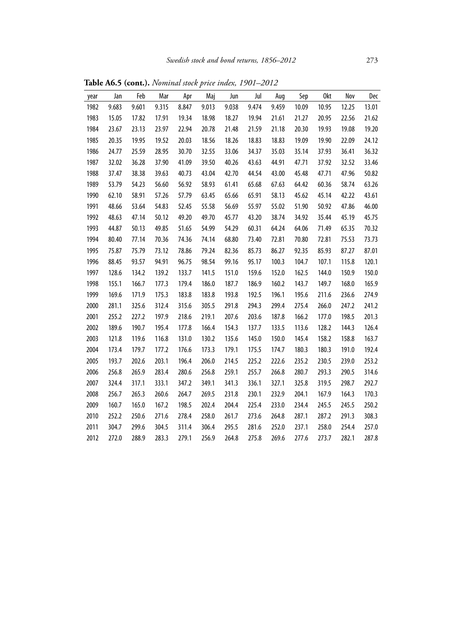| year | Jan   | Feb   | Mar   | Apr   | Maj   | Jun   | Jul   | Aug   | Sep   | 0kt   | Nov   | Dec   |
|------|-------|-------|-------|-------|-------|-------|-------|-------|-------|-------|-------|-------|
| 1982 | 9.683 | 9.601 | 9.315 | 8.847 | 9.013 | 9.038 | 9.474 | 9.459 | 10.09 | 10.95 | 12.25 | 13.01 |
| 1983 | 15.05 | 17.82 | 17.91 | 19.34 | 18.98 | 18.27 | 19.94 | 21.61 | 21.27 | 20.95 | 22.56 | 21.62 |
| 1984 | 23.67 | 23.13 | 23.97 | 22.94 | 20.78 | 21.48 | 21.59 | 21.18 | 20.30 | 19.93 | 19.08 | 19.20 |
| 1985 | 20.35 | 19.95 | 19.52 | 20.03 | 18.56 | 18.26 | 18.83 | 18.83 | 19.09 | 19.90 | 22.09 | 24.12 |
| 1986 | 24.77 | 25.59 | 28.95 | 30.70 | 32.55 | 33.06 | 34.37 | 35.03 | 35.14 | 37.93 | 36.41 | 36.32 |
| 1987 | 32.02 | 36.28 | 37.90 | 41.09 | 39.50 | 40.26 | 43.63 | 44.91 | 47.71 | 37.92 | 32.52 | 33.46 |
| 1988 | 37.47 | 38.38 | 39.63 | 40.73 | 43.04 | 42.70 | 44.54 | 43.00 | 45.48 | 47.71 | 47.96 | 50.82 |
| 1989 | 53.79 | 54.23 | 56.60 | 56.92 | 58.93 | 61.41 | 65.68 | 67.63 | 64.42 | 60.36 | 58.74 | 63.26 |
| 1990 | 62.10 | 58.91 | 57.26 | 57.79 | 63.45 | 65.66 | 65.91 | 58.13 | 45.62 | 45.14 | 42.22 | 43.61 |
| 1991 | 48.66 | 53.64 | 54.83 | 52.45 | 55.58 | 56.69 | 55.97 | 55.02 | 51.90 | 50.92 | 47.86 | 46.00 |
| 1992 | 48.63 | 47.14 | 50.12 | 49.20 | 49.70 | 45.77 | 43.20 | 38.74 | 34.92 | 35.44 | 45.19 | 45.75 |
| 1993 | 44.87 | 50.13 | 49.85 | 51.65 | 54.99 | 54.29 | 60.31 | 64.24 | 64.06 | 71.49 | 65.35 | 70.32 |
| 1994 | 80.40 | 77.14 | 70.36 | 74.36 | 74.14 | 68.80 | 73.40 | 72.81 | 70.80 | 72.81 | 75.53 | 73.73 |
| 1995 | 75.87 | 75.79 | 73.12 | 78.86 | 79.24 | 82.36 | 85.73 | 86.27 | 92.35 | 85.93 | 87.27 | 87.01 |
| 1996 | 88.45 | 93.57 | 94.91 | 96.75 | 98.54 | 99.16 | 95.17 | 100.3 | 104.7 | 107.1 | 115.8 | 120.1 |
| 1997 | 128.6 | 134.2 | 139.2 | 133.7 | 141.5 | 151.0 | 159.6 | 152.0 | 162.5 | 144.0 | 150.9 | 150.0 |
| 1998 | 155.1 | 166.7 | 177.3 | 179.4 | 186.0 | 187.7 | 186.9 | 160.2 | 143.7 | 149.7 | 168.0 | 165.9 |
| 1999 | 169.6 | 171.9 | 175.3 | 183.8 | 183.8 | 193.8 | 192.5 | 196.1 | 195.6 | 211.6 | 236.6 | 274.9 |
| 2000 | 281.1 | 325.6 | 312.4 | 315.6 | 305.5 | 291.8 | 294.3 | 299.4 | 275.4 | 266.0 | 247.2 | 241.2 |
| 2001 | 255.2 | 227.2 | 197.9 | 218.6 | 219.1 | 207.6 | 203.6 | 187.8 | 166.2 | 177.0 | 198.5 | 201.3 |
| 2002 | 189.6 | 190.7 | 195.4 | 177.8 | 166.4 | 154.3 | 137.7 | 133.5 | 113.6 | 128.2 | 144.3 | 126.4 |
| 2003 | 121.8 | 119.6 | 116.8 | 131.0 | 130.2 | 135.6 | 145.0 | 150.0 | 145.4 | 158.2 | 158.8 | 163.7 |
| 2004 | 173.4 | 179.7 | 177.2 | 176.6 | 173.3 | 179.1 | 175.5 | 174.7 | 180.3 | 180.3 | 191.0 | 192.4 |
| 2005 | 193.7 | 202.6 | 203.1 | 196.4 | 206.0 | 214.5 | 225.2 | 222.6 | 235.2 | 230.5 | 239.0 | 253.2 |
| 2006 | 256.8 | 265.9 | 283.4 | 280.6 | 256.8 | 259.1 | 255.7 | 266.8 | 280.7 | 293.3 | 290.5 | 314.6 |
| 2007 | 324.4 | 317.1 | 333.1 | 347.2 | 349.1 | 341.3 | 336.1 | 327.1 | 325.8 | 319.5 | 298.7 | 292.7 |
| 2008 | 256.7 | 265.3 | 260.6 | 264.7 | 269.5 | 231.8 | 230.1 | 232.9 | 204.1 | 167.9 | 164.3 | 170.3 |
| 2009 | 160.7 | 165.0 | 167.2 | 198.5 | 202.4 | 204.4 | 225.4 | 233.0 | 234.4 | 245.5 | 245.5 | 250.2 |
| 2010 | 252.2 | 250.6 | 271.6 | 278.4 | 258.0 | 261.7 | 273.6 | 264.8 | 287.1 | 287.2 | 291.3 | 308.3 |
| 2011 | 304.7 | 299.6 | 304.5 | 311.4 | 306.4 | 295.5 | 281.6 | 252.0 | 237.1 | 258.0 | 254.4 | 257.0 |
| 2012 | 272.0 | 288.9 | 283.3 | 279.1 | 256.9 | 264.8 | 275.8 | 269.6 | 277.6 | 273.7 | 282.1 | 287.8 |

**Table A6.5 (cont.).** *Nominal stock price index, 1901–2012*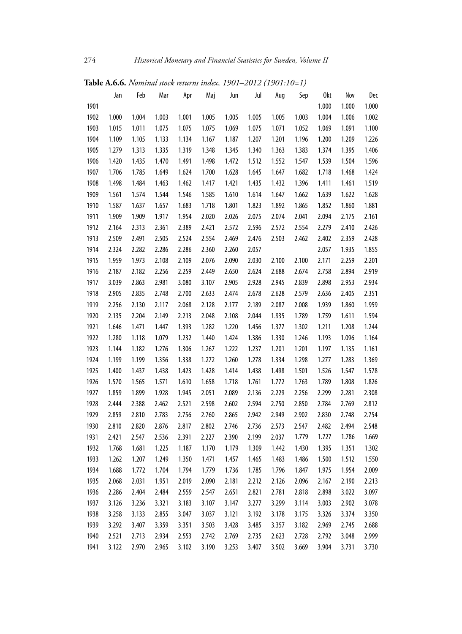|      | Jan   | Feb   | Mar   | Apr   | Maj   | Jun   | Jul   | Aug   | Sep   | 0kt   | Nov   | Dec   |
|------|-------|-------|-------|-------|-------|-------|-------|-------|-------|-------|-------|-------|
| 1901 |       |       |       |       |       |       |       |       |       | 1.000 | 1.000 | 1.000 |
| 1902 | 1.000 | 1.004 | 1.003 | 1.001 | 1.005 | 1.005 | 1.005 | 1.005 | 1.003 | 1.004 | 1.006 | 1.002 |
| 1903 | 1.015 | 1.011 | 1.075 | 1.075 | 1.075 | 1.069 | 1.075 | 1.071 | 1.052 | 1.069 | 1.091 | 1.100 |
| 1904 | 1.109 | 1.105 | 1.133 | 1.134 | 1.167 | 1.187 | 1.207 | 1.201 | 1.196 | 1.200 | 1.209 | 1.226 |
| 1905 | 1.279 | 1.313 | 1.335 | 1.319 | 1.348 | 1.345 | 1.340 | 1.363 | 1.383 | 1.374 | 1.395 | 1.406 |
| 1906 | 1.420 | 1.435 | 1.470 | 1.491 | 1.498 | 1.472 | 1.512 | 1.552 | 1.547 | 1.539 | 1.504 | 1.596 |
| 1907 | 1.706 | 1.785 | 1.649 | 1.624 | 1.700 | 1.628 | 1.645 | 1.647 | 1.682 | 1.718 | 1.468 | 1.424 |
| 1908 | 1.498 | 1.484 | 1.463 | 1.462 | 1.417 | 1.421 | 1.435 | 1.432 | 1.396 | 1.411 | 1.461 | 1.519 |
| 1909 | 1.561 | 1.574 | 1.544 | 1.546 | 1.585 | 1.610 | 1.614 | 1.647 | 1.662 | 1.639 | 1.622 | 1.628 |
| 1910 | 1.587 | 1.637 | 1.657 | 1.683 | 1.718 | 1.801 | 1.823 | 1.892 | 1.865 | 1.852 | 1.860 | 1.881 |
| 1911 | 1.909 | 1.909 | 1.917 | 1.954 | 2.020 | 2.026 | 2.075 | 2.074 | 2.041 | 2.094 | 2.175 | 2.161 |
| 1912 | 2.164 | 2.313 | 2.361 | 2.389 | 2.421 | 2.572 | 2.596 | 2.572 | 2.554 | 2.279 | 2.410 | 2.426 |
| 1913 | 2.509 | 2.491 | 2.505 | 2.524 | 2.554 | 2.469 | 2.476 | 2.503 | 2.462 | 2.402 | 2.359 | 2.428 |
| 1914 | 2.324 | 2.282 | 2.286 | 2.286 | 2.360 | 2.260 | 2.057 |       |       | 2.057 | 1.935 | 1.855 |
| 1915 | 1.959 | 1.973 | 2.108 | 2.109 | 2.076 | 2.090 | 2.030 | 2.100 | 2.100 | 2.171 | 2.259 | 2.201 |
| 1916 | 2.187 | 2.182 | 2.256 | 2.259 | 2.449 | 2.650 | 2.624 | 2.688 | 2.674 | 2.758 | 2.894 | 2.919 |
| 1917 | 3.039 | 2.863 | 2.981 | 3.080 | 3.107 | 2.905 | 2.928 | 2.945 | 2.839 | 2.898 | 2.953 | 2.934 |
| 1918 | 2.905 | 2.835 | 2.748 | 2.700 | 2.633 | 2.474 | 2.678 | 2.628 | 2.579 | 2.636 | 2.405 | 2.351 |
| 1919 | 2.256 | 2.130 | 2.117 | 2.068 | 2.128 | 2.177 | 2.189 | 2.087 | 2.008 | 1.939 | 1.860 | 1.959 |
| 1920 | 2.135 | 2.204 | 2.149 | 2.213 | 2.048 | 2.108 | 2.044 | 1.935 | 1.789 | 1.759 | 1.611 | 1.594 |
| 1921 | 1.646 | 1.471 | 1.447 | 1.393 | 1.282 | 1.220 | 1.456 | 1.377 | 1.302 | 1.211 | 1.208 | 1.244 |
| 1922 | 1.280 | 1.118 | 1.079 | 1.232 | 1.440 | 1.424 | 1.386 | 1.330 | 1.246 | 1.193 | 1.096 | 1.164 |
| 1923 | 1.144 | 1.182 | 1.276 | 1.306 | 1.267 | 1.222 | 1.237 | 1.201 | 1.201 | 1.197 | 1.135 | 1.161 |
| 1924 | 1.199 | 1.199 | 1.356 | 1.338 | 1.272 | 1.260 | 1.278 | 1.334 | 1.298 | 1.277 | 1.283 | 1.369 |
| 1925 | 1.400 | 1.437 | 1.438 | 1.423 | 1.428 | 1.414 | 1.438 | 1.498 | 1.501 | 1.526 | 1.547 | 1.578 |
| 1926 | 1.570 | 1.565 | 1.571 | 1.610 | 1.658 | 1.718 | 1.761 | 1.772 | 1.763 | 1.789 | 1.808 | 1.826 |
| 1927 | 1.859 | 1.899 | 1.928 | 1.945 | 2.051 | 2.089 | 2.136 | 2.229 | 2.256 | 2.299 | 2.281 | 2.308 |
| 1928 | 2.444 | 2.388 | 2.462 | 2.521 | 2.598 | 2.602 | 2.594 | 2.750 | 2.850 | 2.784 | 2.769 | 2.812 |
| 1929 | 2.859 | 2.810 | 2.783 | 2.756 | 2.760 | 2.865 | 2.942 | 2.949 | 2.902 | 2.830 | 2.748 | 2.754 |
| 1930 | 2.810 | 2.820 | 2.876 | 2.817 | 2.802 | 2.746 | 2.736 | 2.573 | 2.547 | 2.482 | 2.494 | 2.548 |
| 1931 | 2.421 | 2.547 | 2.536 | 2.391 | 2.227 | 2.390 | 2.199 | 2.037 | 1.779 | 1.727 | 1.786 | 1.669 |
| 1932 | 1.768 | 1.681 | 1.225 | 1.187 | 1.170 | 1.179 | 1.309 | 1.442 | 1.430 | 1.395 | 1.351 | 1.302 |
| 1933 | 1.262 | 1.207 | 1.249 | 1.350 | 1.471 | 1.457 | 1.465 | 1.483 | 1.486 | 1.500 | 1.512 | 1.550 |
| 1934 | 1.688 | 1.772 | 1.704 | 1.794 | 1.779 | 1.736 | 1.785 | 1.796 | 1.847 | 1.975 | 1.954 | 2.009 |
| 1935 | 2.068 | 2.031 | 1.951 | 2.019 | 2.090 | 2.181 | 2.212 | 2.126 | 2.096 | 2.167 | 2.190 | 2.213 |
| 1936 | 2.286 | 2.404 | 2.484 | 2.559 | 2.547 | 2.651 | 2.821 | 2.781 | 2.818 | 2.898 | 3.022 | 3.097 |
| 1937 | 3.126 | 3.236 | 3.321 | 3.183 | 3.107 | 3.147 | 3.277 | 3.299 | 3.114 | 3.003 | 2.902 | 3.078 |
| 1938 | 3.258 | 3.133 | 2.855 | 3.047 | 3.037 | 3.121 | 3.192 | 3.178 | 3.175 | 3.326 | 3.374 | 3.350 |
| 1939 | 3.292 | 3.407 | 3.359 | 3.351 | 3.503 | 3.428 | 3.485 | 3.357 | 3.182 | 2.969 | 2.745 | 2.688 |
| 1940 | 2.521 | 2.713 | 2.934 | 2.553 | 2.742 | 2.769 | 2.735 | 2.623 | 2.728 | 2.792 | 3.048 | 2.999 |
| 1941 | 3.122 | 2.970 | 2.965 | 3.102 | 3.190 | 3.253 | 3.407 | 3.502 | 3.669 | 3.904 | 3.731 | 3.730 |

**Table A.6.6.** *Nominal stock returns index, 1901–2012 (1901:10=1)*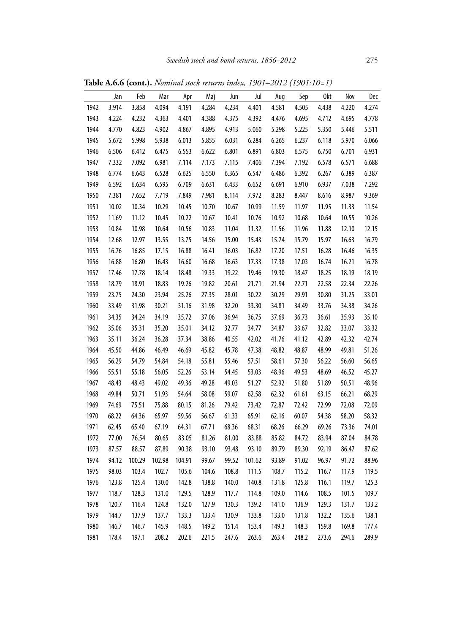|      | Jan   | Feb    | Mar    | Apr    | Maj   | Jun   | Jul    | Aug   | Sep   | 0kt   | Nov   | Dec   |
|------|-------|--------|--------|--------|-------|-------|--------|-------|-------|-------|-------|-------|
| 1942 | 3.914 | 3.858  | 4.094  | 4.191  | 4.284 | 4.234 | 4.401  | 4.581 | 4.505 | 4.438 | 4.220 | 4.274 |
| 1943 | 4.224 | 4.232  | 4.363  | 4.401  | 4.388 | 4.375 | 4.392  | 4.476 | 4.695 | 4.712 | 4.695 | 4.778 |
| 1944 | 4.770 | 4.823  | 4.902  | 4.867  | 4.895 | 4.913 | 5.060  | 5.298 | 5.225 | 5.350 | 5.446 | 5.511 |
| 1945 | 5.672 | 5.998  | 5.938  | 6.013  | 5.855 | 6.031 | 6.284  | 6.265 | 6.237 | 6.118 | 5.970 | 6.066 |
| 1946 | 6.506 | 6.412  | 6.475  | 6.553  | 6.622 | 6.801 | 6.891  | 6.803 | 6.575 | 6.750 | 6.701 | 6.931 |
| 1947 | 7.332 | 7.092  | 6.981  | 7.114  | 7.173 | 7.115 | 7.406  | 7.394 | 7.192 | 6.578 | 6.571 | 6.688 |
| 1948 | 6.774 | 6.643  | 6.528  | 6.625  | 6.550 | 6.365 | 6.547  | 6.486 | 6.392 | 6.267 | 6.389 | 6.387 |
| 1949 | 6.592 | 6.634  | 6.595  | 6.709  | 6.631 | 6.433 | 6.652  | 6.691 | 6.910 | 6.937 | 7.038 | 7.292 |
| 1950 | 7.381 | 7.652  | 7.719  | 7.849  | 7.981 | 8.114 | 7.972  | 8.283 | 8.447 | 8.616 | 8.987 | 9.369 |
| 1951 | 10.02 | 10.34  | 10.29  | 10.45  | 10.70 | 10.67 | 10.99  | 11.59 | 11.97 | 11.95 | 11.33 | 11.54 |
| 1952 | 11.69 | 11.12  | 10.45  | 10.22  | 10.67 | 10.41 | 10.76  | 10.92 | 10.68 | 10.64 | 10.55 | 10.26 |
| 1953 | 10.84 | 10.98  | 10.64  | 10.56  | 10.83 | 11.04 | 11.32  | 11.56 | 11.96 | 11.88 | 12.10 | 12.15 |
| 1954 | 12.68 | 12.97  | 13.55  | 13.75  | 14.56 | 15.00 | 15.43  | 15.74 | 15.79 | 15.97 | 16.63 | 16.79 |
| 1955 | 16.76 | 16.85  | 17.15  | 16.88  | 16.41 | 16.03 | 16.82  | 17.20 | 17.51 | 16.28 | 16.46 | 16.35 |
| 1956 | 16.88 | 16.80  | 16.43  | 16.60  | 16.68 | 16.63 | 17.33  | 17.38 | 17.03 | 16.74 | 16.21 | 16.78 |
| 1957 | 17.46 | 17.78  | 18.14  | 18.48  | 19.33 | 19.22 | 19.46  | 19.30 | 18.47 | 18.25 | 18.19 | 18.19 |
| 1958 | 18.79 | 18.91  | 18.83  | 19.26  | 19.82 | 20.61 | 21.71  | 21.94 | 22.71 | 22.58 | 22.34 | 22.26 |
| 1959 | 23.75 | 24.30  | 23.94  | 25.26  | 27.35 | 28.01 | 30.22  | 30.29 | 29.91 | 30.80 | 31.25 | 33.01 |
| 1960 | 33.49 | 31.98  | 30.21  | 31.16  | 31.98 | 32.20 | 33.30  | 34.81 | 34.49 | 33.76 | 34.38 | 34.26 |
| 1961 | 34.35 | 34.24  | 34.19  | 35.72  | 37.06 | 36.94 | 36.75  | 37.69 | 36.73 | 36.61 | 35.93 | 35.10 |
| 1962 | 35.06 | 35.31  | 35.20  | 35.01  | 34.12 | 32.77 | 34.77  | 34.87 | 33.67 | 32.82 | 33.07 | 33.32 |
| 1963 | 35.11 | 36.24  | 36.28  | 37.34  | 38.86 | 40.55 | 42.02  | 41.76 | 41.12 | 42.89 | 42.32 | 42.74 |
| 1964 | 45.50 | 44.86  | 46.49  | 46.69  | 45.82 | 45.78 | 47.38  | 48.82 | 48.87 | 48.99 | 49.81 | 51.26 |
| 1965 | 56.29 | 54.79  | 54.84  | 54.18  | 55.81 | 55.46 | 57.51  | 58.61 | 57.30 | 56.22 | 56.60 | 56.65 |
| 1966 | 55.51 | 55.18  | 56.05  | 52.26  | 53.14 | 54.45 | 53.03  | 48.96 | 49.53 | 48.69 | 46.52 | 45.27 |
| 1967 | 48.43 | 48.43  | 49.02  | 49.36  | 49.28 | 49.03 | 51.27  | 52.92 | 51.80 | 51.89 | 50.51 | 48.96 |
| 1968 | 49.84 | 50.71  | 51.93  | 54.64  | 58.08 | 59.07 | 62.58  | 62.32 | 61.61 | 63.15 | 66.21 | 68.29 |
| 1969 | 74.69 | 75.51  | 75.88  | 80.15  | 81.26 | 79.42 | 73.42  | 72.87 | 72.42 | 72.99 | 72.08 | 72.09 |
| 1970 | 68.22 | 64.36  | 65.97  | 59.56  | 56.67 | 61.33 | 65.91  | 62.16 | 60.07 | 54.38 | 58.20 | 58.32 |
| 1971 | 62.45 | 65.40  | 67.19  | 64.31  | 67.71 | 68.36 | 68.31  | 68.26 | 66.29 | 69.26 | 73.36 | 74.01 |
| 1972 | 77.00 | 76.54  | 80.65  | 83.05  | 81.26 | 81.00 | 83.88  | 85.82 | 84.72 | 83.94 | 87.04 | 84.78 |
| 1973 | 87.57 | 88.57  | 87.89  | 90.38  | 93.10 | 93.48 | 93.10  | 89.79 | 89.30 | 92.19 | 86.47 | 87.62 |
| 1974 | 94.12 | 100.29 | 102.98 | 104.91 | 99.67 | 99.52 | 101.62 | 93.89 | 91.02 | 96.97 | 91.72 | 88.96 |
| 1975 | 98.03 | 103.4  | 102.7  | 105.6  | 104.6 | 108.8 | 111.5  | 108.7 | 115.2 | 116.7 | 117.9 | 119.5 |
| 1976 | 123.8 | 125.4  | 130.0  | 142.8  | 138.8 | 140.0 | 140.8  | 131.8 | 125.8 | 116.1 | 119.7 | 125.3 |
| 1977 | 118.7 | 128.3  | 131.0  | 129.5  | 128.9 | 117.7 | 114.8  | 109.0 | 114.6 | 108.5 | 101.5 | 109.7 |
| 1978 | 120.7 | 116.4  | 124.8  | 132.0  | 127.9 | 130.3 | 139.2  | 141.0 | 136.9 | 129.3 | 131.7 | 133.2 |
| 1979 | 144.7 | 137.9  | 137.7  | 133.3  | 133.4 | 130.9 | 133.8  | 133.0 | 131.8 | 132.2 | 135.6 | 138.1 |
| 1980 | 146.7 | 146.7  | 145.9  | 148.5  | 149.2 | 151.4 | 153.4  | 149.3 | 148.3 | 159.8 | 169.8 | 177.4 |
| 1981 | 178.4 | 197.1  | 208.2  | 202.6  | 221.5 | 247.6 | 263.6  | 263.4 | 248.2 | 273.6 | 294.6 | 289.9 |

**Table A.6.6 (cont.).** *Nominal stock returns index, 1901–2012 (1901:10=1)*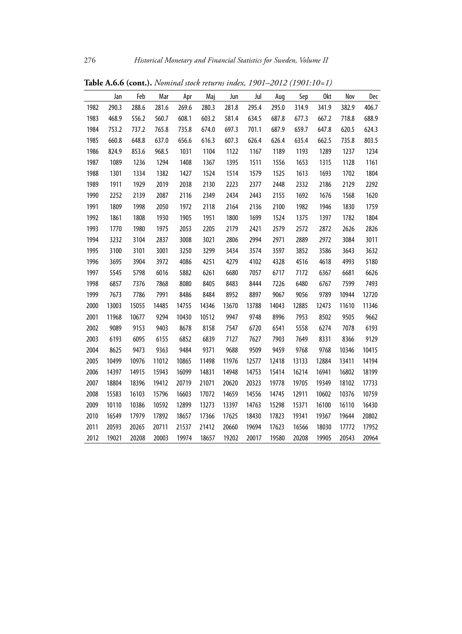|      | Jan   | Feb   | Mar   | Apr   | Maj   | Jun   | Jul   | Aug   | Sep   | 0kt   | Nov   | Dec   |
|------|-------|-------|-------|-------|-------|-------|-------|-------|-------|-------|-------|-------|
| 1982 | 290.3 | 288.6 | 281.6 | 269.6 | 280.3 | 281.8 | 295.4 | 295.0 | 314.9 | 341.9 | 382.9 | 406.7 |
| 1983 | 468.9 | 556.2 | 560.7 | 608.1 | 603.2 | 581.4 | 634.5 | 687.8 | 677.3 | 667.2 | 718.8 | 688.9 |
| 1984 | 753.2 | 737.2 | 765.8 | 735.8 | 674.0 | 697.3 | 701.1 | 687.9 | 659.7 | 647.8 | 620.5 | 624.3 |
| 1985 | 660.8 | 648.8 | 637.0 | 656.6 | 616.3 | 607.3 | 626.4 | 626.4 | 635.4 | 662.5 | 735.8 | 803.5 |
| 1986 | 824.9 | 853.6 | 968.5 | 1031  | 1104  | 1122  | 1167  | 1189  | 1193  | 1289  | 1237  | 1234  |
| 1987 | 1089  | 1236  | 1294  | 1408  | 1367  | 1395  | 1511  | 1556  | 1653  | 1315  | 1128  | 1161  |
| 1988 | 1301  | 1334  | 1382  | 1427  | 1524  | 1514  | 1579  | 1525  | 1613  | 1693  | 1702  | 1804  |
| 1989 | 1911  | 1929  | 2019  | 2038  | 2130  | 2223  | 2377  | 2448  | 2332  | 2186  | 2129  | 2292  |
| 1990 | 2252  | 2139  | 2087  | 2116  | 2349  | 2434  | 2443  | 2155  | 1692  | 1676  | 1568  | 1620  |
| 1991 | 1809  | 1998  | 2050  | 1972  | 2118  | 2164  | 2136  | 2100  | 1982  | 1946  | 1830  | 1759  |
| 1992 | 1861  | 1808  | 1930  | 1905  | 1951  | 1800  | 1699  | 1524  | 1375  | 1397  | 1782  | 1804  |
| 1993 | 1770  | 1980  | 1975  | 2053  | 2205  | 2179  | 2421  | 2579  | 2572  | 2872  | 2626  | 2826  |
| 1994 | 3232  | 3104  | 2837  | 3008  | 3021  | 2806  | 2994  | 2971  | 2889  | 2972  | 3084  | 3011  |
| 1995 | 3100  | 3101  | 3001  | 3250  | 3299  | 3434  | 3574  | 3597  | 3852  | 3586  | 3643  | 3632  |
| 1996 | 3695  | 3904  | 3972  | 4086  | 4251  | 4279  | 4102  | 4328  | 4516  | 4618  | 4993  | 5180  |
| 1997 | 5545  | 5798  | 6016  | 5882  | 6261  | 6680  | 7057  | 6717  | 7172  | 6367  | 6681  | 6626  |
| 1998 | 6857  | 7376  | 7868  | 8080  | 8405  | 8483  | 8444  | 7226  | 6480  | 6767  | 7599  | 7493  |
| 1999 | 7673  | 7786  | 7991  | 8486  | 8484  | 8952  | 8897  | 9067  | 9056  | 9789  | 10944 | 12720 |
| 2000 | 13003 | 15055 | 14485 | 14755 | 14346 | 13670 | 13788 | 14043 | 12885 | 12473 | 11610 | 11346 |
| 2001 | 11968 | 10677 | 9294  | 10430 | 10512 | 9947  | 9748  | 8996  | 7953  | 8502  | 9505  | 9662  |
| 2002 | 9089  | 9153  | 9403  | 8678  | 8158  | 7547  | 6720  | 6541  | 5558  | 6274  | 7078  | 6193  |
| 2003 | 6193  | 6095  | 6155  | 6852  | 6839  | 7127  | 7627  | 7903  | 7649  | 8331  | 8366  | 9129  |
| 2004 | 8625  | 9473  | 9363  | 9484  | 9371  | 9688  | 9509  | 9459  | 9768  | 9768  | 10346 | 10415 |
| 2005 | 10499 | 10976 | 11012 | 10865 | 11498 | 11976 | 12577 | 12418 | 13133 | 12884 | 13411 | 14194 |
| 2006 | 14397 | 14915 | 15943 | 16099 | 14831 | 14948 | 14753 | 15414 | 16214 | 16941 | 16802 | 18199 |
| 2007 | 18804 | 18396 | 19412 | 20719 | 21071 | 20620 | 20323 | 19778 | 19705 | 19349 | 18102 | 17733 |
| 2008 | 15583 | 16103 | 15796 | 16603 | 17072 | 14659 | 14556 | 14745 | 12911 | 10602 | 10376 | 10759 |
| 2009 | 10110 | 10386 | 10592 | 12899 | 13273 | 13397 | 14763 | 15298 | 15371 | 16100 | 16110 | 16430 |
| 2010 | 16549 | 17979 | 17892 | 18657 | 17366 | 17625 | 18430 | 17823 | 19341 | 19367 | 19644 | 20802 |
| 2011 | 20593 | 20265 | 20711 | 21537 | 21412 | 20660 | 19694 | 17623 | 16566 | 18030 | 17772 | 17952 |
| 2012 | 19021 | 20208 | 20003 | 19974 | 18657 | 19202 | 20017 | 19580 | 20208 | 19905 | 20543 | 20964 |

**Table A.6.6 (cont.).** *Nominal stock returns index, 1901–2012 (1901:10=1)*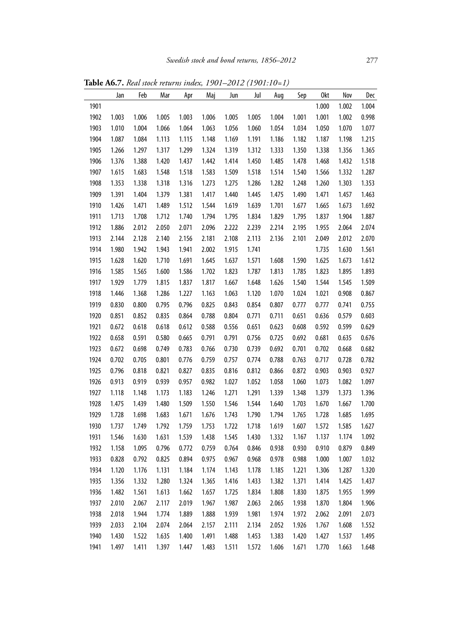**Table A6.7.** *Real stock returns index, 1901–2012 (1901:10=1)*

|      | Jan   | Feb   | Mar   | Apr   | Maj   | Jun   | Jul   | Aug   | Sep   | 0kt   | Nov   | Dec   |
|------|-------|-------|-------|-------|-------|-------|-------|-------|-------|-------|-------|-------|
| 1901 |       |       |       |       |       |       |       |       |       | 1.000 | 1.002 | 1.004 |
| 1902 | 1.003 | 1.006 | 1.005 | 1.003 | 1.006 | 1.005 | 1.005 | 1.004 | 1.001 | 1.001 | 1.002 | 0.998 |
| 1903 | 1.010 | 1.004 | 1.066 | 1.064 | 1.063 | 1.056 | 1.060 | 1.054 | 1.034 | 1.050 | 1.070 | 1.077 |
| 1904 | 1.087 | 1.084 | 1.113 | 1.115 | 1.148 | 1.169 | 1.191 | 1.186 | 1.182 | 1.187 | 1.198 | 1.215 |
| 1905 | 1.266 | 1.297 | 1.317 | 1.299 | 1.324 | 1.319 | 1.312 | 1.333 | 1.350 | 1.338 | 1.356 | 1.365 |
| 1906 | 1.376 | 1.388 | 1.420 | 1.437 | 1.442 | 1.414 | 1.450 | 1.485 | 1.478 | 1.468 | 1.432 | 1.518 |
| 1907 | 1.615 | 1.683 | 1.548 | 1.518 | 1.583 | 1.509 | 1.518 | 1.514 | 1.540 | 1.566 | 1.332 | 1.287 |
| 1908 | 1.353 | 1.338 | 1.318 | 1.316 | 1.273 | 1.275 | 1.286 | 1.282 | 1.248 | 1.260 | 1.303 | 1.353 |
| 1909 | 1.391 | 1.404 | 1.379 | 1.381 | 1.417 | 1.440 | 1.445 | 1.475 | 1.490 | 1.471 | 1.457 | 1.463 |
| 1910 | 1.426 | 1.471 | 1.489 | 1.512 | 1.544 | 1.619 | 1.639 | 1.701 | 1.677 | 1.665 | 1.673 | 1.692 |
| 1911 | 1.713 | 1.708 | 1.712 | 1.740 | 1.794 | 1.795 | 1.834 | 1.829 | 1.795 | 1.837 | 1.904 | 1.887 |
| 1912 | 1.886 | 2.012 | 2.050 | 2.071 | 2.096 | 2.222 | 2.239 | 2.214 | 2.195 | 1.955 | 2.064 | 2.074 |
| 1913 | 2.144 | 2.128 | 2.140 | 2.156 | 2.181 | 2.108 | 2.113 | 2.136 | 2.101 | 2.049 | 2.012 | 2.070 |
| 1914 | 1.980 | 1.942 | 1.943 | 1.941 | 2.002 | 1.915 | 1.741 |       |       | 1.735 | 1.630 | 1.561 |
| 1915 | 1.628 | 1.620 | 1.710 | 1.691 | 1.645 | 1.637 | 1.571 | 1.608 | 1.590 | 1.625 | 1.673 | 1.612 |
| 1916 | 1.585 | 1.565 | 1.600 | 1.586 | 1.702 | 1.823 | 1.787 | 1.813 | 1.785 | 1.823 | 1.895 | 1.893 |
| 1917 | 1.929 | 1.779 | 1.815 | 1.837 | 1.817 | 1.667 | 1.648 | 1.626 | 1.540 | 1.544 | 1.545 | 1.509 |
| 1918 | 1.446 | 1.368 | 1.286 | 1.227 | 1.163 | 1.063 | 1.120 | 1.070 | 1.024 | 1.021 | 0.908 | 0.867 |
| 1919 | 0.830 | 0.800 | 0.795 | 0.796 | 0.825 | 0.843 | 0.854 | 0.807 | 0.777 | 0.777 | 0.741 | 0.755 |
| 1920 | 0.851 | 0.852 | 0.835 | 0.864 | 0.788 | 0.804 | 0.771 | 0.711 | 0.651 | 0.636 | 0.579 | 0.603 |
| 1921 | 0.672 | 0.618 | 0.618 | 0.612 | 0.588 | 0.556 | 0.651 | 0.623 | 0.608 | 0.592 | 0.599 | 0.629 |
| 1922 | 0.658 | 0.591 | 0.580 | 0.665 | 0.791 | 0.791 | 0.756 | 0.725 | 0.692 | 0.681 | 0.635 | 0.676 |
| 1923 | 0.672 | 0.698 | 0.749 | 0.783 | 0.766 | 0.730 | 0.739 | 0.692 | 0.701 | 0.702 | 0.668 | 0.682 |
| 1924 | 0.702 | 0.705 | 0.801 | 0.776 | 0.759 | 0.757 | 0.774 | 0.788 | 0.763 | 0.717 | 0.728 | 0.782 |
| 1925 | 0.796 | 0.818 | 0.821 | 0.827 | 0.835 | 0.816 | 0.812 | 0.866 | 0.872 | 0.903 | 0.903 | 0.927 |
| 1926 | 0.913 | 0.919 | 0.939 | 0.957 | 0.982 | 1.027 | 1.052 | 1.058 | 1.060 | 1.073 | 1.082 | 1.097 |
| 1927 | 1.118 | 1.148 | 1.173 | 1.183 | 1.246 | 1.271 | 1.291 | 1.339 | 1.348 | 1.379 | 1.373 | 1.396 |
| 1928 | 1.475 | 1.439 | 1.480 | 1.509 | 1.550 | 1.546 | 1.544 | 1.640 | 1.703 | 1.670 | 1.667 | 1.700 |
| 1929 | 1.728 | 1.698 | 1.683 | 1.671 | 1.676 | 1.743 | 1.790 | 1.794 | 1.765 | 1.728 | 1.685 | 1.695 |
| 1930 | 1.737 | 1.749 | 1.792 | 1.759 | 1.753 | 1.722 | 1.718 | 1.619 | 1.607 | 1.572 | 1.585 | 1.627 |
| 1931 | 1.546 | 1.630 | 1.631 | 1.539 | 1.438 | 1.545 | 1.430 | 1.332 | 1.167 | 1.137 | 1.174 | 1.092 |
| 1932 | 1.158 | 1.095 | 0.796 | 0.772 | 0.759 | 0.764 | 0.846 | 0.938 | 0.930 | 0.910 | 0.879 | 0.849 |
| 1933 | 0.828 | 0.792 | 0.825 | 0.894 | 0.975 | 0.967 | 0.968 | 0.978 | 0.988 | 1.000 | 1.007 | 1.032 |
| 1934 | 1.120 | 1.176 | 1.131 | 1.184 | 1.174 | 1.143 | 1.178 | 1.185 | 1.221 | 1.306 | 1.287 | 1.320 |
| 1935 | 1.356 | 1.332 | 1.280 | 1.324 | 1.365 | 1.416 | 1.433 | 1.382 | 1.371 | 1.414 | 1.425 | 1.437 |
| 1936 | 1.482 | 1.561 | 1.613 | 1.662 | 1.657 | 1.725 | 1.834 | 1.808 | 1.830 | 1.875 | 1.955 | 1.999 |
| 1937 | 2.010 | 2.067 | 2.117 | 2.019 | 1.967 | 1.987 | 2.063 | 2.065 | 1.938 | 1.870 | 1.804 | 1.906 |
| 1938 | 2.018 | 1.944 | 1.774 | 1.889 | 1.888 | 1.939 | 1.981 | 1.974 | 1.972 | 2.062 | 2.091 | 2.073 |
| 1939 | 2.033 | 2.104 | 2.074 | 2.064 | 2.157 | 2.111 | 2.134 | 2.052 | 1.926 | 1.767 | 1.608 | 1.552 |
| 1940 | 1.430 | 1.522 | 1.635 | 1.400 | 1.491 | 1.488 | 1.453 | 1.383 | 1.420 | 1.427 | 1.537 | 1.495 |
| 1941 | 1.497 | 1.411 | 1.397 | 1.447 | 1.483 | 1.511 | 1.572 | 1.606 | 1.671 | 1.770 | 1.663 | 1.648 |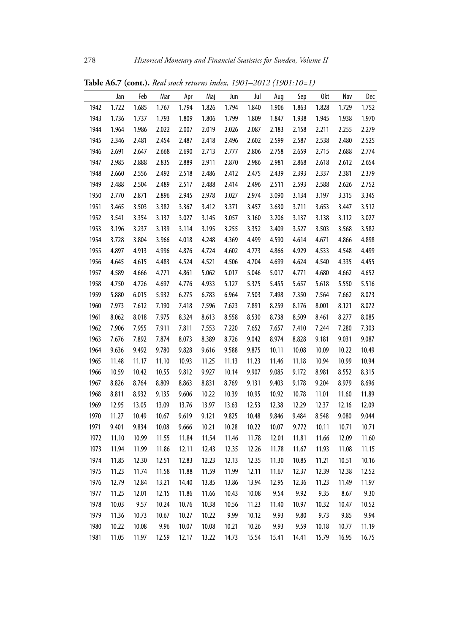|      | Jan   | Feb   | Mar   | Apr   | Maj   | Jun   | Jul   | Aug   | Sep   | 0kt   | Nov   | Dec   |
|------|-------|-------|-------|-------|-------|-------|-------|-------|-------|-------|-------|-------|
| 1942 | 1.722 | 1.685 | 1.767 | 1.794 | 1.826 | 1.794 | 1.840 | 1.906 | 1.863 | 1.828 | 1.729 | 1.752 |
| 1943 | 1.736 | 1.737 | 1.793 | 1.809 | 1.806 | 1.799 | 1.809 | 1.847 | 1.938 | 1.945 | 1.938 | 1.970 |
| 1944 | 1.964 | 1.986 | 2.022 | 2.007 | 2.019 | 2.026 | 2.087 | 2.183 | 2.158 | 2.211 | 2.255 | 2.279 |
| 1945 | 2.346 | 2.481 | 2.454 | 2.487 | 2.418 | 2.496 | 2.602 | 2.599 | 2.587 | 2.538 | 2.480 | 2.525 |
| 1946 | 2.691 | 2.647 | 2.668 | 2.690 | 2.713 | 2.777 | 2.806 | 2.758 | 2.659 | 2.715 | 2.688 | 2.774 |
| 1947 | 2.985 | 2.888 | 2.835 | 2.889 | 2.911 | 2.870 | 2.986 | 2.981 | 2.868 | 2.618 | 2.612 | 2.654 |
| 1948 | 2.660 | 2.556 | 2.492 | 2.518 | 2.486 | 2.412 | 2.475 | 2.439 | 2.393 | 2.337 | 2.381 | 2.379 |
| 1949 | 2.488 | 2.504 | 2.489 | 2.517 | 2.488 | 2.414 | 2.496 | 2.511 | 2.593 | 2.588 | 2.626 | 2.752 |
| 1950 | 2.770 | 2.871 | 2.896 | 2.945 | 2.978 | 3.027 | 2.974 | 3.090 | 3.134 | 3.197 | 3.315 | 3.345 |
| 1951 | 3.465 | 3.503 | 3.382 | 3.367 | 3.412 | 3.371 | 3.457 | 3.630 | 3.711 | 3.653 | 3.447 | 3.512 |
| 1952 | 3.541 | 3.354 | 3.137 | 3.027 | 3.145 | 3.057 | 3.160 | 3.206 | 3.137 | 3.138 | 3.112 | 3.027 |
| 1953 | 3.196 | 3.237 | 3.139 | 3.114 | 3.195 | 3.255 | 3.352 | 3.409 | 3.527 | 3.503 | 3.568 | 3.582 |
| 1954 | 3.728 | 3.804 | 3.966 | 4.018 | 4.248 | 4.369 | 4.499 | 4.590 | 4.614 | 4.671 | 4.866 | 4.898 |
| 1955 | 4.897 | 4.913 | 4.996 | 4.876 | 4.724 | 4.602 | 4.773 | 4.866 | 4.929 | 4.533 | 4.548 | 4.499 |
| 1956 | 4.645 | 4.615 | 4.483 | 4.524 | 4.521 | 4.506 | 4.704 | 4.699 | 4.624 | 4.540 | 4.335 | 4.455 |
| 1957 | 4.589 | 4.666 | 4.771 | 4.861 | 5.062 | 5.017 | 5.046 | 5.017 | 4.771 | 4.680 | 4.662 | 4.652 |
| 1958 | 4.750 | 4.726 | 4.697 | 4.776 | 4.933 | 5.127 | 5.375 | 5.455 | 5.657 | 5.618 | 5.550 | 5.516 |
| 1959 | 5.880 | 6.015 | 5.932 | 6.275 | 6.783 | 6.964 | 7.503 | 7.498 | 7.350 | 7.564 | 7.662 | 8.073 |
| 1960 | 7.973 | 7.612 | 7.190 | 7.418 | 7.596 | 7.623 | 7.891 | 8.259 | 8.176 | 8.001 | 8.121 | 8.072 |
| 1961 | 8.062 | 8.018 | 7.975 | 8.324 | 8.613 | 8.558 | 8.530 | 8.738 | 8.509 | 8.461 | 8.277 | 8.085 |
| 1962 | 7.906 | 7.955 | 7.911 | 7.811 | 7.553 | 7.220 | 7.652 | 7.657 | 7.410 | 7.244 | 7.280 | 7.303 |
| 1963 | 7.676 | 7.892 | 7.874 | 8.073 | 8.389 | 8.726 | 9.042 | 8.974 | 8.828 | 9.181 | 9.031 | 9.087 |
| 1964 | 9.636 | 9.492 | 9.780 | 9.828 | 9.616 | 9.588 | 9.875 | 10.11 | 10.08 | 10.09 | 10.22 | 10.49 |
| 1965 | 11.48 | 11.17 | 11.10 | 10.93 | 11.25 | 11.13 | 11.23 | 11.46 | 11.18 | 10.94 | 10.99 | 10.94 |
| 1966 | 10.59 | 10.42 | 10.55 | 9.812 | 9.927 | 10.14 | 9.907 | 9.085 | 9.172 | 8.981 | 8.552 | 8.315 |
| 1967 | 8.826 | 8.764 | 8.809 | 8.863 | 8.831 | 8.769 | 9.131 | 9.403 | 9.178 | 9.204 | 8.979 | 8.696 |
| 1968 | 8.811 | 8.932 | 9.135 | 9.606 | 10.22 | 10.39 | 10.95 | 10.92 | 10.78 | 11.01 | 11.60 | 11.89 |
| 1969 | 12.95 | 13.05 | 13.09 | 13.76 | 13.97 | 13.63 | 12.53 | 12.38 | 12.29 | 12.37 | 12.16 | 12.09 |
| 1970 | 11.27 | 10.49 | 10.67 | 9.619 | 9.121 | 9.825 | 10.48 | 9.846 | 9.484 | 8.548 | 9.080 | 9.044 |
| 1971 | 9.401 | 9.834 | 10.08 | 9.666 | 10.21 | 10.28 | 10.22 | 10.07 | 9.772 | 10.11 | 10.71 | 10.71 |
| 1972 | 11.10 | 10.99 | 11.55 | 11.84 | 11.54 | 11.46 | 11.78 | 12.01 | 11.81 | 11.66 | 12.09 | 11.60 |
| 1973 | 11.94 | 11.99 | 11.86 | 12.11 | 12.43 | 12.35 | 12.26 | 11.78 | 11.67 | 11.93 | 11.08 | 11.15 |
| 1974 | 11.85 | 12.30 | 12.51 | 12.83 | 12.23 | 12.13 | 12.35 | 11.30 | 10.85 | 11.21 | 10.51 | 10.16 |
| 1975 | 11.23 | 11.74 | 11.58 | 11.88 | 11.59 | 11.99 | 12.11 | 11.67 | 12.37 | 12.39 | 12.38 | 12.52 |
| 1976 | 12.79 | 12.84 | 13.21 | 14.40 | 13.85 | 13.86 | 13.94 | 12.95 | 12.36 | 11.23 | 11.49 | 11.97 |
| 1977 | 11.25 | 12.01 | 12.15 | 11.86 | 11.66 | 10.43 | 10.08 | 9.54  | 9.92  | 9.35  | 8.67  | 9.30  |
| 1978 | 10.03 | 9.57  | 10.24 | 10.76 | 10.38 | 10.56 | 11.23 | 11.40 | 10.97 | 10.32 | 10.47 | 10.52 |
| 1979 | 11.36 | 10.73 | 10.67 | 10.27 | 10.22 | 9.99  | 10.12 | 9.93  | 9.80  | 9.73  | 9.85  | 9.94  |
| 1980 | 10.22 | 10.08 | 9.96  | 10.07 | 10.08 | 10.21 | 10.26 | 9.93  | 9.59  | 10.18 | 10.77 | 11.19 |
| 1981 | 11.05 | 11.97 | 12.59 | 12.17 | 13.22 | 14.73 | 15.54 | 15.41 | 14.41 | 15.79 | 16.95 | 16.75 |

**Table A6.7 (cont.).** *Real stock returns index, 1901–2012 (1901:10=1)*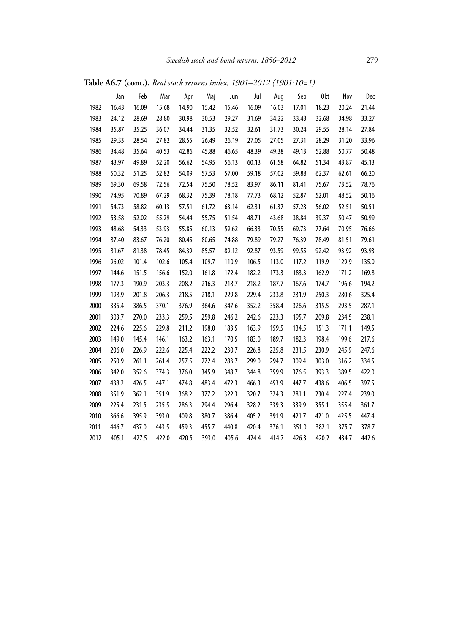|      | Jan   | Feb   | Mar   | Apr   | Maj   | Jun   | Jul   | Aug   | Sep   | 0kt   | Nov   | Dec   |
|------|-------|-------|-------|-------|-------|-------|-------|-------|-------|-------|-------|-------|
| 1982 | 16.43 | 16.09 | 15.68 | 14.90 | 15.42 | 15.46 | 16.09 | 16.03 | 17.01 | 18.23 | 20.24 | 21.44 |
| 1983 | 24.12 | 28.69 | 28.80 | 30.98 | 30.53 | 29.27 | 31.69 | 34.22 | 33.43 | 32.68 | 34.98 | 33.27 |
| 1984 | 35.87 | 35.25 | 36.07 | 34.44 | 31.35 | 32.52 | 32.61 | 31.73 | 30.24 | 29.55 | 28.14 | 27.84 |
| 1985 | 29.33 | 28.54 | 27.82 | 28.55 | 26.49 | 26.19 | 27.05 | 27.05 | 27.31 | 28.29 | 31.20 | 33.96 |
| 1986 | 34.48 | 35.64 | 40.53 | 42.86 | 45.88 | 46.65 | 48.39 | 49.38 | 49.13 | 52.88 | 50.77 | 50.48 |
| 1987 | 43.97 | 49.89 | 52.20 | 56.62 | 54.95 | 56.13 | 60.13 | 61.58 | 64.82 | 51.34 | 43.87 | 45.13 |
| 1988 | 50.32 | 51.25 | 52.82 | 54.09 | 57.53 | 57.00 | 59.18 | 57.02 | 59.88 | 62.37 | 62.61 | 66.20 |
| 1989 | 69.30 | 69.58 | 72.56 | 72.54 | 75.50 | 78.52 | 83.97 | 86.11 | 81.41 | 75.67 | 73.52 | 78.76 |
| 1990 | 74.95 | 70.89 | 67.29 | 68.32 | 75.39 | 78.18 | 77.73 | 68.12 | 52.87 | 52.01 | 48.52 | 50.16 |
| 1991 | 54.73 | 58.82 | 60.13 | 57.51 | 61.72 | 63.14 | 62.31 | 61.37 | 57.28 | 56.02 | 52.51 | 50.51 |
| 1992 | 53.58 | 52.02 | 55.29 | 54.44 | 55.75 | 51.54 | 48.71 | 43.68 | 38.84 | 39.37 | 50.47 | 50.99 |
| 1993 | 48.68 | 54.33 | 53.93 | 55.85 | 60.13 | 59.62 | 66.33 | 70.55 | 69.73 | 77.64 | 70.95 | 76.66 |
| 1994 | 87.40 | 83.67 | 76.20 | 80.45 | 80.65 | 74.88 | 79.89 | 79.27 | 76.39 | 78.49 | 81.51 | 79.61 |
| 1995 | 81.67 | 81.38 | 78.45 | 84.39 | 85.57 | 89.12 | 92.87 | 93.59 | 99.55 | 92.42 | 93.92 | 93.93 |
| 1996 | 96.02 | 101.4 | 102.6 | 105.4 | 109.7 | 110.9 | 106.5 | 113.0 | 117.2 | 119.9 | 129.9 | 135.0 |
| 1997 | 144.6 | 151.5 | 156.6 | 152.0 | 161.8 | 172.4 | 182.2 | 173.3 | 183.3 | 162.9 | 171.2 | 169.8 |
| 1998 | 177.3 | 190.9 | 203.3 | 208.2 | 216.3 | 218.7 | 218.2 | 187.7 | 167.6 | 174.7 | 196.6 | 194.2 |
| 1999 | 198.9 | 201.8 | 206.3 | 218.5 | 218.1 | 229.8 | 229.4 | 233.8 | 231.9 | 250.3 | 280.6 | 325.4 |
| 2000 | 335.4 | 386.5 | 370.1 | 376.9 | 364.6 | 347.6 | 352.2 | 358.4 | 326.6 | 315.5 | 293.5 | 287.1 |
| 2001 | 303.7 | 270.0 | 233.3 | 259.5 | 259.8 | 246.2 | 242.6 | 223.3 | 195.7 | 209.8 | 234.5 | 238.1 |
| 2002 | 224.6 | 225.6 | 229.8 | 211.2 | 198.0 | 183.5 | 163.9 | 159.5 | 134.5 | 151.3 | 171.1 | 149.5 |
| 2003 | 149.0 | 145.4 | 146.1 | 163.2 | 163.1 | 170.5 | 183.0 | 189.7 | 182.3 | 198.4 | 199.6 | 217.6 |
| 2004 | 206.0 | 226.9 | 222.6 | 225.4 | 222.2 | 230.7 | 226.8 | 225.8 | 231.5 | 230.9 | 245.9 | 247.6 |
| 2005 | 250.9 | 261.1 | 261.4 | 257.5 | 272.4 | 283.7 | 299.0 | 294.7 | 309.4 | 303.0 | 316.2 | 334.5 |
| 2006 | 342.0 | 352.6 | 374.3 | 376.0 | 345.9 | 348.7 | 344.8 | 359.9 | 376.5 | 393.3 | 389.5 | 422.0 |
| 2007 | 438.2 | 426.5 | 447.1 | 474.8 | 483.4 | 472.3 | 466.3 | 453.9 | 447.7 | 438.6 | 406.5 | 397.5 |
| 2008 | 351.9 | 362.1 | 351.9 | 368.2 | 377.2 | 322.3 | 320.7 | 324.3 | 281.1 | 230.4 | 227.4 | 239.0 |
| 2009 | 225.4 | 231.5 | 235.5 | 286.3 | 294.4 | 296.4 | 328.2 | 339.3 | 339.9 | 355.1 | 355.4 | 361.7 |
| 2010 | 366.6 | 395.9 | 393.0 | 409.8 | 380.7 | 386.4 | 405.2 | 391.9 | 421.7 | 421.0 | 425.5 | 447.4 |
| 2011 | 446.7 | 437.0 | 443.5 | 459.3 | 455.7 | 440.8 | 420.4 | 376.1 | 351.0 | 382.1 | 375.7 | 378.7 |
| 2012 | 405.1 | 427.5 | 422.0 | 420.5 | 393.0 | 405.6 | 424.4 | 414.7 | 426.3 | 420.2 | 434.7 | 442.6 |
|      |       |       |       |       |       |       |       |       |       |       |       |       |

**Table A6.7 (cont.).** *Real stock returns index, 1901–2012 (1901:10=1)*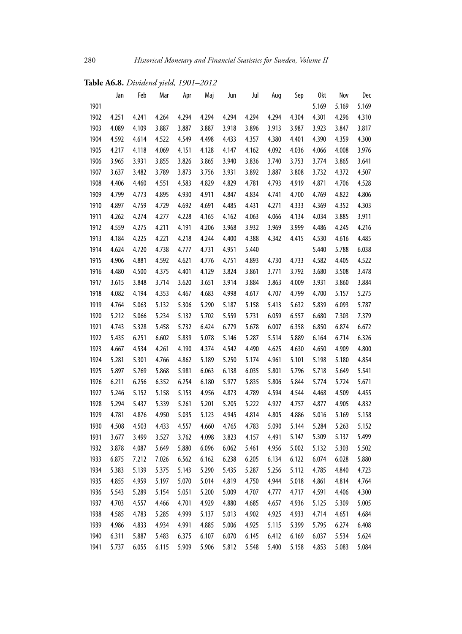|      | Jan   | Feb   | Mar   | Apr   | Maj   | Jun   | Jul   | Aug   | Sep   | 0kt   | Nov   | Dec   |
|------|-------|-------|-------|-------|-------|-------|-------|-------|-------|-------|-------|-------|
| 1901 |       |       |       |       |       |       |       |       |       | 5.169 | 5.169 | 5.169 |
| 1902 | 4.251 | 4.241 | 4.264 | 4.294 | 4.294 | 4.294 | 4.294 | 4.294 | 4.304 | 4.301 | 4.296 | 4.310 |
| 1903 | 4.089 | 4.109 | 3.887 | 3.887 | 3.887 | 3.918 | 3.896 | 3.913 | 3.987 | 3.923 | 3.847 | 3.817 |
| 1904 | 4.592 | 4.614 | 4.522 | 4.549 | 4.498 | 4.433 | 4.357 | 4.380 | 4.401 | 4.390 | 4.359 | 4.300 |
| 1905 | 4.217 | 4.118 | 4.069 | 4.151 | 4.128 | 4.147 | 4.162 | 4.092 | 4.036 | 4.066 | 4.008 | 3.976 |
| 1906 | 3.965 | 3.931 | 3.855 | 3.826 | 3.865 | 3.940 | 3.836 | 3.740 | 3.753 | 3.774 | 3.865 | 3.641 |
| 1907 | 3.637 | 3.482 | 3.789 | 3.873 | 3.756 | 3.931 | 3.892 | 3.887 | 3.808 | 3.732 | 4.372 | 4.507 |
| 1908 | 4.406 | 4.460 | 4.551 | 4.583 | 4.829 | 4.829 | 4.781 | 4.793 | 4.919 | 4.871 | 4.706 | 4.528 |
| 1909 | 4.799 | 4.773 | 4.895 | 4.930 | 4.911 | 4.847 | 4.834 | 4.741 | 4.700 | 4.769 | 4.822 | 4.806 |
| 1910 | 4.897 | 4.759 | 4.729 | 4.692 | 4.691 | 4.485 | 4.431 | 4.271 | 4.333 | 4.369 | 4.352 | 4.303 |
| 1911 | 4.262 | 4.274 | 4.277 | 4.228 | 4.165 | 4.162 | 4.063 | 4.066 | 4.134 | 4.034 | 3.885 | 3.911 |
| 1912 | 4.559 | 4.275 | 4.211 | 4.191 | 4.206 | 3.968 | 3.932 | 3.969 | 3.999 | 4.486 | 4.245 | 4.216 |
| 1913 | 4.184 | 4.225 | 4.221 | 4.218 | 4.244 | 4.400 | 4.388 | 4.342 | 4.415 | 4.530 | 4.616 | 4.485 |
| 1914 | 4.624 | 4.720 | 4.738 | 4.777 | 4.731 | 4.951 | 5.440 |       |       | 5.440 | 5.788 | 6.038 |
| 1915 | 4.906 | 4.881 | 4.592 | 4.621 | 4.776 | 4.751 | 4.893 | 4.730 | 4.733 | 4.582 | 4.405 | 4.522 |
| 1916 | 4.480 | 4.500 | 4.375 | 4.401 | 4.129 | 3.824 | 3.861 | 3.771 | 3.792 | 3.680 | 3.508 | 3.478 |
| 1917 | 3.615 | 3.848 | 3.714 | 3.620 | 3.651 | 3.914 | 3.884 | 3.863 | 4.009 | 3.931 | 3.860 | 3.884 |
| 1918 | 4.082 | 4.194 | 4.353 | 4.467 | 4.683 | 4.998 | 4.617 | 4.707 | 4.799 | 4.700 | 5.157 | 5.275 |
| 1919 | 4.764 | 5.063 | 5.132 | 5.306 | 5.290 | 5.187 | 5.158 | 5.413 | 5.632 | 5.839 | 6.093 | 5.787 |
| 1920 | 5.212 | 5.066 | 5.234 | 5.132 | 5.702 | 5.559 | 5.731 | 6.059 | 6.557 | 6.680 | 7.303 | 7.379 |
| 1921 | 4.743 | 5.328 | 5.458 | 5.732 | 6.424 | 6.779 | 5.678 | 6.007 | 6.358 | 6.850 | 6.874 | 6.672 |
| 1922 | 5.435 | 6.251 | 6.602 | 5.839 | 5.078 | 5.146 | 5.287 | 5.514 | 5.889 | 6.164 | 6.714 | 6.326 |
| 1923 | 4.667 | 4.534 | 4.261 | 4.190 | 4.374 | 4.542 | 4.490 | 4.625 | 4.630 | 4.650 | 4.909 | 4.800 |
| 1924 | 5.281 | 5.301 | 4.766 | 4.862 | 5.189 | 5.250 | 5.174 | 4.961 | 5.101 | 5.198 | 5.180 | 4.854 |
| 1925 | 5.897 | 5.769 | 5.868 | 5.981 | 6.063 | 6.138 | 6.035 | 5.801 | 5.796 | 5.718 | 5.649 | 5.541 |
| 1926 | 6.211 | 6.256 | 6.352 | 6.254 | 6.180 | 5.977 | 5.835 | 5.806 | 5.844 | 5.774 | 5.724 | 5.671 |
| 1927 | 5.246 | 5.152 | 5.158 | 5.153 | 4.956 | 4.873 | 4.789 | 4.594 | 4.544 | 4.468 | 4.509 | 4.455 |
| 1928 | 5.294 | 5.437 | 5.339 | 5.261 | 5.201 | 5.205 | 5.222 | 4.927 | 4.757 | 4.877 | 4.905 | 4.832 |
| 1929 | 4.781 | 4.876 | 4.950 | 5.035 | 5.123 | 4.945 | 4.814 | 4.805 | 4.886 | 5.016 | 5.169 | 5.158 |
| 1930 | 4.508 | 4.503 | 4.433 | 4.557 | 4.660 | 4.765 | 4.783 | 5.090 | 5.144 | 5.284 | 5.263 | 5.152 |
| 1931 | 3.677 | 3.499 | 3.527 | 3.762 | 4.098 | 3.823 | 4.157 | 4.491 | 5.147 | 5.309 | 5.137 | 5.499 |
| 1932 | 3.878 | 4.087 | 5.649 | 5.880 | 6.096 | 6.062 | 5.461 | 4.956 | 5.002 | 5.132 | 5.303 | 5.502 |
| 1933 | 6.875 | 7.212 | 7.026 | 6.562 | 6.162 | 6.238 | 6.205 | 6.134 | 6.122 | 6.074 | 6.028 | 5.880 |
| 1934 | 5.383 | 5.139 | 5.375 | 5.143 | 5.290 | 5.435 | 5.287 | 5.256 | 5.112 | 4.785 | 4.840 | 4.723 |
| 1935 | 4.855 | 4.959 | 5.197 | 5.070 | 5.014 | 4.819 | 4.750 | 4.944 | 5.018 | 4.861 | 4.814 | 4.764 |
| 1936 | 5.543 | 5.289 | 5.154 | 5.051 | 5.200 | 5.009 | 4.707 | 4.777 | 4.717 | 4.591 | 4.406 | 4.300 |
| 1937 | 4.703 | 4.557 | 4.466 | 4.701 | 4.929 | 4.880 | 4.685 | 4.657 | 4.936 | 5.125 | 5.309 | 5.005 |
| 1938 | 4.585 | 4.783 | 5.285 | 4.999 | 5.137 | 5.013 | 4.902 | 4.925 | 4.933 | 4.714 | 4.651 | 4.684 |
| 1939 | 4.986 | 4.833 | 4.934 | 4.991 | 4.885 | 5.006 | 4.925 | 5.115 | 5.399 | 5.795 | 6.274 | 6.408 |
| 1940 | 6.311 | 5.887 | 5.483 | 6.375 | 6.107 | 6.070 | 6.145 | 6.412 | 6.169 | 6.037 | 5.534 | 5.624 |
| 1941 | 5.737 | 6.055 | 6.115 | 5.909 | 5.906 | 5.812 | 5.548 | 5.400 | 5.158 | 4.853 | 5.083 | 5.084 |

**Table A6.8.** *Dividend yield, 1901–2012*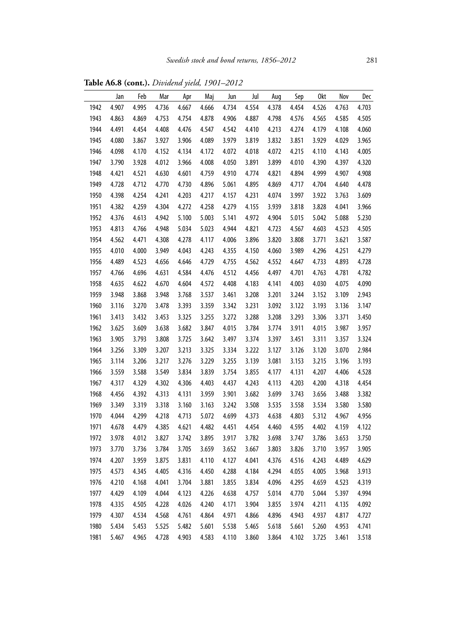|      | Jan   | Feb   | Mar   | Apr   | Maj   | Jun   | Jul   | Aug   | Sep   | 0kt   | Nov   | Dec   |
|------|-------|-------|-------|-------|-------|-------|-------|-------|-------|-------|-------|-------|
| 1942 | 4.907 | 4.995 | 4.736 | 4.667 | 4.666 | 4.734 | 4.554 | 4.378 | 4.454 | 4.526 | 4.763 | 4.703 |
| 1943 | 4.863 | 4.869 | 4.753 | 4.754 | 4.878 | 4.906 | 4.887 | 4.798 | 4.576 | 4.565 | 4.585 | 4.505 |
| 1944 | 4.491 | 4.454 | 4.408 | 4.476 | 4.547 | 4.542 | 4.410 | 4.213 | 4.274 | 4.179 | 4.108 | 4.060 |
| 1945 | 4.080 | 3.867 | 3.927 | 3.906 | 4.089 | 3.979 | 3.819 | 3.832 | 3.851 | 3.929 | 4.029 | 3.965 |
| 1946 | 4.098 | 4.170 | 4.152 | 4.134 | 4.172 | 4.072 | 4.018 | 4.072 | 4.215 | 4.110 | 4.143 | 4.005 |
| 1947 | 3.790 | 3.928 | 4.012 | 3.966 | 4.008 | 4.050 | 3.891 | 3.899 | 4.010 | 4.390 | 4.397 | 4.320 |
| 1948 | 4.421 | 4.521 | 4.630 | 4.601 | 4.759 | 4.910 | 4.774 | 4.821 | 4.894 | 4.999 | 4.907 | 4.908 |
| 1949 | 4.728 | 4.712 | 4.770 | 4.730 | 4.896 | 5.061 | 4.895 | 4.869 | 4.717 | 4.704 | 4.640 | 4.478 |
| 1950 | 4.398 | 4.254 | 4.241 | 4.203 | 4.217 | 4.157 | 4.231 | 4.074 | 3.997 | 3.922 | 3.763 | 3.609 |
| 1951 | 4.382 | 4.259 | 4.304 | 4.272 | 4.258 | 4.279 | 4.155 | 3.939 | 3.818 | 3.828 | 4.041 | 3.966 |
| 1952 | 4.376 | 4.613 | 4.942 | 5.100 | 5.003 | 5.141 | 4.972 | 4.904 | 5.015 | 5.042 | 5.088 | 5.230 |
| 1953 | 4.813 | 4.766 | 4.948 | 5.034 | 5.023 | 4.944 | 4.821 | 4.723 | 4.567 | 4.603 | 4.523 | 4.505 |
| 1954 | 4.562 | 4.471 | 4.308 | 4.278 | 4.117 | 4.006 | 3.896 | 3.820 | 3.808 | 3.771 | 3.621 | 3.587 |
| 1955 | 4.010 | 4.000 | 3.949 | 4.043 | 4.243 | 4.355 | 4.150 | 4.060 | 3.989 | 4.296 | 4.251 | 4.279 |
| 1956 | 4.489 | 4.523 | 4.656 | 4.646 | 4.729 | 4.755 | 4.562 | 4.552 | 4.647 | 4.733 | 4.893 | 4.728 |
| 1957 | 4.766 | 4.696 | 4.631 | 4.584 | 4.476 | 4.512 | 4.456 | 4.497 | 4.701 | 4.763 | 4.781 | 4.782 |
| 1958 | 4.635 | 4.622 | 4.670 | 4.604 | 4.572 | 4.408 | 4.183 | 4.141 | 4.003 | 4.030 | 4.075 | 4.090 |
| 1959 | 3.948 | 3.868 | 3.948 | 3.768 | 3.537 | 3.461 | 3.208 | 3.201 | 3.244 | 3.152 | 3.109 | 2.943 |
| 1960 | 3.116 | 3.270 | 3.478 | 3.393 | 3.359 | 3.342 | 3.231 | 3.092 | 3.122 | 3.193 | 3.136 | 3.147 |
| 1961 | 3.413 | 3.432 | 3.453 | 3.325 | 3.255 | 3.272 | 3.288 | 3.208 | 3.293 | 3.306 | 3.371 | 3.450 |
| 1962 | 3.625 | 3.609 | 3.638 | 3.682 | 3.847 | 4.015 | 3.784 | 3.774 | 3.911 | 4.015 | 3.987 | 3.957 |
| 1963 | 3.905 | 3.793 | 3.808 | 3.725 | 3.642 | 3.497 | 3.374 | 3.397 | 3.451 | 3.311 | 3.357 | 3.324 |
| 1964 | 3.256 | 3.309 | 3.207 | 3.213 | 3.325 | 3.334 | 3.222 | 3.127 | 3.126 | 3.120 | 3.070 | 2.984 |
| 1965 | 3.114 | 3.206 | 3.217 | 3.276 | 3.229 | 3.255 | 3.139 | 3.081 | 3.153 | 3.215 | 3.196 | 3.193 |
| 1966 | 3.559 | 3.588 | 3.549 | 3.834 | 3.839 | 3.754 | 3.855 | 4.177 | 4.131 | 4.207 | 4.406 | 4.528 |
| 1967 | 4.317 | 4.329 | 4.302 | 4.306 | 4.403 | 4.437 | 4.243 | 4.113 | 4.203 | 4.200 | 4.318 | 4.454 |
| 1968 | 4.456 | 4.392 | 4.313 | 4.131 | 3.959 | 3.901 | 3.682 | 3.699 | 3.743 | 3.656 | 3.488 | 3.382 |
| 1969 | 3.349 | 3.319 | 3.318 | 3.160 | 3.163 | 3.242 | 3.508 | 3.535 | 3.558 | 3.534 | 3.580 | 3.580 |
| 1970 | 4.044 | 4.299 | 4.218 | 4.713 | 5.072 | 4.699 | 4.373 | 4.638 | 4.803 | 5.312 | 4.967 | 4.956 |
| 1971 | 4.678 | 4.479 | 4.385 | 4.621 | 4.482 | 4.451 | 4.454 | 4.460 | 4.595 | 4.402 | 4.159 | 4.122 |
| 1972 | 3.978 | 4.012 | 3.827 | 3.742 | 3.895 | 3.917 | 3.782 | 3.698 | 3.747 | 3.786 | 3.653 | 3.750 |
| 1973 | 3.770 | 3.736 | 3.784 | 3.705 | 3.659 | 3.652 | 3.667 | 3.803 | 3.826 | 3.710 | 3.957 | 3.905 |
| 1974 | 4.207 | 3.959 | 3.875 | 3.831 | 4.110 | 4.127 | 4.041 | 4.376 | 4.516 | 4.243 | 4.489 | 4.629 |
| 1975 | 4.573 | 4.345 | 4.405 | 4.316 | 4.450 | 4.288 | 4.184 | 4.294 | 4.055 | 4.005 | 3.968 | 3.913 |
| 1976 | 4.210 | 4.168 | 4.041 | 3.704 | 3.881 | 3.855 | 3.834 | 4.096 | 4.295 | 4.659 | 4.523 | 4.319 |
| 1977 | 4.429 | 4.109 | 4.044 | 4.123 | 4.226 | 4.638 | 4.757 | 5.014 | 4.770 | 5.044 | 5.397 | 4.994 |
| 1978 | 4.335 | 4.505 | 4.228 | 4.026 | 4.240 | 4.171 | 3.904 | 3.855 | 3.974 | 4.211 | 4.135 | 4.092 |
| 1979 | 4.307 | 4.534 | 4.568 | 4.761 | 4.864 | 4.971 | 4.866 | 4.896 | 4.943 | 4.937 | 4.817 | 4.727 |
| 1980 | 5.434 | 5.453 | 5.525 | 5.482 | 5.601 | 5.538 | 5.465 | 5.618 | 5.661 | 5.260 | 4.953 | 4.741 |
| 1981 | 5.467 | 4.965 | 4.728 | 4.903 | 4.583 | 4.110 | 3.860 | 3.864 | 4.102 | 3.725 | 3.461 | 3.518 |

**Table A6.8 (cont.).** *Dividend yield, 1901–2012*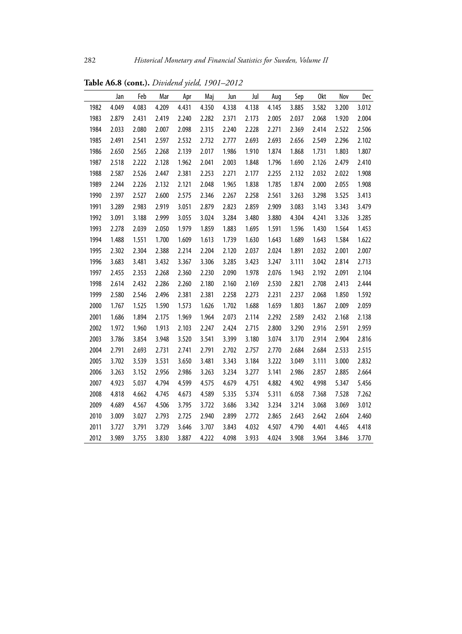|      | Jan   | Feb   | Mar   | Apr   | Maj   | Jun   | Jul   | Aug   | Sep   | 0kt   | Nov   | Dec   |
|------|-------|-------|-------|-------|-------|-------|-------|-------|-------|-------|-------|-------|
| 1982 | 4.049 | 4.083 | 4.209 | 4.431 | 4.350 | 4.338 | 4.138 | 4.145 | 3.885 | 3.582 | 3.200 | 3.012 |
| 1983 | 2.879 | 2.431 | 2.419 | 2.240 | 2.282 | 2.371 | 2.173 | 2.005 | 2.037 | 2.068 | 1.920 | 2.004 |
| 1984 | 2.033 | 2.080 | 2.007 | 2.098 | 2.315 | 2.240 | 2.228 | 2.271 | 2.369 | 2.414 | 2.522 | 2.506 |
| 1985 | 2.491 | 2.541 | 2.597 | 2.532 | 2.732 | 2.777 | 2.693 | 2.693 | 2.656 | 2.549 | 2.296 | 2.102 |
| 1986 | 2.650 | 2.565 | 2.268 | 2.139 | 2.017 | 1.986 | 1.910 | 1.874 | 1.868 | 1.731 | 1.803 | 1.807 |
| 1987 | 2.518 | 2.222 | 2.128 | 1.962 | 2.041 | 2.003 | 1.848 | 1.796 | 1.690 | 2.126 | 2.479 | 2.410 |
| 1988 | 2.587 | 2.526 | 2.447 | 2.381 | 2.253 | 2.271 | 2.177 | 2.255 | 2.132 | 2.032 | 2.022 | 1.908 |
| 1989 | 2.244 | 2.226 | 2.132 | 2.121 | 2.048 | 1.965 | 1.838 | 1.785 | 1.874 | 2.000 | 2.055 | 1.908 |
| 1990 | 2.397 | 2.527 | 2.600 | 2.575 | 2.346 | 2.267 | 2.258 | 2.561 | 3.263 | 3.298 | 3.525 | 3.413 |
| 1991 | 3.289 | 2.983 | 2.919 | 3.051 | 2.879 | 2.823 | 2.859 | 2.909 | 3.083 | 3.143 | 3.343 | 3.479 |
| 1992 | 3.091 | 3.188 | 2.999 | 3.055 | 3.024 | 3.284 | 3.480 | 3.880 | 4.304 | 4.241 | 3.326 | 3.285 |
| 1993 | 2.278 | 2.039 | 2.050 | 1.979 | 1.859 | 1.883 | 1.695 | 1.591 | 1.596 | 1.430 | 1.564 | 1.453 |
| 1994 | 1.488 | 1.551 | 1.700 | 1.609 | 1.613 | 1.739 | 1.630 | 1.643 | 1.689 | 1.643 | 1.584 | 1.622 |
| 1995 | 2.302 | 2.304 | 2.388 | 2.214 | 2.204 | 2.120 | 2.037 | 2.024 | 1.891 | 2.032 | 2.001 | 2.007 |
| 1996 | 3.683 | 3.481 | 3.432 | 3.367 | 3.306 | 3.285 | 3.423 | 3.247 | 3.111 | 3.042 | 2.814 | 2.713 |
| 1997 | 2.455 | 2.353 | 2.268 | 2.360 | 2.230 | 2.090 | 1.978 | 2.076 | 1.943 | 2.192 | 2.091 | 2.104 |
| 1998 | 2.614 | 2.432 | 2.286 | 2.260 | 2.180 | 2.160 | 2.169 | 2.530 | 2.821 | 2.708 | 2.413 | 2.444 |
| 1999 | 2.580 | 2.546 | 2.496 | 2.381 | 2.381 | 2.258 | 2.273 | 2.231 | 2.237 | 2.068 | 1.850 | 1.592 |
| 2000 | 1.767 | 1.525 | 1.590 | 1.573 | 1.626 | 1.702 | 1.688 | 1.659 | 1.803 | 1.867 | 2.009 | 2.059 |
| 2001 | 1.686 | 1.894 | 2.175 | 1.969 | 1.964 | 2.073 | 2.114 | 2.292 | 2.589 | 2.432 | 2.168 | 2.138 |
| 2002 | 1.972 | 1.960 | 1.913 | 2.103 | 2.247 | 2.424 | 2.715 | 2.800 | 3.290 | 2.916 | 2.591 | 2.959 |
| 2003 | 3.786 | 3.854 | 3.948 | 3.520 | 3.541 | 3.399 | 3.180 | 3.074 | 3.170 | 2.914 | 2.904 | 2.816 |
| 2004 | 2.791 | 2.693 | 2.731 | 2.741 | 2.791 | 2.702 | 2.757 | 2.770 | 2.684 | 2.684 | 2.533 | 2.515 |
| 2005 | 3.702 | 3.539 | 3.531 | 3.650 | 3.481 | 3.343 | 3.184 | 3.222 | 3.049 | 3.111 | 3.000 | 2.832 |
| 2006 | 3.263 | 3.152 | 2.956 | 2.986 | 3.263 | 3.234 | 3.277 | 3.141 | 2.986 | 2.857 | 2.885 | 2.664 |
| 2007 | 4.923 | 5.037 | 4.794 | 4.599 | 4.575 | 4.679 | 4.751 | 4.882 | 4.902 | 4.998 | 5.347 | 5.456 |
| 2008 | 4.818 | 4.662 | 4.745 | 4.673 | 4.589 | 5.335 | 5.374 | 5.311 | 6.058 | 7.368 | 7.528 | 7.262 |
| 2009 | 4.689 | 4.567 | 4.506 | 3.795 | 3.722 | 3.686 | 3.342 | 3.234 | 3.214 | 3.068 | 3.069 | 3.012 |
| 2010 | 3.009 | 3.027 | 2.793 | 2.725 | 2.940 | 2.899 | 2.772 | 2.865 | 2.643 | 2.642 | 2.604 | 2.460 |
| 2011 | 3.727 | 3.791 | 3.729 | 3.646 | 3.707 | 3.843 | 4.032 | 4.507 | 4.790 | 4.401 | 4.465 | 4.418 |
| 2012 | 3.989 | 3.755 | 3.830 | 3.887 | 4.222 | 4.098 | 3.933 | 4.024 | 3.908 | 3.964 | 3.846 | 3.770 |

**Table A6.8 (cont.).** *Dividend yield, 1901–2012*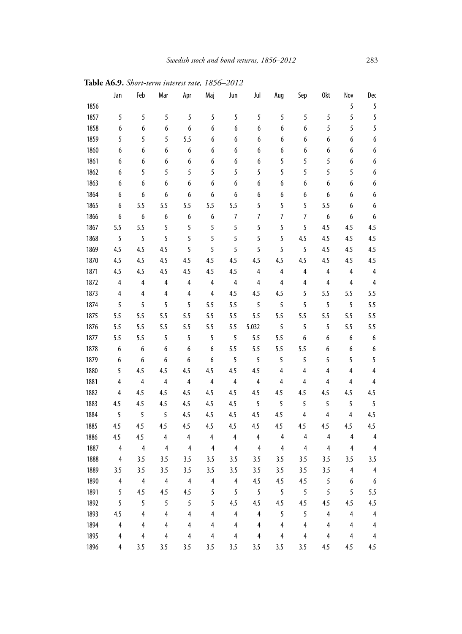|      | Jan                     | Feb                     | Mar            | Apr            | Maj                     | Jun                     | Jul                     | Aug            | Sep                     | 0kt                     | Nov                     | Dec                     |
|------|-------------------------|-------------------------|----------------|----------------|-------------------------|-------------------------|-------------------------|----------------|-------------------------|-------------------------|-------------------------|-------------------------|
| 1856 |                         |                         |                |                |                         |                         |                         |                |                         |                         | 5                       | 5                       |
| 1857 | 5                       | 5                       | 5              | 5              | 5                       | 5                       | 5                       | 5              | 5                       | 5                       | 5                       | 5                       |
| 1858 | 6                       | 6                       | 6              | 6              | 6                       | 6                       | 6                       | 6              | 6                       | 5                       | 5                       | 5                       |
| 1859 | 5                       | 5                       | 5              | 5.5            | 6                       | 6                       | 6                       | 6              | 6                       | 6                       | 6                       | 6                       |
| 1860 | 6                       | 6                       | 6              | 6              | 6                       | 6                       | 6                       | 6              | 6                       | 6                       | 6                       | 6                       |
| 1861 | 6                       | 6                       | 6              | 6              | 6                       | 6                       | 6                       | 5              | 5                       | 5                       | 6                       | 6                       |
| 1862 | 6                       | 5                       | 5              | 5              | 5                       | 5                       | 5                       | 5              | 5                       | 5                       | 5                       | 6                       |
| 1863 | 6                       | 6                       | 6              | 6              | 6                       | 6                       | 6                       | 6              | 6                       | 6                       | 6                       | 6                       |
| 1864 | 6                       | 6                       | 6              | 6              | 6                       | 6                       | 6                       | 6              | 6                       | 6                       | 6                       | 6                       |
| 1865 | 6                       | 5.5                     | 5.5            | 5.5            | 5.5                     | 5.5                     | 5                       | 5              | 5                       | 5.5                     | 6                       | 6                       |
| 1866 | 6                       | 6                       | 6              | 6              | 6                       | 7                       | 7                       | 7              | 7                       | 6                       | 6                       | 6                       |
| 1867 | 5.5                     | 5.5                     | 5              | 5              | 5                       | 5                       | 5                       | 5              | 5                       | 4.5                     | 4.5                     | 4.5                     |
| 1868 | 5                       | 5                       | 5              | 5              | 5                       | 5                       | 5                       | 5              | 4.5                     | 4.5                     | 4.5                     | 4.5                     |
| 1869 | 4.5                     | 4.5                     | 4.5            | 5              | 5                       | 5                       | 5                       | 5              | 5                       | 4.5                     | 4.5                     | 4.5                     |
| 1870 | 4.5                     | 4.5                     | 4.5            | 4.5            | 4.5                     | 4.5                     | 4.5                     | 4.5            | 4.5                     | 4.5                     | 4.5                     | 4.5                     |
| 1871 | 4.5                     | 4.5                     | 4.5            | 4.5            | 4.5                     | 4.5                     | 4                       | 4              | 4                       | 4                       | 4                       | $\overline{4}$          |
| 1872 | 4                       | 4                       | 4              | 4              | $\overline{4}$          | 4                       | 4                       | 4              | 4                       | 4                       | 4                       | 4                       |
| 1873 | 4                       | 4                       | 4              | 4              | 4                       | 4.5                     | 4.5                     | 4.5            | 5                       | 5.5                     | 5.5                     | 5.5                     |
| 1874 | 5                       | 5                       | 5              | 5              | 5.5                     | 5.5                     | 5                       | 5              | 5                       | 5                       | 5                       | 5.5                     |
| 1875 | 5.5                     | 5.5                     | 5.5            | 5.5            | 5.5                     | 5.5                     | 5.5                     | 5.5            | 5.5                     | 5.5                     | 5.5                     | 5.5                     |
| 1876 | 5.5                     | 5.5                     | 5.5            | 5.5            | 5.5                     | 5.5                     | 5.032                   | 5              | 5                       | 5                       | 5.5                     | 5.5                     |
| 1877 | 5.5                     | 5.5                     | 5              | 5              | 5                       | 5                       | 5.5                     | 5.5            | 6                       | 6                       | 6                       | 6                       |
| 1878 | 6                       | 6                       | 6              | 6              | 6                       | 5.5                     | 5.5                     | 5.5            | 5.5                     | 6                       | 6                       | 6                       |
| 1879 | 6                       | 6                       | 6              | 6              | 6                       | 5                       | 5                       | 5              | 5                       | 5                       | 5                       | 5                       |
| 1880 | 5                       | 4.5                     | 4.5            | 4.5            | 4.5                     | 4.5                     | 4.5                     | 4              | 4                       | 4                       | 4                       | 4                       |
| 1881 | 4                       | 4                       | $\overline{4}$ | 4              | 4                       | 4                       | 4                       | 4              | 4                       | 4                       | 4                       | 4                       |
| 1882 | 4                       | 4.5                     | 4.5            | 4.5            | 4.5                     | 4.5                     | 4.5                     | 4.5            | 4.5                     | 4.5                     | 4.5                     | 4.5                     |
| 1883 | 4.5                     | 4.5                     | 4.5            | 4.5            | 4.5                     | 4.5                     | 5                       | 5              | 5                       | 5                       | 5                       | 5                       |
| 1884 | 5                       | 5                       | 5              | 4.5            | 4.5                     | 4.5                     | 4.5                     | 4.5            | 4                       | $\overline{4}$          | $\overline{4}$          | 4.5                     |
| 1885 | 4.5                     | 4.5                     | 4.5            | 4.5            | 4.5                     | 4.5                     | 4.5                     | 4.5            | 4.5                     | 4.5                     | 4.5                     | 4.5                     |
| 1886 | 4.5                     | 4.5                     | 4              | $\overline{4}$ | 4                       | $\overline{4}$          | $\overline{4}$          | 4              | 4                       | 4                       | 4                       | 4                       |
| 1887 | 4                       | 4                       | $\overline{4}$ | 4              | 4                       | 4                       | 4                       | 4              | 4                       | 4                       | 4                       | 4                       |
| 1888 | 4                       | 3.5                     | 3.5            | 3.5            | 3.5                     | 3.5                     | 3.5                     | 3.5            | 3.5                     | 3.5                     | 3.5                     | 3.5                     |
| 1889 | 3.5                     | 3.5                     | 3.5            | 3.5            | 3.5                     | 3.5                     | 3.5                     | 3.5            | 3.5                     | 3.5                     | 4                       | 4                       |
| 1890 | 4                       | 4                       | 4              | $\overline{4}$ | 4                       | 4                       | 4.5                     | 4.5            | 4.5                     | 5                       | $\boldsymbol{6}$        | $\boldsymbol{6}$        |
| 1891 | 5                       | 4.5                     | 4.5            | 4.5            | 5                       | 5                       | 5                       | 5              | 5                       | 5                       | 5                       | 5.5                     |
| 1892 | 5                       | 5                       | 5              | 5              | 5                       | 4.5                     | 4.5                     | 4.5            | 4.5                     | 4.5                     | 4.5                     | 4.5                     |
| 1893 | 4.5                     | $\overline{4}$          | $\overline{4}$ | 4              | $\overline{\mathbf{4}}$ | $\overline{4}$          | $\overline{\mathbf{4}}$ | 5              | 5                       | $\overline{\mathbf{4}}$ | $\overline{4}$          | $\overline{4}$          |
| 1894 | 4                       | $\overline{\mathbf{4}}$ | 4              | 4              | $\overline{\mathbf{4}}$ | $\overline{\mathbf{4}}$ | $\overline{\mathbf{4}}$ | $\overline{4}$ | $\pmb{4}$               | $\overline{\mathbf{4}}$ | $\overline{4}$          | $\overline{\mathbf{4}}$ |
| 1895 | $\overline{\mathbf{4}}$ | 4                       | 4              | 4              | $\overline{\mathbf{4}}$ | $\overline{\mathbf{4}}$ | 4                       | $\pmb{4}$      | $\overline{\mathbf{4}}$ | $\overline{\mathbf{4}}$ | $\overline{\mathbf{4}}$ | $\pmb{4}$               |
| 1896 | 4                       | 3.5                     | 3.5            | 3.5            | 3.5                     | 3.5                     | 3.5                     | 3.5            | 3.5                     | 4.5                     | 4.5                     | 4.5                     |

**Table A6.9.** *Short-term interest rate, 1856–2012*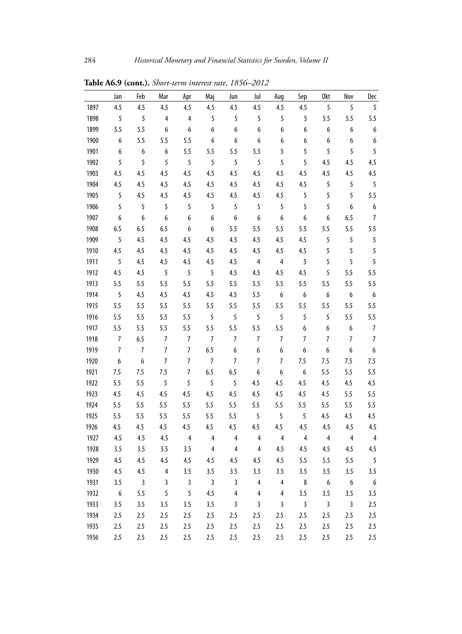|      | Jan            | Feb              | Mar              | Apr            | Maj            | Jun              | Jul              | Aug              | Sep                     | 0kt                     | Nov                     | Dec              |
|------|----------------|------------------|------------------|----------------|----------------|------------------|------------------|------------------|-------------------------|-------------------------|-------------------------|------------------|
| 1897 | 4.5            | 4.5              | 4.5              | 4.5            | 4.5            | 4.5              | 4.5              | 4.5              | 4.5                     | 5                       | 5                       | 5                |
| 1898 | 5              | 5                | $\overline{4}$   | 4              | 5              | 5                | 5                | 5                | 5                       | 5.5                     | 5.5                     | 5.5              |
| 1899 | 5.5            | 5.5              | 6                | 6              | 6              | 6                | 6                | $\boldsymbol{6}$ | 6                       | 6                       | 6                       | $\boldsymbol{6}$ |
| 1900 | 6              | 5.5              | 5.5              | 5.5            | 6              | 6                | 6                | 6                | 6                       | 6                       | 6                       | 6                |
| 1901 | 6              | 6                | 6                | 5.5            | 5.5            | 5.5              | 5.5              | 5                | 5                       | 5                       | 5                       | 5                |
| 1902 | 5              | 5                | 5                | 5              | 5              | 5                | 5                | 5                | 5                       | 4.5                     | 4.5                     | 4.5              |
| 1903 | 4.5            | 4.5              | 4.5              | 4.5            | 4.5            | 4.5              | 4.5              | 4.5              | 4.5                     | 4.5                     | 4.5                     | 4.5              |
| 1904 | 4.5            | 4.5              | 4.5              | 4.5            | 4.5            | 4.5              | 4.5              | 4.5              | 4.5                     | 5                       | 5                       | 5                |
| 1905 | 5              | 4.5              | 4.5              | 4.5            | 4.5            | 4.5              | 4.5              | 4.5              | 5                       | 5                       | 5                       | 5.5              |
| 1906 | 5              | 5                | 5                | 5              | 5              | 5                | 5                | 5                | 5                       | 5                       | 6                       | 6                |
| 1907 | 6              | 6                | $\boldsymbol{6}$ | 6              | 6              | $\boldsymbol{6}$ | $\boldsymbol{6}$ | $\boldsymbol{6}$ | 6                       | 6                       | 6.5                     | $\overline{7}$   |
| 1908 | 6.5            | 6.5              | 6.5              | $\overline{6}$ | 6              | 5.5              | 5.5              | 5.5              | 5.5                     | 5.5                     | 5.5                     | 5.5              |
| 1909 | 5              | 4.5              | 4.5              | 4.5            | 4.5            | 4.5              | 4.5              | 4.5              | 4.5                     | 5                       | 5                       | 5                |
| 1910 | 4.5            | 4.5              | 4.5              | 4.5            | 4.5            | 4.5              | 4.5              | 4.5              | 4.5                     | 5                       | 5                       | 5                |
| 1911 | 5              | 4.5              | 4.5              | 4.5            | 4.5            | 4.5              | $\overline{4}$   | 4                | 5                       | 5                       | 5                       | $\overline{5}$   |
| 1912 | 4.5            | 4.5              | 5                | 5              | 5              | 4.5              | 4.5              | 4.5              | 4.5                     | 5                       | 5.5                     | 5.5              |
| 1913 | 5.5            | 5.5              | 5.5              | 5.5            | 5.5            | 5.5              | 5.5              | 5.5              | 5.5                     | 5.5                     | 5.5                     | 5.5              |
| 1914 | 5              | 4.5              | 4.5              | 4.5            | 4.5            | 4.5              | 5.5              | 6                | 6                       | 6                       | 6                       | $\boldsymbol{6}$ |
| 1915 | 5.5            | 5.5              | 5.5              | 5.5            | 5.5            | 5.5              | 5.5              | 5.5              | 5.5                     | 5.5                     | 5.5                     | 5.5              |
| 1916 | 5.5            | 5.5              | 5.5              | 5.5            | 5              | 5                | 5                | 5                | 5                       | 5                       | 5.5                     | 5.5              |
| 1917 | 5.5            | 5.5              | 5.5              | 5.5            | 5.5            | 5.5              | 5.5              | 5.5              | 6                       | 6                       | 6                       | $\overline{7}$   |
| 1918 | 7              | 6.5              | $\overline{7}$   | 7              | $\overline{7}$ | 7                | 7                | $\overline{7}$   | 7                       | $\overline{7}$          | $\overline{7}$          | $\overline{7}$   |
| 1919 | $\overline{7}$ | $\overline{7}$   | $\overline{7}$   | $\overline{7}$ | 6.5            | 6                | 6                | 6                | 6                       | $\boldsymbol{6}$        | 6                       | 6                |
| 1920 | 6              | $\boldsymbol{6}$ | $\overline{7}$   | $\overline{7}$ | $\overline{7}$ | $\overline{7}$   | $\overline{7}$   | $\overline{7}$   | 7.5                     | 7.5                     | 7.5                     | 7.5              |
| 1921 | 7.5            | 7.5              | 7.5              | $\overline{7}$ | 6.5            | 6.5              | $\boldsymbol{6}$ | 6                | 6                       | 5.5                     | 5.5                     | 5.5              |
| 1922 | 5.5            | 5.5              | 5                | 5              | 5              | 5                | 4.5              | 4.5              | 4.5                     | 4.5                     | 4.5                     | 4.5              |
| 1923 | 4.5            | 4.5              | 4.5              | 4.5            | 4.5            | 4.5              | 4.5              | 4.5              | 4.5                     | 4.5                     | 5.5                     | 5.5              |
| 1924 | 5.5            | 5.5              | 5.5              | 5.5            | 5.5            | 5.5              | 5.5              | 5.5              | 5.5                     | 5.5                     | 5.5                     | 5.5              |
| 1925 | 5.5            | 5.5              | 5.5              | 5.5            | 5.5            | 5.5              | 5                | 5                | 5                       | 4.5                     | 4.5                     | 4.5              |
| 1926 | 4.5            | 4.5              | 4.5              | 4.5            | 4.5            | 4.5              | 4.5              | 4.5              | 4.5                     | 4.5                     | 4.5                     | 4.5              |
| 1927 | 4.5            | 4.5              | 4.5              | 4              | $\overline{4}$ | $\overline{4}$   | 4                | 4                | 4                       | 4                       | 4                       | $\overline{4}$   |
| 1928 | 3.5            | 3.5              | 3.5              | 3.5            | 4              | 4                | 4                | 4.5              | 4.5                     | 4.5                     | 4.5                     | 4.5              |
| 1929 | 4.5            | 4.5              | 4.5              | 4.5            | 4.5            | 4.5              | 4.5              | 4.5              | 5.5                     | 5.5                     | 5.5                     | 5                |
| 1930 | 4.5            | 4.5              | 4                | 3.5            | 3.5            | 3.5              | 3.5              | 3.5              | 3.5                     | 3.5                     | 3.5                     | 3.5              |
| 1931 | 3.5            | 3                | 3                | 3              | 3              | 3                | 4                | 4                | $\bf 8$                 | $\boldsymbol{6}$        | $\boldsymbol{6}$        | $\boldsymbol{6}$ |
| 1932 | 6              | 5.5              | 5                | 5              | 4.5            | 4                | 4                | 4                | 3.5                     | 3.5                     | 3.5                     | 3.5              |
| 1933 | 3.5            | 3.5              | 3.5              | 3.5            | 3.5            | 3                | 3                | 3                | $\overline{\mathbf{3}}$ | $\overline{\mathbf{3}}$ | $\overline{\mathbf{3}}$ | 2.5              |
| 1934 | 2.5            | 2.5              | 2.5              | 2.5            | 2.5            | 2.5              | 2.5              | 2.5              | 2.5                     | 2.5                     | 2.5                     | 2.5              |
| 1935 | 2.5            | 2.5              | 2.5              | 2.5            | 2.5            | 2.5              | 2.5              | 2.5              | 2.5                     | 2.5                     | 2.5                     | 2.5              |
| 1936 | 2.5            | 2.5              | 2.5              | 2.5            | 2.5            | 2.5              | 2.5              | 2.5              | 2.5                     | 2.5                     | 2.5                     | 2.5              |

**Table A6.9 (cont.).** *Short-term interest rate, 1856–2012*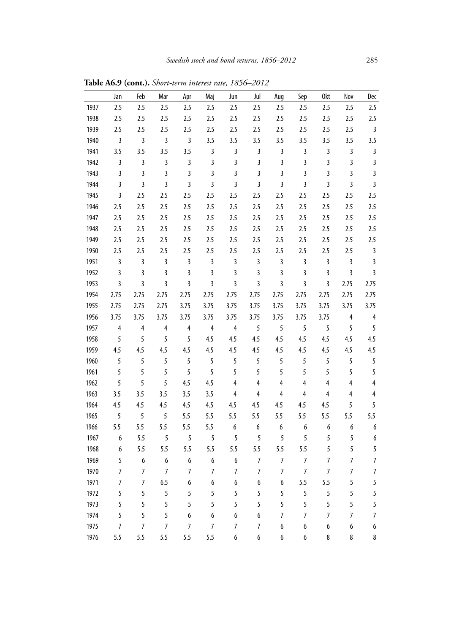|      | Jan            | Feb                     | Mar            | Apr            | Maj            | Jun                     | Jul                     | Aug                     | Sep                     | 0kt                     | Nov            | Dec                     |
|------|----------------|-------------------------|----------------|----------------|----------------|-------------------------|-------------------------|-------------------------|-------------------------|-------------------------|----------------|-------------------------|
| 1937 | 2.5            | 2.5                     | 2.5            | 2.5            | 2.5            | 2.5                     | 2.5                     | 2.5                     | 2.5                     | 2.5                     | 2.5            | 2.5                     |
| 1938 | 2.5            | 2.5                     | 2.5            | 2.5            | 2.5            | 2.5                     | 2.5                     | 2.5                     | 2.5                     | 2.5                     | 2.5            | 2.5                     |
| 1939 | 2.5            | 2.5                     | 2.5            | 2.5            | 2.5            | 2.5                     | 2.5                     | 2.5                     | 2.5                     | 2.5                     | 2.5            | $\overline{3}$          |
| 1940 | $\mathbf{3}$   | 3                       | 3              | 3              | 3.5            | 3.5                     | 3.5                     | 3.5                     | 3.5                     | 3.5                     | 3.5            | 3.5                     |
| 1941 | 3.5            | 3.5                     | 3.5            | 3.5            | 3              | $\overline{\mathbf{3}}$ | 3                       | 3                       | 3                       | 3                       | 3              | $\overline{\mathbf{3}}$ |
| 1942 | 3              | 3                       | 3              | 3              | 3              | 3                       | 3                       | 3                       | 3                       | $\overline{\mathbf{3}}$ | $\overline{3}$ | $\overline{\mathbf{3}}$ |
| 1943 | 3              | 3                       | 3              | 3              | 3              | 3                       | 3                       | 3                       | 3                       | $\overline{\mathbf{3}}$ | 3              | $\overline{3}$          |
| 1944 | $\overline{3}$ | $\overline{\mathbf{3}}$ | 3              | 3              | 3              | 3                       | $\overline{\mathbf{3}}$ | $\overline{\mathbf{3}}$ | $\overline{\mathbf{3}}$ | 3                       | 3              | $\overline{3}$          |
| 1945 | 3              | 2.5                     | 2.5            | 2.5            | 2.5            | 2.5                     | 2.5                     | 2.5                     | 2.5                     | 2.5                     | 2.5            | 2.5                     |
| 1946 | 2.5            | 2.5                     | 2.5            | 2.5            | 2.5            | 2.5                     | 2.5                     | 2.5                     | 2.5                     | 2.5                     | 2.5            | 2.5                     |
| 1947 | 2.5            | 2.5                     | 2.5            | 2.5            | 2.5            | 2.5                     | 2.5                     | 2.5                     | 2.5                     | 2.5                     | 2.5            | 2.5                     |
| 1948 | 2.5            | 2.5                     | 2.5            | 2.5            | 2.5            | 2.5                     | 2.5                     | 2.5                     | 2.5                     | 2.5                     | 2.5            | 2.5                     |
| 1949 | 2.5            | 2.5                     | 2.5            | 2.5            | 2.5            | 2.5                     | 2.5                     | 2.5                     | 2.5                     | 2.5                     | 2.5            | 2.5                     |
| 1950 | 2.5            | 2.5                     | 2.5            | 2.5            | 2.5            | 2.5                     | 2.5                     | 2.5                     | 2.5                     | 2.5                     | 2.5            | $\mathbf{3}$            |
| 1951 | 3              | 3                       | 3              | 3              | 3              | $\overline{\mathbf{3}}$ | 3                       | 3                       | 3                       | 3                       | 3              | $\overline{\mathbf{3}}$ |
| 1952 | 3              | 3                       | 3              | 3              | 3              | 3                       | 3                       | 3                       | $\mathbf{3}$            | 3                       | 3              | $\overline{3}$          |
| 1953 | 3              | 3                       | 3              | $\overline{3}$ | 3              | 3                       | 3                       | 3                       | 3                       | 3                       | 2.75           | 2.75                    |
| 1954 | 2.75           | 2.75                    | 2.75           | 2.75           | 2.75           | 2.75                    | 2.75                    | 2.75                    | 2.75                    | 2.75                    | 2.75           | 2.75                    |
| 1955 | 2.75           | 2.75                    | 2.75           | 3.75           | 3.75           | 3.75                    | 3.75                    | 3.75                    | 3.75                    | 3.75                    | 3.75           | 3.75                    |
| 1956 | 3.75           | 3.75                    | 3.75           | 3.75           | 3.75           | 3.75                    | 3.75                    | 3.75                    | 3.75                    | 3.75                    | 4              | 4                       |
| 1957 | 4              | 4                       | 4              | 4              | 4              | 4                       | 5                       | 5                       | 5                       | 5                       | 5              | 5                       |
| 1958 | 5              | 5                       | 5              | 5              | 4.5            | 4.5                     | 4.5                     | 4.5                     | 4.5                     | 4.5                     | 4.5            | 4.5                     |
| 1959 | 4.5            | 4.5                     | 4.5            | 4.5            | 4.5            | 4.5                     | 4.5                     | 4.5                     | 4.5                     | 4.5                     | 4.5            | 4.5                     |
| 1960 | 5              | 5                       | 5              | 5              | 5              | 5                       | 5                       | 5                       | 5                       | 5                       | 5              | 5                       |
| 1961 | 5              | 5                       | 5              | 5              | 5              | 5                       | 5                       | 5                       | 5                       | 5                       | 5              | 5                       |
| 1962 | 5              | 5                       | 5              | 4.5            | 4.5            | 4                       | $\overline{4}$          | 4                       | 4                       | $\overline{4}$          | 4              | $\overline{4}$          |
| 1963 | 3.5            | 3.5                     | 3.5            | 3.5            | 3.5            | 4                       | 4                       | 4                       | 4                       | 4                       | 4              | 4                       |
| 1964 | 4.5            | 4.5                     | 4.5            | 4.5            | 4.5            | 4.5                     | 4.5                     | 4.5                     | 4.5                     | 4.5                     | 5              | 5                       |
| 1965 | 5              | 5                       | 5              | 5.5            | 5.5            | 5.5                     | 5.5                     | 5.5                     | 5.5                     | 5.5                     | 5.5            | 5.5                     |
| 1966 | 5.5            | 5.5                     | 5.5            | 5.5            | 5.5            | 6                       | 6                       | 6                       | 6                       | 6                       | 6              | 6                       |
| 1967 | 6              | 5.5                     | 5              | 5              | 5              | 5                       | 5                       | 5                       | 5                       | 5                       | 5              | $\boldsymbol{6}$        |
| 1968 | 6              | 5.5                     | 5.5            | 5.5            | 5.5            | 5.5                     | 5.5                     | 5.5                     | 5.5                     | 5                       | 5              | 5                       |
| 1969 | 5              | 6                       | 6              | 6              | 6              | 6                       | 7                       | 7                       | 7                       | 7                       | 7              | $\overline{7}$          |
| 1970 | $\overline{7}$ | $\overline{7}$          | $\overline{7}$ | $\overline{7}$ | 7              | 7                       | $\overline{7}$          | 7                       | $\overline{7}$          | $\overline{7}$          | $\overline{7}$ | $\overline{7}$          |
| 1971 | $\overline{7}$ | $\overline{7}$          | 6.5            | 6              | 6              | 6                       | 6                       | 6                       | 5.5                     | 5.5                     | 5              | 5                       |
| 1972 | 5              | 5                       | 5              | 5              | 5              | 5                       | 5                       | 5                       | 5                       | 5                       | 5              | 5                       |
| 1973 | 5              | 5                       | 5              | 5              | 5              | 5                       | 5                       | 5                       | 5                       | 5                       | 5              | 5                       |
| 1974 | 5              | 5                       | 5              | 6              | 6              | 6                       | 6                       | $\overline{7}$          | 7                       | 7                       | $\overline{7}$ | $\overline{7}$          |
| 1975 | 7              | 7                       | $\overline{7}$ | 7              | $\overline{7}$ | 7                       | 7                       | 6                       | 6                       | 6                       | 6              | 6                       |
| 1976 | 5.5            | 5.5                     | 5.5            | 5.5            | 5.5            | 6                       | 6                       | 6                       | 6                       | 8                       | 8              | 8                       |

**Table A6.9 (cont.).** *Short-term interest rate, 1856–2012*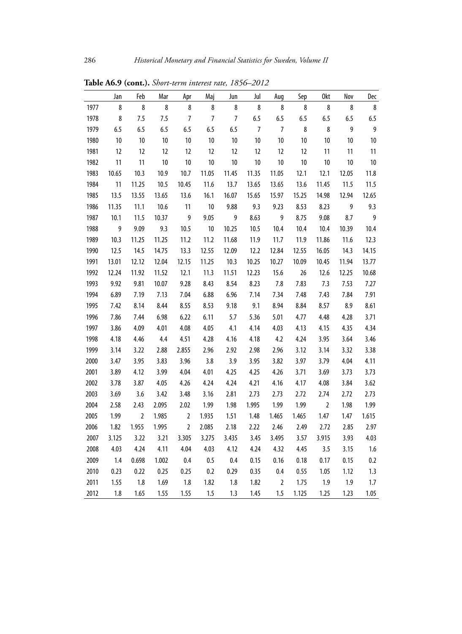|      | Jan   | Feb        | Mar   | Apr            | Maj            | Jun            | Jul            | Aug            | Sep   | 0kt            | Nov   | Dec            |
|------|-------|------------|-------|----------------|----------------|----------------|----------------|----------------|-------|----------------|-------|----------------|
| 1977 | 8     | 8          | 8     | 8              | 8              | 8              | 8              | 8              | 8     | $\bf 8$        | 8     | $\bf 8$        |
| 1978 | 8     | 7.5        | 7.5   | $\overline{7}$ | $\overline{7}$ | $\overline{7}$ | 6.5            | 6.5            | 6.5   | 6.5            | 6.5   | 6.5            |
| 1979 | 6.5   | 6.5        | 6.5   | 6.5            | 6.5            | 6.5            | $\overline{7}$ | $\overline{7}$ | 8     | $\bf 8$        | 9     | $\overline{9}$ |
| 1980 | 10    | 10         | 10    | 10             | 10             | 10             | 10             | 10             | 10    | $10\,$         | 10    | $10\,$         |
| 1981 | 12    | 12         | 12    | 12             | 12             | 12             | 12             | 12             | 12    | 11             | 11    | 11             |
| 1982 | 11    | 11         | 10    | $10\,$         | 10             | 10             | 10             | 10             | 10    | 10             | 10    | $10\,$         |
| 1983 | 10.65 | 10.3       | 10.9  | 10.7           | 11.05          | 11.45          | 11.35          | 11.05          | 12.1  | 12.1           | 12.05 | 11.8           |
| 1984 | 11    | 11.25      | 10.5  | 10.45          | 11.6           | 13.7           | 13.65          | 13.65          | 13.6  | 11.45          | 11.5  | 11.5           |
| 1985 | 13.5  | 13.55      | 13.65 | 13.6           | 16.1           | 16.07          | 15.65          | 15.97          | 15.25 | 14.98          | 12.94 | 12.65          |
| 1986 | 11.35 | 11.1       | 10.6  | 11             | 10             | 9.88           | 9.3            | 9.23           | 8.53  | 8.23           | 9     | 9.3            |
| 1987 | 10.1  | 11.5       | 10.37 | 9              | 9.05           | 9              | 8.63           | 9              | 8.75  | 9.08           | 8.7   | $\overline{9}$ |
| 1988 | 9     | 9.09       | 9.3   | 10.5           | $10\,$         | 10.25          | 10.5           | 10.4           | 10.4  | 10.4           | 10.39 | 10.4           |
| 1989 | 10.3  | 11.25      | 11.25 | 11.2           | 11.2           | 11.68          | 11.9           | 11.7           | 11.9  | 11.86          | 11.6  | 12.3           |
| 1990 | 12.5  | 14.5       | 14.75 | 13.3           | 12.55          | 12.09          | 12.2           | 12.84          | 12.55 | 16.05          | 14.3  | 14.15          |
| 1991 | 13.01 | 12.12      | 12.04 | 12.15          | 11.25          | 10.3           | 10.25          | 10.27          | 10.09 | 10.45          | 11.94 | 13.77          |
| 1992 | 12.24 | 11.92      | 11.52 | 12.1           | 11.3           | 11.51          | 12.23          | 15.6           | 26    | 12.6           | 12.25 | 10.68          |
| 1993 | 9.92  | 9.81       | 10.07 | 9.28           | 8.43           | 8.54           | 8.23           | 7.8            | 7.83  | 7.3            | 7.53  | 7.27           |
| 1994 | 6.89  | 7.19       | 7.13  | 7.04           | 6.88           | 6.96           | 7.14           | 7.34           | 7.48  | 7.43           | 7.84  | 7.91           |
| 1995 | 7.42  | 8.14       | 8.44  | 8.55           | 8.53           | 9.18           | 9.1            | 8.94           | 8.84  | 8.57           | 8.9   | 8.61           |
| 1996 | 7.86  | 7.44       | 6.98  | 6.22           | 6.11           | 5.7            | 5.36           | 5.01           | 4.77  | 4.48           | 4.28  | 3.71           |
| 1997 | 3.86  | 4.09       | 4.01  | 4.08           | 4.05           | 4.1            | 4.14           | 4.03           | 4.13  | 4.15           | 4.35  | 4.34           |
| 1998 | 4.18  | 4.46       | 4.4   | 4.51           | 4.28           | 4.16           | 4.18           | 4.2            | 4.24  | 3.95           | 3.64  | 3.46           |
| 1999 | 3.14  | 3.22       | 2.88  | 2.855          | 2.96           | 2.92           | 2.98           | 2.96           | 3.12  | 3.14           | 3.32  | 3.38           |
| 2000 | 3.47  | 3.95       | 3.83  | 3.96           | 3.8            | 3.9            | 3.95           | 3.82           | 3.97  | 3.79           | 4.04  | 4.11           |
| 2001 | 3.89  | 4.12       | 3.99  | 4.04           | 4.01           | 4.25           | 4.25           | 4.26           | 3.71  | 3.69           | 3.73  | 3.73           |
| 2002 | 3.78  | 3.87       | 4.05  | 4.26           | 4.24           | 4.24           | 4.21           | 4.16           | 4.17  | 4.08           | 3.84  | 3.62           |
| 2003 | 3.69  | 3.6        | 3.42  | 3.48           | 3.16           | 2.81           | 2.73           | 2.73           | 2.72  | 2.74           | 2.72  | 2.73           |
| 2004 | 2.58  | 2.43       | 2.095 | 2.02           | 1.99           | 1.98           | 1.995          | 1.99           | 1.99  | $\overline{2}$ | 1.98  | 1.99           |
| 2005 | 1.99  | $\sqrt{2}$ | 1.985 | $\overline{2}$ | 1.935          | 1.51           | 1.48           | 1.465          | 1.465 | 1.47           | 1.47  | 1.615          |
| 2006 | 1.82  | 1.955      | 1.995 | $\overline{2}$ | 2.085          | 2.18           | 2.22           | 2.46           | 2.49  | 2.72           | 2.85  | 2.97           |
| 2007 | 3.125 | 3.22       | 3.21  | 3.305          | 3.275          | 3.435          | 3.45           | 3.495          | 3.57  | 3.915          | 3.93  | 4.03           |
| 2008 | 4.03  | 4.24       | 4.11  | 4.04           | 4.03           | 4.12           | 4.24           | 4.32           | 4.45  | 3.5            | 3.15  | 1.6            |
| 2009 | 1.4   | 0.698      | 1.002 | 0.4            | 0.5            | 0.4            | 0.15           | 0.16           | 0.18  | 0.17           | 0.15  | 0.2            |
| 2010 | 0.23  | 0.22       | 0.25  | 0.25           | 0.2            | 0.29           | 0.35           | 0.4            | 0.55  | 1.05           | 1.12  | 1.3            |
| 2011 | 1.55  | 1.8        | 1.69  | 1.8            | 1.82           | 1.8            | 1.82           | $\overline{2}$ | 1.75  | 1.9            | 1.9   | 1.7            |
| 2012 | 1.8   | 1.65       | 1.55  | 1.55           | 1.5            | 1.3            | 1.45           | 1.5            | 1.125 | 1.25           | 1.23  | 1.05           |

**Table A6.9 (cont.).** *Short-term interest rate, 1856–2012*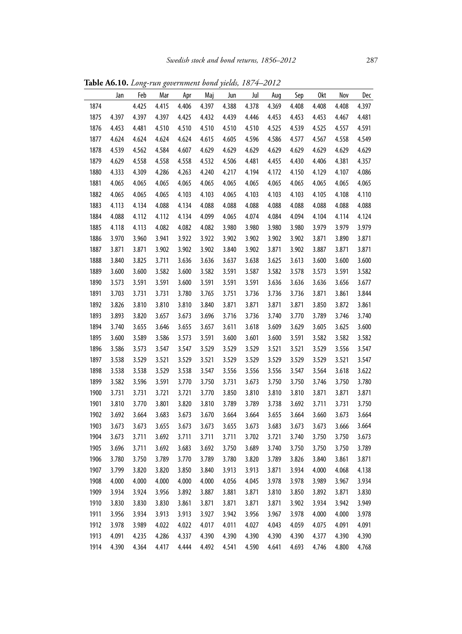**Table A6.10.** *Long-run government bond yields, 1874–2012*

|      | Jan   | Feb   | Mar   | Apr   | Maj   | Jun   | Jul   | Aug   | Sep   | 0kt   | Nov   | Dec   |
|------|-------|-------|-------|-------|-------|-------|-------|-------|-------|-------|-------|-------|
| 1874 |       | 4.425 | 4.415 | 4.406 | 4.397 | 4.388 | 4.378 | 4.369 | 4.408 | 4.408 | 4.408 | 4.397 |
| 1875 | 4.397 | 4.397 | 4.397 | 4.425 | 4.432 | 4.439 | 4.446 | 4.453 | 4.453 | 4.453 | 4.467 | 4.481 |
| 1876 | 4.453 | 4.481 | 4.510 | 4.510 | 4.510 | 4.510 | 4.510 | 4.525 | 4.539 | 4.525 | 4.557 | 4.591 |
| 1877 | 4.624 | 4.624 | 4.624 | 4.624 | 4.615 | 4.605 | 4.596 | 4.586 | 4.577 | 4.567 | 4.558 | 4.549 |
| 1878 | 4.539 | 4.562 | 4.584 | 4.607 | 4.629 | 4.629 | 4.629 | 4.629 | 4.629 | 4.629 | 4.629 | 4.629 |
| 1879 | 4.629 | 4.558 | 4.558 | 4.558 | 4.532 | 4.506 | 4.481 | 4.455 | 4.430 | 4.406 | 4.381 | 4.357 |
| 1880 | 4.333 | 4.309 | 4.286 | 4.263 | 4.240 | 4.217 | 4.194 | 4.172 | 4.150 | 4.129 | 4.107 | 4.086 |
| 1881 | 4.065 | 4.065 | 4.065 | 4.065 | 4.065 | 4.065 | 4.065 | 4.065 | 4.065 | 4.065 | 4.065 | 4.065 |
| 1882 | 4.065 | 4.065 | 4.065 | 4.103 | 4.103 | 4.065 | 4.103 | 4.103 | 4.103 | 4.105 | 4.108 | 4.110 |
| 1883 | 4.113 | 4.134 | 4.088 | 4.134 | 4.088 | 4.088 | 4.088 | 4.088 | 4.088 | 4.088 | 4.088 | 4.088 |
| 1884 | 4.088 | 4.112 | 4.112 | 4.134 | 4.099 | 4.065 | 4.074 | 4.084 | 4.094 | 4.104 | 4.114 | 4.124 |
| 1885 | 4.118 | 4.113 | 4.082 | 4.082 | 4.082 | 3.980 | 3.980 | 3.980 | 3.980 | 3.979 | 3.979 | 3.979 |
| 1886 | 3.970 | 3.960 | 3.941 | 3.922 | 3.922 | 3.902 | 3.902 | 3.902 | 3.902 | 3.871 | 3.890 | 3.871 |
| 1887 | 3.871 | 3.871 | 3.902 | 3.902 | 3.902 | 3.840 | 3.902 | 3.871 | 3.902 | 3.887 | 3.871 | 3.871 |
| 1888 | 3.840 | 3.825 | 3.711 | 3.636 | 3.636 | 3.637 | 3.638 | 3.625 | 3.613 | 3.600 | 3.600 | 3.600 |
| 1889 | 3.600 | 3.600 | 3.582 | 3.600 | 3.582 | 3.591 | 3.587 | 3.582 | 3.578 | 3.573 | 3.591 | 3.582 |
| 1890 | 3.573 | 3.591 | 3.591 | 3.600 | 3.591 | 3.591 | 3.591 | 3.636 | 3.636 | 3.636 | 3.656 | 3.677 |
| 1891 | 3.703 | 3.731 | 3.731 | 3.780 | 3.765 | 3.751 | 3.736 | 3.736 | 3.736 | 3.871 | 3.861 | 3.844 |
| 1892 | 3.826 | 3.810 | 3.810 | 3.810 | 3.840 | 3.871 | 3.871 | 3.871 | 3.871 | 3.850 | 3.872 | 3.861 |
| 1893 | 3.893 | 3.820 | 3.657 | 3.673 | 3.696 | 3.716 | 3.736 | 3.740 | 3.770 | 3.789 | 3.746 | 3.740 |
| 1894 | 3.740 | 3.655 | 3.646 | 3.655 | 3.657 | 3.611 | 3.618 | 3.609 | 3.629 | 3.605 | 3.625 | 3.600 |
| 1895 | 3.600 | 3.589 | 3.586 | 3.573 | 3.591 | 3.600 | 3.601 | 3.600 | 3.591 | 3.582 | 3.582 | 3.582 |
| 1896 | 3.586 | 3.573 | 3.547 | 3.547 | 3.529 | 3.529 | 3.529 | 3.521 | 3.521 | 3.529 | 3.556 | 3.547 |
| 1897 | 3.538 | 3.529 | 3.521 | 3.529 | 3.521 | 3.529 | 3.529 | 3.529 | 3.529 | 3.529 | 3.521 | 3.547 |
| 1898 | 3.538 | 3.538 | 3.529 | 3.538 | 3.547 | 3.556 | 3.556 | 3.556 | 3.547 | 3.564 | 3.618 | 3.622 |
| 1899 | 3.582 | 3.596 | 3.591 | 3.770 | 3.750 | 3.731 | 3.673 | 3.750 | 3.750 | 3.746 | 3.750 | 3.780 |
| 1900 | 3.731 | 3.731 | 3.721 | 3.721 | 3.770 | 3.850 | 3.810 | 3.810 | 3.810 | 3.871 | 3.871 | 3.871 |
| 1901 | 3.810 | 3.770 | 3.801 | 3.820 | 3.810 | 3.789 | 3.789 | 3.738 | 3.692 | 3.711 | 3.731 | 3.750 |
| 1902 | 3.692 | 3.664 | 3.683 | 3.673 | 3.670 | 3.664 | 3.664 | 3.655 | 3.664 | 3.660 | 3.673 | 3.664 |
| 1903 | 3.673 | 3.673 | 3.655 | 3.673 | 3.673 | 3.655 | 3.673 | 3.683 | 3.673 | 3.673 | 3.666 | 3.664 |
| 1904 | 3.673 | 3.711 | 3.692 | 3.711 | 3.711 | 3.711 | 3.702 | 3.721 | 3.740 | 3.750 | 3.750 | 3.673 |
| 1905 | 3.696 | 3.711 | 3.692 | 3.683 | 3.692 | 3.750 | 3.689 | 3.740 | 3.750 | 3.750 | 3.750 | 3.789 |
| 1906 | 3.780 | 3.750 | 3.789 | 3.770 | 3.789 | 3.780 | 3.820 | 3.789 | 3.826 | 3.840 | 3.861 | 3.871 |
| 1907 | 3.799 | 3.820 | 3.820 | 3.850 | 3.840 | 3.913 | 3.913 | 3.871 | 3.934 | 4.000 | 4.068 | 4.138 |
| 1908 | 4.000 | 4.000 | 4.000 | 4.000 | 4.000 | 4.056 | 4.045 | 3.978 | 3.978 | 3.989 | 3.967 | 3.934 |
| 1909 | 3.934 | 3.924 | 3.956 | 3.892 | 3.887 | 3.881 | 3.871 | 3.810 | 3.850 | 3.892 | 3.871 | 3.830 |
| 1910 | 3.830 | 3.830 | 3.830 | 3.861 | 3.871 | 3.871 | 3.871 | 3.871 | 3.902 | 3.934 | 3.942 | 3.949 |
| 1911 | 3.956 | 3.934 | 3.913 | 3.913 | 3.927 | 3.942 | 3.956 | 3.967 | 3.978 | 4.000 | 4.000 | 3.978 |
| 1912 | 3.978 | 3.989 | 4.022 | 4.022 | 4.017 | 4.011 | 4.027 | 4.043 | 4.059 | 4.075 | 4.091 | 4.091 |
| 1913 | 4.091 | 4.235 | 4.286 | 4.337 | 4.390 | 4.390 | 4.390 | 4.390 | 4.390 | 4.377 | 4.390 | 4.390 |
| 1914 | 4.390 | 4.364 | 4.417 | 4.444 | 4.492 | 4.541 | 4.590 | 4.641 | 4.693 | 4.746 | 4.800 | 4.768 |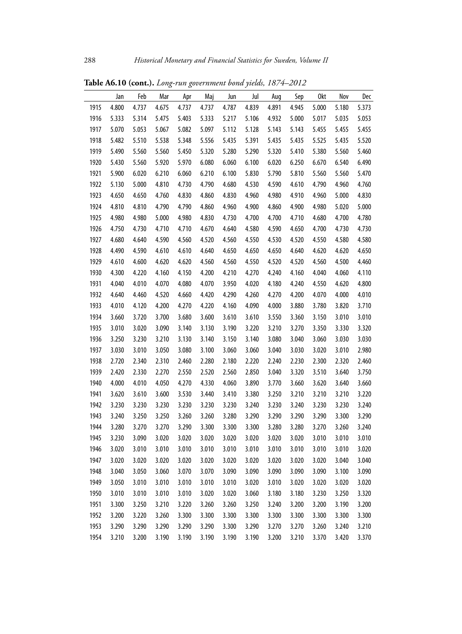|      | Jan   | Feb   | Mar   | Apr   | Maj   | Jun   | Jul   | Aug   | Sep   | 0kt   | Nov   | Dec   |
|------|-------|-------|-------|-------|-------|-------|-------|-------|-------|-------|-------|-------|
| 1915 | 4.800 | 4.737 | 4.675 | 4.737 | 4.737 | 4.787 | 4.839 | 4.891 | 4.945 | 5.000 | 5.180 | 5.373 |
| 1916 | 5.333 | 5.314 | 5.475 | 5.403 | 5.333 | 5.217 | 5.106 | 4.932 | 5.000 | 5.017 | 5.035 | 5.053 |
| 1917 | 5.070 | 5.053 | 5.067 | 5.082 | 5.097 | 5.112 | 5.128 | 5.143 | 5.143 | 5.455 | 5.455 | 5.455 |
| 1918 | 5.482 | 5.510 | 5.538 | 5.348 | 5.556 | 5.435 | 5.391 | 5.435 | 5.435 | 5.525 | 5.435 | 5.520 |
| 1919 | 5.490 | 5.560 | 5.560 | 5.450 | 5.320 | 5.280 | 5.290 | 5.320 | 5.410 | 5.380 | 5.560 | 5.460 |
| 1920 | 5.430 | 5.560 | 5.920 | 5.970 | 6.080 | 6.060 | 6.100 | 6.020 | 6.250 | 6.670 | 6.540 | 6.490 |
| 1921 | 5.900 | 6.020 | 6.210 | 6.060 | 6.210 | 6.100 | 5.830 | 5.790 | 5.810 | 5.560 | 5.560 | 5.470 |
| 1922 | 5.130 | 5.000 | 4.810 | 4.730 | 4.790 | 4.680 | 4.530 | 4.590 | 4.610 | 4.790 | 4.960 | 4.760 |
| 1923 | 4.650 | 4.650 | 4.760 | 4.830 | 4.860 | 4.830 | 4.960 | 4.980 | 4.910 | 4.960 | 5.000 | 4.830 |
| 1924 | 4.810 | 4.810 | 4.790 | 4.790 | 4.860 | 4.960 | 4.900 | 4.860 | 4.900 | 4.980 | 5.020 | 5.000 |
| 1925 | 4.980 | 4.980 | 5.000 | 4.980 | 4.830 | 4.730 | 4.700 | 4.700 | 4.710 | 4.680 | 4.700 | 4.780 |
| 1926 | 4.750 | 4.730 | 4.710 | 4.710 | 4.670 | 4.640 | 4.580 | 4.590 | 4.650 | 4.700 | 4.730 | 4.730 |
| 1927 | 4.680 | 4.640 | 4.590 | 4.560 | 4.520 | 4.560 | 4.550 | 4.530 | 4.520 | 4.550 | 4.580 | 4.580 |
| 1928 | 4.490 | 4.590 | 4.610 | 4.610 | 4.640 | 4.650 | 4.650 | 4.650 | 4.640 | 4.620 | 4.620 | 4.650 |
| 1929 | 4.610 | 4.600 | 4.620 | 4.620 | 4.560 | 4.560 | 4.550 | 4.520 | 4.520 | 4.560 | 4.500 | 4.460 |
| 1930 | 4.300 | 4.220 | 4.160 | 4.150 | 4.200 | 4.210 | 4.270 | 4.240 | 4.160 | 4.040 | 4.060 | 4.110 |
| 1931 | 4.040 | 4.010 | 4.070 | 4.080 | 4.070 | 3.950 | 4.020 | 4.180 | 4.240 | 4.550 | 4.620 | 4.800 |
| 1932 | 4.640 | 4.460 | 4.520 | 4.660 | 4.420 | 4.290 | 4.260 | 4.270 | 4.200 | 4.070 | 4.000 | 4.010 |
| 1933 | 4.010 | 4.120 | 4.200 | 4.270 | 4.220 | 4.160 | 4.090 | 4.000 | 3.880 | 3.780 | 3.820 | 3.710 |
| 1934 | 3.660 | 3.720 | 3.700 | 3.680 | 3.600 | 3.610 | 3.610 | 3.550 | 3.360 | 3.150 | 3.010 | 3.010 |
| 1935 | 3.010 | 3.020 | 3.090 | 3.140 | 3.130 | 3.190 | 3.220 | 3.210 | 3.270 | 3.350 | 3.330 | 3.320 |
| 1936 | 3.250 | 3.230 | 3.210 | 3.130 | 3.140 | 3.150 | 3.140 | 3.080 | 3.040 | 3.060 | 3.030 | 3.030 |
| 1937 | 3.030 | 3.010 | 3.050 | 3.080 | 3.100 | 3.060 | 3.060 | 3.040 | 3.030 | 3.020 | 3.010 | 2.980 |
| 1938 | 2.720 | 2.340 | 2.310 | 2.460 | 2.280 | 2.180 | 2.220 | 2.240 | 2.230 | 2.300 | 2.320 | 2.460 |
| 1939 | 2.420 | 2.330 | 2.270 | 2.550 | 2.520 | 2.560 | 2.850 | 3.040 | 3.320 | 3.510 | 3.640 | 3.750 |
| 1940 | 4.000 | 4.010 | 4.050 | 4.270 | 4.330 | 4.060 | 3.890 | 3.770 | 3.660 | 3.620 | 3.640 | 3.660 |
| 1941 | 3.620 | 3.610 | 3.600 | 3.530 | 3.440 | 3.410 | 3.380 | 3.250 | 3.210 | 3.210 | 3.210 | 3.220 |
| 1942 | 3.230 | 3.230 | 3.230 | 3.230 | 3.230 | 3.230 | 3.240 | 3.230 | 3.240 | 3.230 | 3.230 | 3.240 |
| 1943 | 3.240 | 3.250 | 3.250 | 3.260 | 3.260 | 3.280 | 3.290 | 3.290 | 3.290 | 3.290 | 3.300 | 3.290 |
| 1944 | 3.280 | 3.270 | 3.270 | 3.290 | 3.300 | 3.300 | 3.300 | 3.280 | 3.280 | 3.270 | 3.260 | 3.240 |
| 1945 | 3.230 | 3.090 | 3.020 | 3.020 | 3.020 | 3.020 | 3.020 | 3.020 | 3.020 | 3.010 | 3.010 | 3.010 |
| 1946 | 3.020 | 3.010 | 3.010 | 3.010 | 3.010 | 3.010 | 3.010 | 3.010 | 3.010 | 3.010 | 3.010 | 3.020 |
| 1947 | 3.020 | 3.020 | 3.020 | 3.020 | 3.020 | 3.020 | 3.020 | 3.020 | 3.020 | 3.020 | 3.040 | 3.040 |
| 1948 | 3.040 | 3.050 | 3.060 | 3.070 | 3.070 | 3.090 | 3.090 | 3.090 | 3.090 | 3.090 | 3.100 | 3.090 |
| 1949 | 3.050 | 3.010 | 3.010 | 3.010 | 3.010 | 3.010 | 3.020 | 3.010 | 3.020 | 3.020 | 3.020 | 3.020 |
| 1950 | 3.010 | 3.010 | 3.010 | 3.010 | 3.020 | 3.020 | 3.060 | 3.180 | 3.180 | 3.230 | 3.250 | 3.320 |
| 1951 | 3.300 | 3.250 | 3.210 | 3.220 | 3.260 | 3.260 | 3.250 | 3.240 | 3.200 | 3.200 | 3.190 | 3.200 |
| 1952 | 3.200 | 3.220 | 3.260 | 3.300 | 3.300 | 3.300 | 3.300 | 3.300 | 3.300 | 3.300 | 3.300 | 3.300 |
| 1953 | 3.290 | 3.290 | 3.290 | 3.290 | 3.290 | 3.300 | 3.290 | 3.270 | 3.270 | 3.260 | 3.240 | 3.210 |
| 1954 | 3.210 | 3.200 | 3.190 | 3.190 | 3.190 | 3.190 | 3.190 | 3.200 | 3.210 | 3.370 | 3.420 | 3.370 |

**Table A6.10 (cont.).** *Long-run government bond yields, 1874–2012*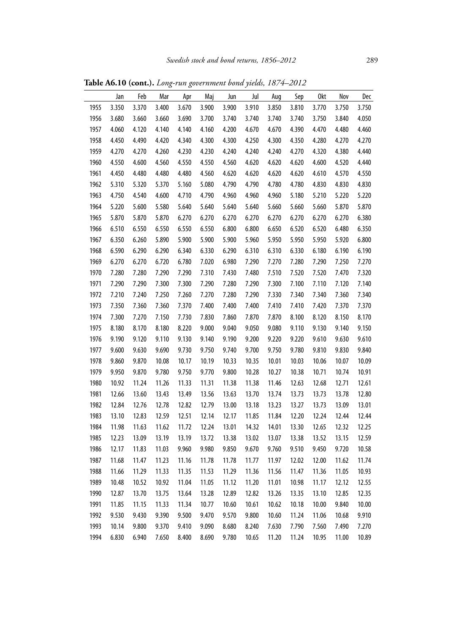|      | Jan   | Feb   | Mar   | Apr   | Maj   | Jun   | Jul   | Aug   | Sep   | 0kt   | Nov   | Dec   |
|------|-------|-------|-------|-------|-------|-------|-------|-------|-------|-------|-------|-------|
| 1955 | 3.350 | 3.370 | 3.400 | 3.670 | 3.900 | 3.900 | 3.910 | 3.850 | 3.810 | 3.770 | 3.750 | 3.750 |
| 1956 | 3.680 | 3.660 | 3.660 | 3.690 | 3.700 | 3.740 | 3.740 | 3.740 | 3.740 | 3.750 | 3.840 | 4.050 |
| 1957 | 4.060 | 4.120 | 4.140 | 4.140 | 4.160 | 4.200 | 4.670 | 4.670 | 4.390 | 4.470 | 4.480 | 4.460 |
| 1958 | 4.450 | 4.490 | 4.420 | 4.340 | 4.300 | 4.300 | 4.250 | 4.300 | 4.350 | 4.280 | 4.270 | 4.270 |
| 1959 | 4.270 | 4.270 | 4.260 | 4.230 | 4.230 | 4.240 | 4.240 | 4.240 | 4.270 | 4.320 | 4.380 | 4.440 |
| 1960 | 4.550 | 4.600 | 4.560 | 4.550 | 4.550 | 4.560 | 4.620 | 4.620 | 4.620 | 4.600 | 4.520 | 4.440 |
| 1961 | 4.450 | 4.480 | 4.480 | 4.480 | 4.560 | 4.620 | 4.620 | 4.620 | 4.620 | 4.610 | 4.570 | 4.550 |
| 1962 | 5.310 | 5.320 | 5.370 | 5.160 | 5.080 | 4.790 | 4.790 | 4.780 | 4.780 | 4.830 | 4.830 | 4.830 |
| 1963 | 4.750 | 4.540 | 4.600 | 4.710 | 4.790 | 4.960 | 4.960 | 4.960 | 5.180 | 5.210 | 5.220 | 5.220 |
| 1964 | 5.220 | 5.600 | 5.580 | 5.640 | 5.640 | 5.640 | 5.640 | 5.660 | 5.660 | 5.660 | 5.870 | 5.870 |
| 1965 | 5.870 | 5.870 | 5.870 | 6.270 | 6.270 | 6.270 | 6.270 | 6.270 | 6.270 | 6.270 | 6.270 | 6.380 |
| 1966 | 6.510 | 6.550 | 6.550 | 6.550 | 6.550 | 6.800 | 6.800 | 6.650 | 6.520 | 6.520 | 6.480 | 6.350 |
| 1967 | 6.350 | 6.260 | 5.890 | 5.900 | 5.900 | 5.900 | 5.960 | 5.950 | 5.950 | 5.950 | 5.920 | 6.800 |
| 1968 | 6.590 | 6.290 | 6.290 | 6.340 | 6.330 | 6.290 | 6.310 | 6.310 | 6.330 | 6.180 | 6.190 | 6.190 |
| 1969 | 6.270 | 6.270 | 6.720 | 6.780 | 7.020 | 6.980 | 7.290 | 7.270 | 7.280 | 7.290 | 7.250 | 7.270 |
| 1970 | 7.280 | 7.280 | 7.290 | 7.290 | 7.310 | 7.430 | 7.480 | 7.510 | 7.520 | 7.520 | 7.470 | 7.320 |
| 1971 | 7.290 | 7.290 | 7.300 | 7.300 | 7.290 | 7.280 | 7.290 | 7.300 | 7.100 | 7.110 | 7.120 | 7.140 |
| 1972 | 7.210 | 7.240 | 7.250 | 7.260 | 7.270 | 7.280 | 7.290 | 7.330 | 7.340 | 7.340 | 7.360 | 7.340 |
| 1973 | 7.350 | 7.360 | 7.360 | 7.370 | 7.400 | 7.400 | 7.400 | 7.410 | 7.410 | 7.420 | 7.370 | 7.370 |
| 1974 | 7.300 | 7.270 | 7.150 | 7.730 | 7.830 | 7.860 | 7.870 | 7.870 | 8.100 | 8.120 | 8.150 | 8.170 |
| 1975 | 8.180 | 8.170 | 8.180 | 8.220 | 9.000 | 9.040 | 9.050 | 9.080 | 9.110 | 9.130 | 9.140 | 9.150 |
| 1976 | 9.190 | 9.120 | 9.110 | 9.130 | 9.140 | 9.190 | 9.200 | 9.220 | 9.220 | 9.610 | 9.630 | 9.610 |
| 1977 | 9.600 | 9.630 | 9.690 | 9.730 | 9.750 | 9.740 | 9.700 | 9.750 | 9.780 | 9.810 | 9.830 | 9.840 |
| 1978 | 9.860 | 9.870 | 10.08 | 10.17 | 10.19 | 10.33 | 10.35 | 10.01 | 10.03 | 10.06 | 10.07 | 10.09 |
| 1979 | 9.950 | 9.870 | 9.780 | 9.750 | 9.770 | 9.800 | 10.28 | 10.27 | 10.38 | 10.71 | 10.74 | 10.91 |
| 1980 | 10.92 | 11.24 | 11.26 | 11.33 | 11.31 | 11.38 | 11.38 | 11.46 | 12.63 | 12.68 | 12.71 | 12.61 |
| 1981 | 12.66 | 13.60 | 13.43 | 13.49 | 13.56 | 13.63 | 13.70 | 13.74 | 13.73 | 13.73 | 13.78 | 12.80 |
| 1982 | 12.84 | 12.76 | 12.78 | 12.82 | 12.79 | 13.00 | 13.18 | 13.23 | 13.27 | 13.73 | 13.09 | 13.01 |
| 1983 | 13.10 | 12.83 | 12.59 | 12.51 | 12.14 | 12.17 | 11.85 | 11.84 | 12.20 | 12.24 | 12.44 | 12.44 |
| 1984 | 11.98 | 11.63 | 11.62 | 11.72 | 12.24 | 13.01 | 14.32 | 14.01 | 13.30 | 12.65 | 12.32 | 12.25 |
| 1985 | 12.23 | 13.09 | 13.19 | 13.19 | 13.72 | 13.38 | 13.02 | 13.07 | 13.38 | 13.52 | 13.15 | 12.59 |
| 1986 | 12.17 | 11.83 | 11.03 | 9.960 | 9.980 | 9.850 | 9.670 | 9.760 | 9.510 | 9.450 | 9.720 | 10.58 |
| 1987 | 11.68 | 11.47 | 11.23 | 11.16 | 11.78 | 11.78 | 11.77 | 11.97 | 12.02 | 12.00 | 11.62 | 11.74 |
| 1988 | 11.66 | 11.29 | 11.33 | 11.35 | 11.53 | 11.29 | 11.36 | 11.56 | 11.47 | 11.36 | 11.05 | 10.93 |
| 1989 | 10.48 | 10.52 | 10.92 | 11.04 | 11.05 | 11.12 | 11.20 | 11.01 | 10.98 | 11.17 | 12.12 | 12.55 |
| 1990 | 12.87 | 13.70 | 13.75 | 13.64 | 13.28 | 12.89 | 12.82 | 13.26 | 13.35 | 13.10 | 12.85 | 12.35 |
| 1991 | 11.85 | 11.15 | 11.33 | 11.34 | 10.77 | 10.60 | 10.61 | 10.62 | 10.18 | 10.00 | 9.840 | 10.00 |
| 1992 | 9.530 | 9.430 | 9.390 | 9.500 | 9.470 | 9.570 | 9.800 | 10.60 | 11.24 | 11.06 | 10.68 | 9.910 |
| 1993 | 10.14 | 9.800 | 9.370 | 9.410 | 9.090 | 8.680 | 8.240 | 7.630 | 7.790 | 7.560 | 7.490 | 7.270 |
| 1994 | 6.830 | 6.940 | 7.650 | 8.400 | 8.690 | 9.780 | 10.65 | 11.20 | 11.24 | 10.95 | 11.00 | 10.89 |

**Table A6.10 (cont.).** *Long-run government bond yields, 1874–2012*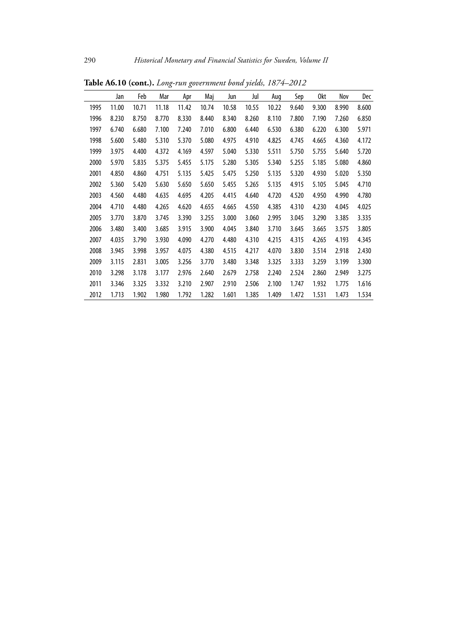|      | Jan   | Feb   | Mar   | Apr   | Maj   | Jun   | Jul   | Aug   | Sep   | 0kt   | Nov   | Dec   |
|------|-------|-------|-------|-------|-------|-------|-------|-------|-------|-------|-------|-------|
| 1995 | 11.00 | 10.71 | 11.18 | 11.42 | 10.74 | 10.58 | 10.55 | 10.22 | 9.640 | 9.300 | 8.990 | 8.600 |
| 1996 | 8.230 | 8.750 | 8.770 | 8.330 | 8.440 | 8.340 | 8.260 | 8.110 | 7.800 | 7.190 | 7.260 | 6.850 |
| 1997 | 6.740 | 6.680 | 7.100 | 7.240 | 7.010 | 6.800 | 6.440 | 6.530 | 6.380 | 6.220 | 6.300 | 5.971 |
| 1998 | 5.600 | 5.480 | 5.310 | 5.370 | 5.080 | 4.975 | 4.910 | 4.825 | 4.745 | 4.665 | 4.360 | 4.172 |
| 1999 | 3.975 | 4.400 | 4.372 | 4.169 | 4.597 | 5.040 | 5.330 | 5.511 | 5.750 | 5.755 | 5.640 | 5.720 |
| 2000 | 5.970 | 5.835 | 5.375 | 5.455 | 5.175 | 5.280 | 5.305 | 5.340 | 5.255 | 5.185 | 5.080 | 4.860 |
| 2001 | 4.850 | 4.860 | 4.751 | 5.135 | 5.425 | 5.475 | 5.250 | 5.135 | 5.320 | 4.930 | 5.020 | 5.350 |
| 2002 | 5.360 | 5.420 | 5.630 | 5.650 | 5.650 | 5.455 | 5.265 | 5.135 | 4.915 | 5.105 | 5.045 | 4.710 |
| 2003 | 4.560 | 4.480 | 4.635 | 4.695 | 4.205 | 4.415 | 4.640 | 4.720 | 4.520 | 4.950 | 4.990 | 4.780 |
| 2004 | 4.710 | 4.480 | 4.265 | 4.620 | 4.655 | 4.665 | 4.550 | 4.385 | 4.310 | 4.230 | 4.045 | 4.025 |
| 2005 | 3.770 | 3.870 | 3.745 | 3.390 | 3.255 | 3.000 | 3.060 | 2.995 | 3.045 | 3.290 | 3.385 | 3.335 |
| 2006 | 3.480 | 3.400 | 3.685 | 3.915 | 3.900 | 4.045 | 3.840 | 3.710 | 3.645 | 3.665 | 3.575 | 3.805 |
| 2007 | 4.035 | 3.790 | 3.930 | 4.090 | 4.270 | 4.480 | 4.310 | 4.215 | 4.315 | 4.265 | 4.193 | 4.345 |
| 2008 | 3.945 | 3.998 | 3.957 | 4.075 | 4.380 | 4.515 | 4.217 | 4.070 | 3.830 | 3.514 | 2.918 | 2.430 |
| 2009 | 3.115 | 2.831 | 3.005 | 3.256 | 3.770 | 3.480 | 3.348 | 3.325 | 3.333 | 3.259 | 3.199 | 3.300 |
| 2010 | 3.298 | 3.178 | 3.177 | 2.976 | 2.640 | 2.679 | 2.758 | 2.240 | 2.524 | 2.860 | 2.949 | 3.275 |
| 2011 | 3.346 | 3.325 | 3.332 | 3.210 | 2.907 | 2.910 | 2.506 | 2.100 | 1.747 | 1.932 | 1.775 | 1.616 |
| 2012 | 1.713 | 1.902 | 1.980 | 1.792 | 1.282 | 1.601 | 1.385 | 1.409 | 1.472 | 1.531 | 1.473 | 1.534 |

**Table A6.10 (cont.).** *Long-run government bond yields, 1874–2012*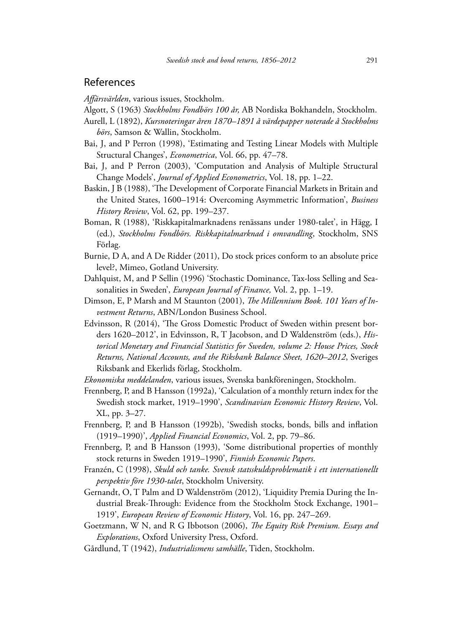## References

*Affärsvärlden*, various issues, Stockholm.

- Algott, S (1963) *Stockholms Fondbörs 100 år,* AB Nordiska Bokhandeln, Stockholm.
- Aurell, L (1892), *Kursnoteringar åren 1870–1891 å värdepapper noterade å Stockholms börs*, Samson & Wallin, Stockholm.
- Bai, J, and P Perron (1998), 'Estimating and Testing Linear Models with Multiple Structural Changes', *Econometrica*, Vol. 66, pp. 47–78.
- Bai, J, and P Perron (2003), 'Computation and Analysis of Multiple Structural Change Models', *Journal of Applied Econometrics*, Vol. 18, pp. 1–22.
- Baskin, J B (1988), 'The Development of Corporate Financial Markets in Britain and the United States, 1600–1914: Overcoming Asymmetric Information', *Business History Review*, Vol. 62, pp. 199–237.
- Boman, R (1988), 'Riskkapitalmarknadens renässans under 1980-talet', in Hägg, I (ed.), *Stockholms Fondbörs. Riskkapitalmarknad i omvandling*, Stockholm, SNS Förlag.
- Burnie, D A, and A De Ridder (2011), Do stock prices conform to an absolute price level?, Mimeo, Gotland University.
- Dahlquist, M, and P Sellin (1996) 'Stochastic Dominance, Tax-loss Selling and Seasonalities in Sweden', *European Journal of Finance,* Vol. 2, pp. 1–19.
- Dimson, E, P Marsh and M Staunton (2001), *The Millennium Book. 101 Years of Investment Returns*, ABN/London Business School.
- Edvinsson, R (2014), 'The Gross Domestic Product of Sweden within present borders 1620–2012', in Edvinsson, R, T Jacobson, and D Waldenström (eds.), *Historical Monetary and Financial Statistics for Sweden, volume 2: House Prices, Stock Returns, National Accounts, and the Riksbank Balance Sheet, 1620–2012*, Sveriges Riksbank and Ekerlids förlag, Stockholm.
- *Ekonomiska meddelanden*, various issues, Svenska bankföreningen, Stockholm.
- Frennberg, P, and B Hansson (1992a), 'Calculation of a monthly return index for the Swedish stock market, 1919–1990', *Scandinavian Economic History Review*, Vol. XL, pp. 3–27.
- Frennberg, P, and B Hansson (1992b), 'Swedish stocks, bonds, bills and inflation (1919–1990)', *Applied Financial Economics*, Vol. 2, pp. 79–86.
- Frennberg, P, and B Hansson (1993), 'Some distributional properties of monthly stock returns in Sweden 1919–1990', *Finnish Economic Papers*.
- Franzén, C (1998), *Skuld och tanke. Svensk statsskuldsproblematik i ett internationellt perspektiv före 1930-talet*, Stockholm University.
- Gernandt, O, T Palm and D Waldenström (2012), 'Liquidity Premia During the Industrial Break-Through: Evidence from the Stockholm Stock Exchange, 1901– 1919', *European Review of Economic History*, Vol. 16, pp. 247–269.
- Goetzmann, W N, and R G Ibbotson (2006), *The Equity Risk Premium. Essays and Explorations*, Oxford University Press, Oxford.
- Gårdlund, T (1942), *Industrialismens samhälle*, Tiden, Stockholm.